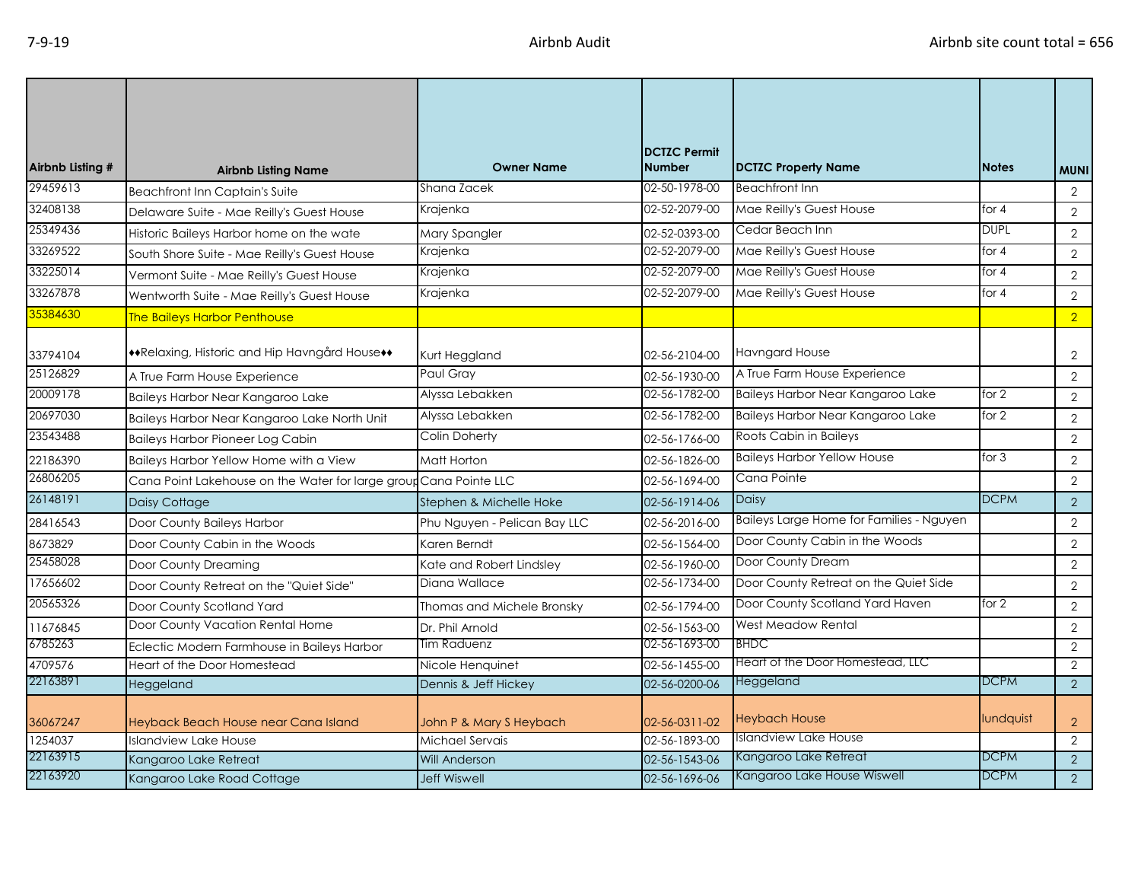| Airbnb Listing # | <b>Airbnb Listing Name</b>                                        | <b>Owner Name</b>            | <b>DCTZC Permit</b><br><b>Number</b> | <b>DCTZC Property Name</b>               | <b>Notes</b> | <b>MUNI</b>    |
|------------------|-------------------------------------------------------------------|------------------------------|--------------------------------------|------------------------------------------|--------------|----------------|
| 29459613         | Beachfront Inn Captain's Suite                                    | Shana Zacek                  | 02-50-1978-00                        | <b>Beachfront Inn</b>                    |              | $\overline{2}$ |
| 32408138         | Delaware Suite - Mae Reilly's Guest House                         | Krajenka                     | 02-52-2079-00                        | Mae Reilly's Guest House                 | for $4$      | $\overline{2}$ |
| 25349436         | Historic Baileys Harbor home on the wate                          | Mary Spangler                | 02-52-0393-00                        | Cedar Beach Inn                          | <b>DUPL</b>  | 2              |
| 33269522         | South Shore Suite - Mae Reilly's Guest House                      | Krajenka                     | 02-52-2079-00                        | Mae Reilly's Guest House                 | for 4        | $\overline{2}$ |
| 33225014         | Vermont Suite - Mae Reilly's Guest House                          | Krajenka                     | 02-52-2079-00                        | Mae Reilly's Guest House                 | for $4$      | $\overline{2}$ |
| 33267878         | Wentworth Suite - Mae Reilly's Guest House                        | Krajenka                     | 02-52-2079-00                        | Mae Reilly's Guest House                 | for $4$      | $\mathbf{2}$   |
| 35384630         | <b>The Baileys Harbor Penthouse</b>                               |                              |                                      |                                          |              | $\overline{2}$ |
| 33794104         | **Relaxing, Historic and Hip Havngård House**                     | Kurt Heggland                | 02-56-2104-00                        | <b>Havngard House</b>                    |              | $\overline{2}$ |
| 25126829         | A True Farm House Experience                                      | Paul Gray                    | 02-56-1930-00                        | A True Farm House Experience             |              | 2              |
| 20009178         | Baileys Harbor Near Kangaroo Lake                                 | Alyssa Lebakken              | 02-56-1782-00                        | Baileys Harbor Near Kangaroo Lake        | for 2        | $\overline{2}$ |
| 20697030         | Baileys Harbor Near Kangaroo Lake North Unit                      | Alyssa Lebakken              | 02-56-1782-00                        | <b>Baileys Harbor Near Kangaroo Lake</b> | for $2$      | 2              |
| 23543488         | <b>Baileys Harbor Pioneer Log Cabin</b>                           | Colin Doherty                | 02-56-1766-00                        | Roots Cabin in Baileys                   |              | $\overline{2}$ |
| 22186390         | Baileys Harbor Yellow Home with a View                            | Matt Horton                  | 02-56-1826-00                        | <b>Baileys Harbor Yellow House</b>       | for $3$      | $\overline{2}$ |
| 26806205         | Cana Point Lakehouse on the Water for large group Cana Pointe LLC |                              | 02-56-1694-00                        | Cana Pointe                              |              | 2              |
| 26148191         | Daisy Cottage                                                     | Stephen & Michelle Hoke      | 02-56-1914-06                        | Daisy                                    | <b>DCPM</b>  | $\overline{2}$ |
| 28416543         | Door County Baileys Harbor                                        | Phu Nguyen - Pelican Bay LLC | 02-56-2016-00                        | Baileys Large Home for Families - Nguyen |              | 2              |
| 8673829          | Door County Cabin in the Woods                                    | Karen Berndt                 | 02-56-1564-00                        | Door County Cabin in the Woods           |              | $\overline{2}$ |
| 25458028         | Door County Dreaming                                              | Kate and Robert Lindsley     | 02-56-1960-00                        | Door County Dream                        |              | 2              |
| 17656602         | Door County Retreat on the "Quiet Side"                           | Diana Wallace                | 02-56-1734-00                        | Door County Retreat on the Quiet Side    |              | $\overline{2}$ |
| 20565326         | Door County Scotland Yard                                         | Thomas and Michele Bronsky   | 02-56-1794-00                        | Door County Scotland Yard Haven          | for 2        | 2              |
| 11676845         | Door County Vacation Rental Home                                  | Dr. Phil Arnold              | 02-56-1563-00                        | West Meadow Rental                       |              | $\overline{2}$ |
| 6785263          | Eclectic Modern Farmhouse in Baileys Harbor                       | Tim Raduenz                  | 02-56-1693-00                        | <b>BHDC</b>                              |              | $\overline{2}$ |
| 4709576          | Heart of the Door Homestead                                       | Nicole Henquinet             | 02-56-1455-00                        | Heart of the Door Homestead, LLC         |              | 2              |
| 22163891         | Heggeland                                                         | Dennis & Jeff Hickey         | 02-56-0200-06                        | Heggeland                                | <b>DCPM</b>  | $\overline{2}$ |
| 36067247         | Heyback Beach House near Cana Island                              | John P & Mary S Heybach      | 02-56-0311-02                        | <b>Heybach House</b>                     | lundquist    | $\overline{2}$ |
| 1254037          | <b>Islandview Lake House</b>                                      | Michael Servais              | 02-56-1893-00                        | Islandview Lake House                    |              | 2              |
| 22163915         | Kangaroo Lake Retreat                                             | <b>Will Anderson</b>         | 02-56-1543-06                        | Kangaroo Lake Retreat                    | DCPM         | $\overline{2}$ |
| 22163920         | Kangaroo Lake Road Cottage                                        | <b>Jeff Wiswell</b>          | 02-56-1696-06                        | Kangaroo Lake House Wiswell              | <b>DCPM</b>  | 2              |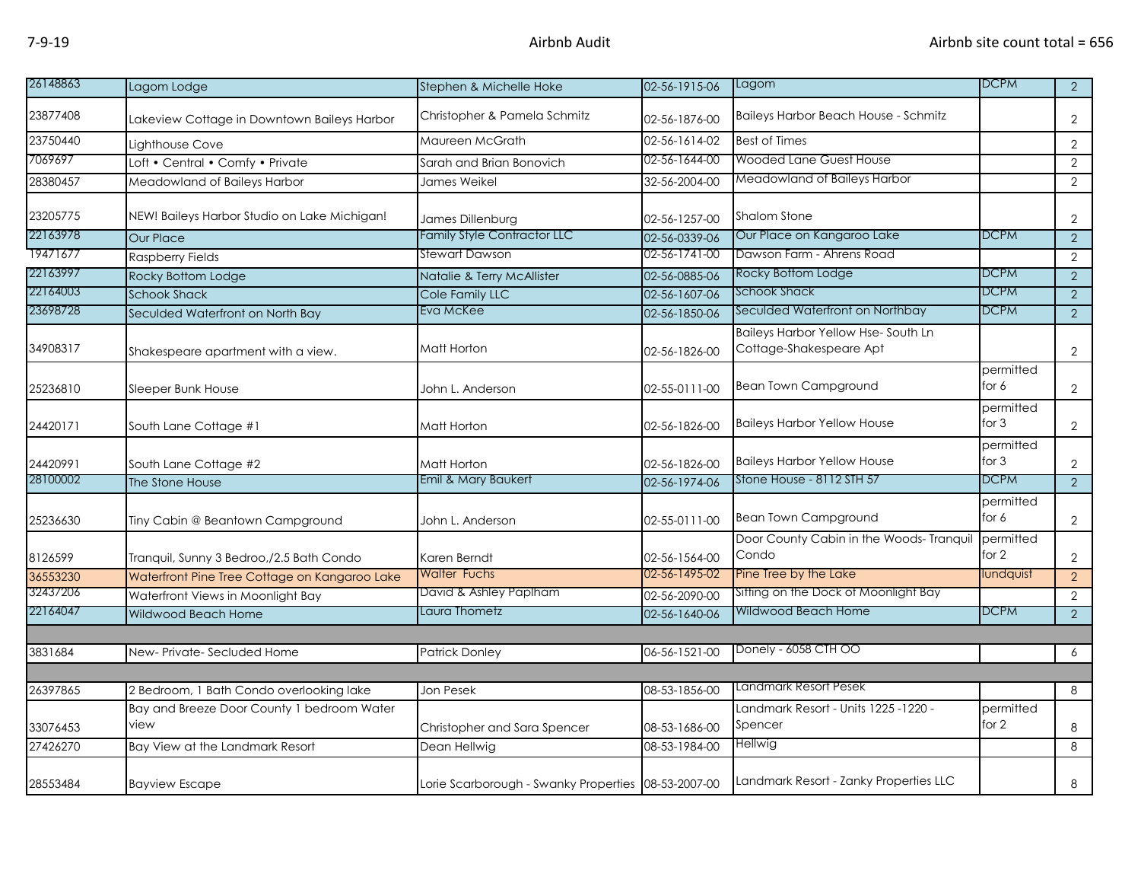| 26148863 | Lagom Lodge                                        | Stephen & Michelle Hoke                             | 02-56-1915-06 | Lagom                                                                | <b>DCPM</b>          | $\overline{2}$ |
|----------|----------------------------------------------------|-----------------------------------------------------|---------------|----------------------------------------------------------------------|----------------------|----------------|
| 23877408 | Lakeview Cottage in Downtown Baileys Harbor        | Christopher & Pamela Schmitz                        | 02-56-1876-00 | <b>Baileys Harbor Beach House - Schmitz</b>                          |                      | $\overline{2}$ |
| 23750440 | Lighthouse Cove                                    | Maureen McGrath                                     | 02-56-1614-02 | <b>Best of Times</b>                                                 |                      | $\overline{2}$ |
| 7069697  | Loft • Central • Comfy • Private                   | Sarah and Brian Bonovich                            | 02-56-1644-00 | <b>Wooded Lane Guest House</b>                                       |                      | $\overline{2}$ |
| 28380457 | Meadowland of Baileys Harbor                       | James Weikel                                        | 32-56-2004-00 | Meadowland of Baileys Harbor                                         |                      | $\overline{2}$ |
| 23205775 | NEW! Baileys Harbor Studio on Lake Michigan!       | James Dillenburg                                    | 02-56-1257-00 | <b>Shalom Stone</b>                                                  |                      | $\overline{2}$ |
| 22163978 | <b>Our Place</b>                                   | <b>Family Style Contractor LLC</b>                  | 02-56-0339-06 | Our Place on Kangaroo Lake                                           | <b>DCPM</b>          | $\overline{2}$ |
| 19471677 | <b>Raspberry Fields</b>                            | <b>Stewart Dawson</b>                               | 02-56-1741-00 | Dawson Farm - Ahrens Road                                            |                      | $\overline{2}$ |
| 22163997 | Rocky Bottom Lodge                                 | Natalie & Terry McAllister                          | 02-56-0885-06 | Rocky Bottom Lodge                                                   | <b>DCPM</b>          | $\overline{2}$ |
| 22164003 | <b>Schook Shack</b>                                | Cole Family LLC                                     | 02-56-1607-06 | <b>Schook Shack</b>                                                  | <b>DCPM</b>          | $\overline{2}$ |
| 23698728 | Seculded Waterfront on North Bay                   | Eva McKee                                           | 02-56-1850-06 | Seculded Waterfront on Northbay                                      | <b>DCPM</b>          | 2              |
| 34908317 | Shakespeare apartment with a view.                 | Matt Horton                                         | 02-56-1826-00 | <b>Baileys Harbor Yellow Hse-South Ln</b><br>Cottage-Shakespeare Apt |                      | $\overline{2}$ |
| 25236810 | Sleeper Bunk House                                 | John L. Anderson                                    | 02-55-0111-00 | <b>Bean Town Campground</b>                                          | permitted<br>for 6   | $\overline{2}$ |
| 24420171 | South Lane Cottage #1                              | Matt Horton                                         | 02-56-1826-00 | <b>Baileys Harbor Yellow House</b>                                   | permitted<br>for $3$ | $\overline{2}$ |
| 24420991 | South Lane Cottage #2                              | Matt Horton                                         | 02-56-1826-00 | <b>Baileys Harbor Yellow House</b>                                   | permitted<br>for $3$ | $\overline{2}$ |
| 28100002 | The Stone House                                    | Emil & Mary Baukert                                 | 02-56-1974-06 | Stone House - 8112 STH 57                                            | <b>DCPM</b>          | 2              |
| 25236630 | Tiny Cabin @ Beantown Campground                   | John L. Anderson                                    | 02-55-0111-00 | <b>Bean Town Campground</b>                                          | permitted<br>for 6   | $\overline{2}$ |
| 8126599  | Tranquil, Sunny 3 Bedroo,/2.5 Bath Condo           | Karen Berndt                                        | 02-56-1564-00 | Door County Cabin in the Woods- Tranqui<br>Condo                     | permitted<br>for $2$ | $\overline{2}$ |
| 36553230 | Waterfront Pine Tree Cottage on Kangaroo Lake      | <b>Walter Fuchs</b>                                 | 02-56-1495-02 | Pine Tree by the Lake                                                | undquist             | 2 <sup>1</sup> |
| 32437206 | Waterfront Views in Moonlight Bay                  | David & Ashley Paplham                              | 02-56-2090-00 | Sitting on the Dock of Moonlight Bay                                 |                      | 2              |
| 22164047 | Wildwood Beach Home                                | Laura Thometz                                       | 02-56-1640-06 | Wildwood Beach Home                                                  | <b>DCPM</b>          | $\overline{2}$ |
|          |                                                    |                                                     |               |                                                                      |                      |                |
| 3831684  | New-Private-Secluded Home                          | <b>Patrick Donley</b>                               | 06-56-1521-00 | Donely - 6058 CTH OO                                                 |                      | 6              |
|          |                                                    |                                                     |               |                                                                      |                      |                |
| 26397865 | 2 Bedroom, 1 Bath Condo overlooking lake           | Jon Pesek                                           | 08-53-1856-00 | Landmark Resort Pesek                                                |                      | 8              |
| 33076453 | Bay and Breeze Door County 1 bedroom Water<br>view | Christopher and Sara Spencer                        | 08-53-1686-00 | - Landmark Resort - Units 1225 -1220<br>Spencer                      | permitted<br>for 2   | 8              |
| 27426270 | Bay View at the Landmark Resort                    | Dean Hellwig                                        | 08-53-1984-00 | Hellwig                                                              |                      | 8              |
| 28553484 | <b>Bayview Escape</b>                              | Lorie Scarborough - Swanky Properties 08-53-2007-00 |               | Landmark Resort - Zanky Properties LLC                               |                      | 8              |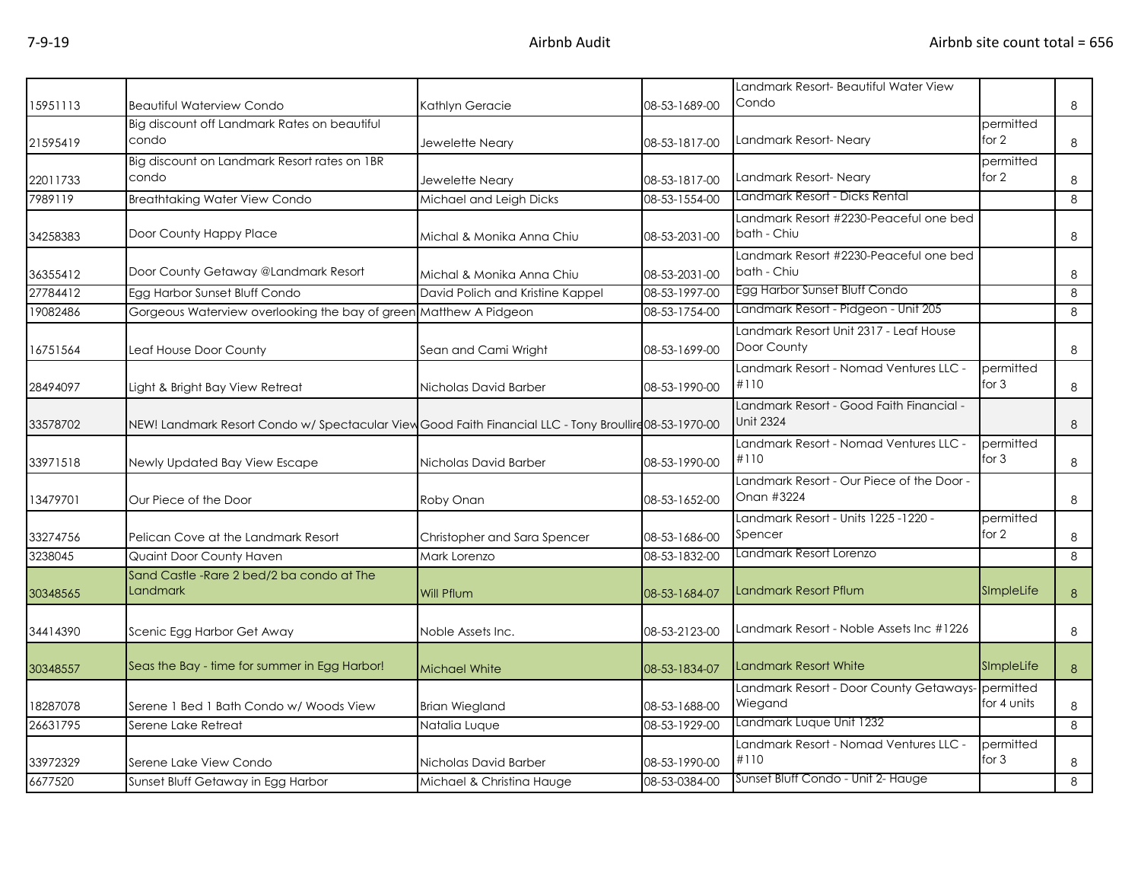| 15951113 | <b>Beautiful Waterview Condo</b>                                                                       | Kathlyn Geracie                  | 08-53-1689-00 | Landmark Resort- Beautiful Water View<br>Condo               |                      | 8       |
|----------|--------------------------------------------------------------------------------------------------------|----------------------------------|---------------|--------------------------------------------------------------|----------------------|---------|
| 21595419 | Big discount off Landmark Rates on beautiful<br>condo                                                  | Jewelette Neary                  | 08-53-1817-00 | Landmark Resort-Neary                                        | permitted<br>for 2   | 8       |
| 22011733 | Big discount on Landmark Resort rates on 1BR<br>condo                                                  | Jewelette Neary                  | 08-53-1817-00 | Landmark Resort-Neary                                        | permitted<br>for 2   | 8       |
| 7989119  | <b>Breathtaking Water View Condo</b>                                                                   | Michael and Leigh Dicks          | 08-53-1554-00 | Landmark Resort - Dicks Rental                               |                      | 8       |
| 34258383 | Door County Happy Place                                                                                | Michal & Monika Anna Chiu        | 08-53-2031-00 | Landmark Resort #2230-Peaceful one bed<br>bath - Chiu        |                      | 8       |
| 36355412 | Door County Getaway @Landmark Resort                                                                   | Michal & Monika Anna Chiu        | 08-53-2031-00 | Landmark Resort #2230-Peaceful one bed<br>bath - Chiu        |                      | 8       |
| 27784412 | Egg Harbor Sunset Bluff Condo                                                                          | David Polich and Kristine Kappel | 08-53-1997-00 | Egg Harbor Sunset Bluff Condo                                |                      | 8       |
| 19082486 | Gorgeous Waterview overlooking the bay of green Matthew A Pidgeon                                      |                                  | 08-53-1754-00 | Landmark Resort - Pidgeon - Unit 205                         |                      | 8       |
| 16751564 | Leaf House Door County                                                                                 | Sean and Cami Wright             | 08-53-1699-00 | Landmark Resort Unit 2317 - Leaf House<br>Door County        |                      | 8       |
| 28494097 | Light & Bright Bay View Retreat                                                                        | Nicholas David Barber            | 08-53-1990-00 | Landmark Resort - Nomad Ventures LLC -<br>#110               | permitted<br>for $3$ | 8       |
| 33578702 | NEW! Landmark Resort Condo w/ Spectacular View Good Faith Financial LLC - Tony Broullire 08-53-1970-00 |                                  |               | Landmark Resort - Good Faith Financial -<br><b>Unit 2324</b> |                      | 8       |
| 33971518 | Newly Updated Bay View Escape                                                                          | Nicholas David Barber            | 08-53-1990-00 | Landmark Resort - Nomad Ventures LLC -<br>#110               | permitted<br>for $3$ | $\,8\,$ |
| 13479701 | Our Piece of the Door                                                                                  | Roby Onan                        | 08-53-1652-00 | Landmark Resort - Our Piece of the Door -<br>Onan #3224      |                      | 8       |
| 33274756 | Pelican Cove at the Landmark Resort                                                                    | Christopher and Sara Spencer     | 08-53-1686-00 | Landmark Resort - Units 1225 -1220 -<br>Spencer              | permitted<br>for $2$ | 8       |
| 3238045  | Quaint Door County Haven                                                                               | Mark Lorenzo                     | 08-53-1832-00 | Landmark Resort Lorenzo                                      |                      | 8       |
| 30348565 | Sand Castle - Rare 2 bed/2 ba condo at The<br>Landmark                                                 | Will Pflum                       | 08-53-1684-07 | Landmark Resort Pflum                                        | SImpleLife           | 8       |
| 34414390 | Scenic Egg Harbor Get Away                                                                             | Noble Assets Inc.                | 08-53-2123-00 | Landmark Resort - Noble Assets Inc #1226                     |                      | 8       |
| 30348557 | Seas the Bay - time for summer in Egg Harbor!                                                          | <b>Michael White</b>             | 08-53-1834-07 | <b>Landmark Resort White</b>                                 | SImpleLife           | 8       |
| 18287078 | Serene 1 Bed 1 Bath Condo w/ Woods View                                                                | <b>Brian Wiegland</b>            | 08-53-1688-00 | Landmark Resort - Door County Getaways- permitted<br>Wiegand | for 4 units          | 8       |
| 26631795 | Serene Lake Retreat                                                                                    | Natalia Luque                    | 08-53-1929-00 | Landmark Luque Unit 1232                                     |                      | 8       |
| 33972329 | Serene Lake View Condo                                                                                 | Nicholas David Barber            | 08-53-1990-00 | Landmark Resort - Nomad Ventures LLC -<br>#110               | permitted<br>for $3$ | 8       |
| 6677520  | Sunset Bluff Getaway in Egg Harbor                                                                     | Michael & Christina Hauge        | 08-53-0384-00 | Sunset Bluff Condo - Unit 2- Hauge                           |                      | 8       |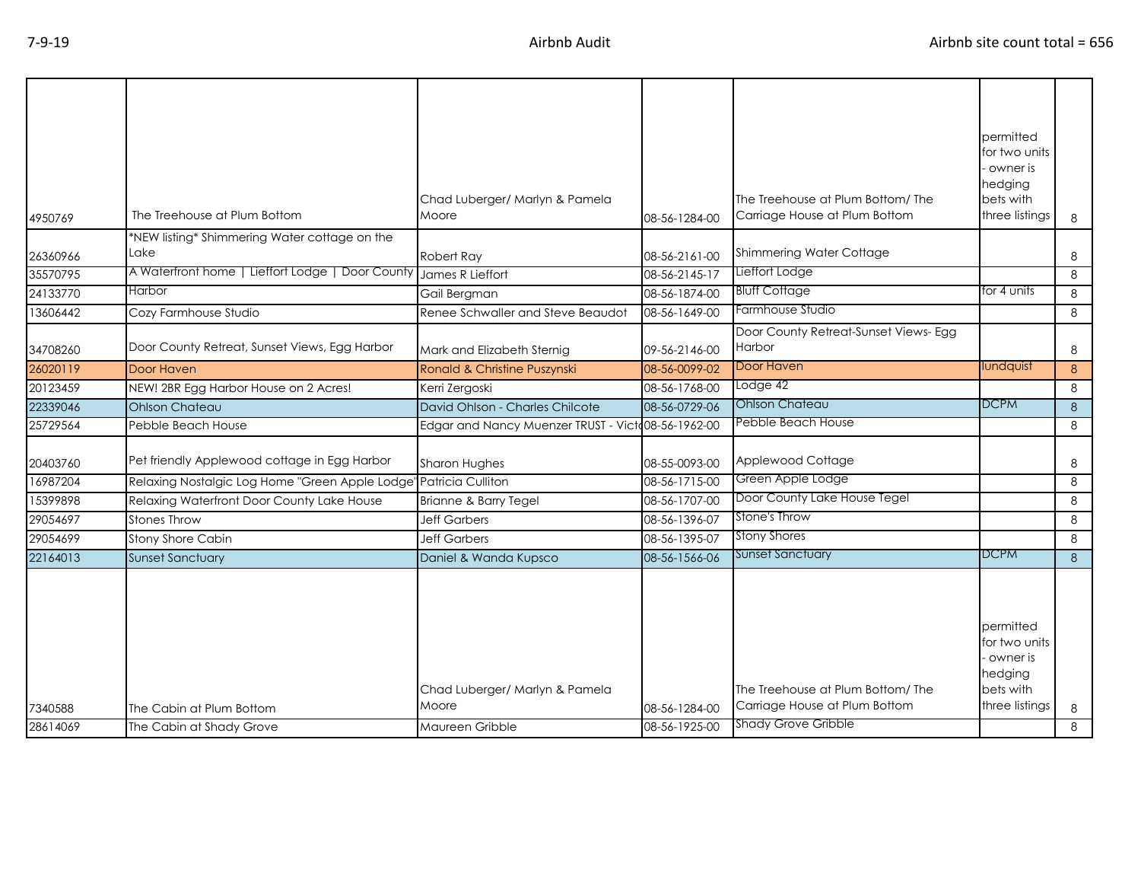| 4950769  | The Treehouse at Plum Bottom                     | Chad Luberger/ Marlyn & Pamela<br>Moore            | 08-56-1284-00 | The Treehouse at Plum Bottom/The<br>Carriage House at Plum Bottom                               | permitted<br>for two units<br>owner is<br>hedging<br>bets with<br>three listings   | 8             |
|----------|--------------------------------------------------|----------------------------------------------------|---------------|-------------------------------------------------------------------------------------------------|------------------------------------------------------------------------------------|---------------|
|          | *NEW listing* Shimmering Water cottage on the    |                                                    |               |                                                                                                 |                                                                                    |               |
| 26360966 | Lake                                             | Robert Ray                                         | 08-56-2161-00 | Shimmering Water Cottage                                                                        |                                                                                    | 8             |
| 35570795 | A Waterfront home   Lieffort Lodge   Door County | James R Lieffort                                   | 08-56-2145-17 | Lieffort Lodge                                                                                  |                                                                                    | 8             |
| 24133770 | <b>Harbor</b>                                    | Gail Bergman                                       | 08-56-1874-00 | <b>Bluff Cottage</b>                                                                            | for 4 units                                                                        | 8             |
| 13606442 | Cozy Farmhouse Studio                            | Renee Schwaller and Steve Beaudot                  | 08-56-1649-00 | Farmhouse Studio                                                                                |                                                                                    | 8             |
| 34708260 | Door County Retreat, Sunset Views, Egg Harbor    | Mark and Elizabeth Sternig                         | 09-56-2146-00 | Door County Retreat-Sunset Views- Egg<br><b>Harbor</b>                                          |                                                                                    | 8             |
| 26020119 | Door Haven                                       | Ronald & Christine Puszynski                       | 08-56-0099-02 | Door Haven                                                                                      | lundquist                                                                          | 8             |
| 20123459 | NEW! 2BR Egg Harbor House on 2 Acres!            | Kerri Zergoski                                     | 08-56-1768-00 | Lodge 42                                                                                        |                                                                                    | 8             |
| 22339046 | <b>Ohlson Chateau</b>                            | David Ohlson - Charles Chilcote                    | 08-56-0729-06 | <b>Ohlson Chateau</b>                                                                           | <b>DCPM</b>                                                                        | 8             |
| 25729564 | Pebble Beach House                               | Edgar and Nancy Muenzer TRUST - Victo08-56-1962-00 |               | Pebble Beach House                                                                              |                                                                                    | 8             |
| 20403760 | Pet friendly Applewood cottage in Egg Harbor     | Sharon Hughes                                      | 08-55-0093-00 | Applewood Cottage                                                                               |                                                                                    | 8             |
| 16987204 | Relaxing Nostalgic Log Home "Green Apple Lodge"  | Patricia Culliton                                  | 08-56-1715-00 | Green Apple Lodge                                                                               |                                                                                    | 8             |
| 15399898 | Relaxing Waterfront Door County Lake House       | Brianne & Barry Tegel                              | 08-56-1707-00 | Door County Lake House Tegel                                                                    |                                                                                    | 8             |
| 29054697 | <b>Stones Throw</b>                              | <b>Jeff Garbers</b>                                | 08-56-1396-07 | Stone's Throw                                                                                   |                                                                                    | 8             |
| 29054699 | Stony Shore Cabin                                | <b>Jeff Garbers</b>                                | 08-56-1395-07 | <b>Stony Shores</b>                                                                             |                                                                                    | 8             |
| 22164013 | <b>Sunset Sanctuary</b>                          | Daniel & Wanda Kupsco                              | 08-56-1566-06 | <b>Sunset Sanctuary</b>                                                                         | <b>DCPM</b>                                                                        | $\mathcal{B}$ |
| 7340588  | The Cabin at Plum Bottom                         | Chad Luberger/ Marlyn & Pamela<br>Moore            | 08-56-1284-00 | The Treehouse at Plum Bottom/The<br>Carriage House at Plum Bottom<br><b>Shady Grove Gribble</b> | permitted<br>for two units<br>owner is .<br>hedging<br>bets with<br>three listings | 8             |
| 28614069 | The Cabin at Shady Grove                         | Maureen Gribble                                    | 08-56-1925-00 |                                                                                                 |                                                                                    | 8             |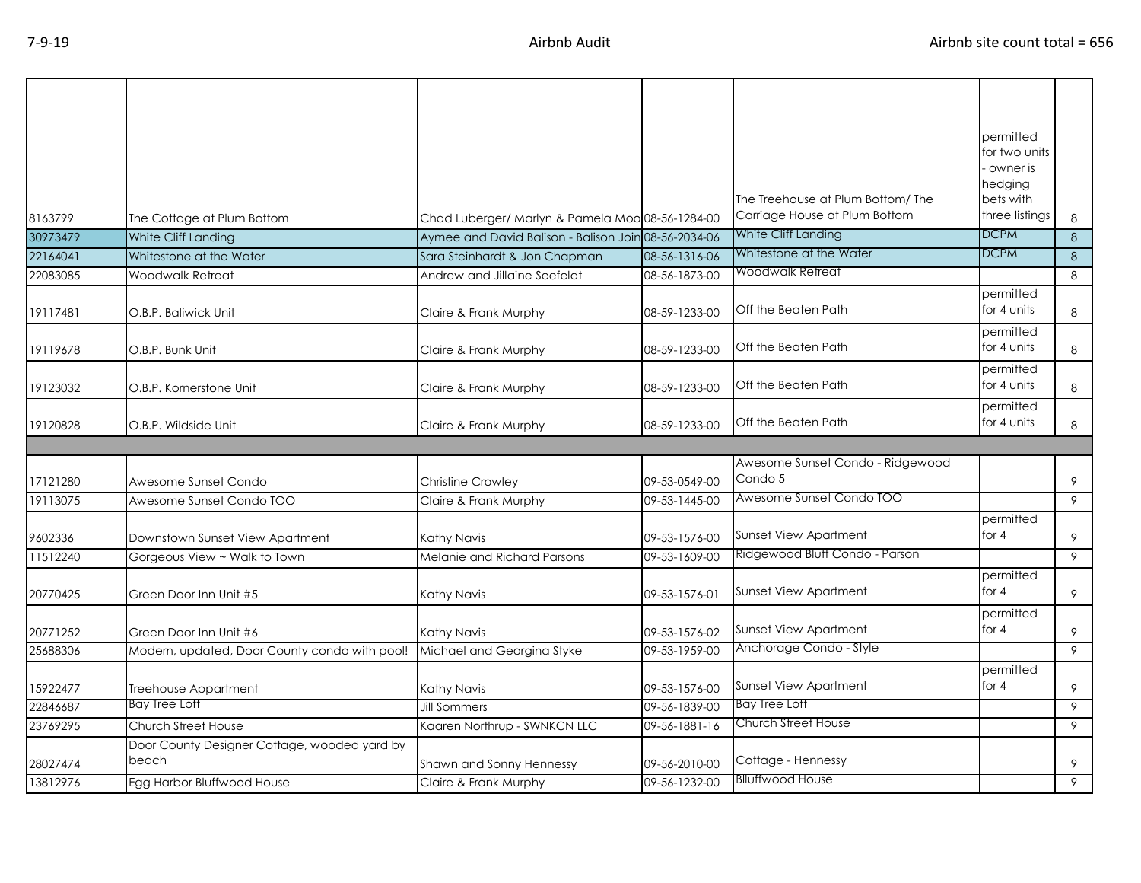|                      |                                               |                                                      |                                |                                               | permitted                |        |
|----------------------|-----------------------------------------------|------------------------------------------------------|--------------------------------|-----------------------------------------------|--------------------------|--------|
|                      |                                               |                                                      |                                |                                               | for two units            |        |
|                      |                                               |                                                      |                                |                                               | owner is<br>hedging      |        |
|                      |                                               |                                                      |                                | The Treehouse at Plum Bottom/The              | bets with                |        |
| 8163799              | The Cottage at Plum Bottom                    | Chad Luberger/ Marlyn & Pamela Moo 08-56-1284-00     |                                | Carriage House at Plum Bottom                 | three listings           | 8      |
| 30973479             | White Cliff Landing                           | Aymee and David Balison - Balison Join 08-56-2034-06 |                                | White Cliff Landing                           | <b>DCPM</b>              | 8      |
| 22164041             | Whitestone at the Water                       | Sara Steinhardt & Jon Chapman                        | 08-56-1316-06                  | Whitestone at the Water                       | <b>DCPM</b>              | 8      |
| 22083085             | Woodwalk Retreat                              | Andrew and Jillaine Seefeldt                         | 08-56-1873-00                  | Woodwalk Retreat                              |                          | 8      |
|                      |                                               |                                                      |                                |                                               | permitted                |        |
| 19117481             | O.B.P. Baliwick Unit                          | Claire & Frank Murphy                                | 08-59-1233-00                  | Off the Beaten Path                           | for 4 units              | 8      |
|                      |                                               |                                                      |                                |                                               | permitted                |        |
| 19119678             | O.B.P. Bunk Unit                              | Claire & Frank Murphy                                | 08-59-1233-00                  | Off the Beaten Path                           | for 4 units              | 8      |
|                      |                                               |                                                      |                                |                                               | permitted                |        |
| 19123032             | O.B.P. Kornerstone Unit                       | Claire & Frank Murphy                                | 08-59-1233-00                  | Off the Beaten Path                           | for 4 units              | 8      |
|                      |                                               |                                                      |                                | Off the Beaten Path                           | permitted<br>for 4 units |        |
| 19120828             | O.B.P. Wildside Unit                          | Claire & Frank Murphy                                | 08-59-1233-00                  |                                               |                          | 8      |
|                      |                                               |                                                      |                                |                                               |                          |        |
|                      |                                               |                                                      |                                |                                               |                          |        |
|                      |                                               |                                                      |                                | Awesome Sunset Condo - Ridgewood              |                          |        |
| 17121280             | Awesome Sunset Condo                          | Christine Crowley                                    | 09-53-0549-00                  | Condo 5<br>Awesome Sunset Condo TOO           |                          | 9      |
| 19113075             | Awesome Sunset Condo TOO                      | Claire & Frank Murphy                                | 09-53-1445-00                  |                                               |                          | 9      |
|                      |                                               |                                                      |                                | Sunset View Apartment                         | permitted<br>for $4$     | 9      |
| 9602336<br>11512240  | Downstown Sunset View Apartment               | Kathy Navis<br>Melanie and Richard Parsons           | 09-53-1576-00<br>09-53-1609-00 | Ridgewood Bluff Condo - Parson                |                          | 9      |
|                      | Gorgeous View ~ Walk to Town                  |                                                      |                                |                                               | permitted                |        |
| 20770425             | Green Door Inn Unit #5                        | Kathy Navis                                          | 09-53-1576-01                  | <b>Sunset View Apartment</b>                  | for $4$                  | 9      |
|                      |                                               |                                                      |                                |                                               | permitted                |        |
| 20771252             | Green Door Inn Unit #6                        | Kathy Navis                                          | 09-53-1576-02                  | Sunset View Apartment                         | for $4$                  | 9      |
| 25688306             | Modern, updated, Door County condo with pool! | Michael and Georgina Styke                           | 09-53-1959-00                  | Anchorage Condo - Style                       |                          | 9      |
|                      |                                               |                                                      |                                |                                               | permitted                |        |
| 15922477             | Treehouse Appartment                          | Kathy Navis                                          | 09-53-1576-00                  | Sunset View Apartment                         | for $4$                  | 9      |
| 22846687             | <b>Bay Tree Loft</b>                          | <b>Jill Sommers</b>                                  | 09-56-1839-00                  | <b>Bay Tree Loft</b>                          |                          | 9      |
| 23769295             | Church Street House                           | Kaaren Northrup - SWNKCN LLC                         | 09-56-1881-16                  | Church Street House                           |                          | 9      |
|                      | Door County Designer Cottage, wooded yard by  |                                                      |                                |                                               |                          |        |
| 28027474<br>13812976 | beach<br>Egg Harbor Bluffwood House           | Shawn and Sonny Hennessy<br>Claire & Frank Murphy    | 09-56-2010-00<br>09-56-1232-00 | Cottage - Hennessy<br><b>Blluffwood House</b> |                          | 9<br>9 |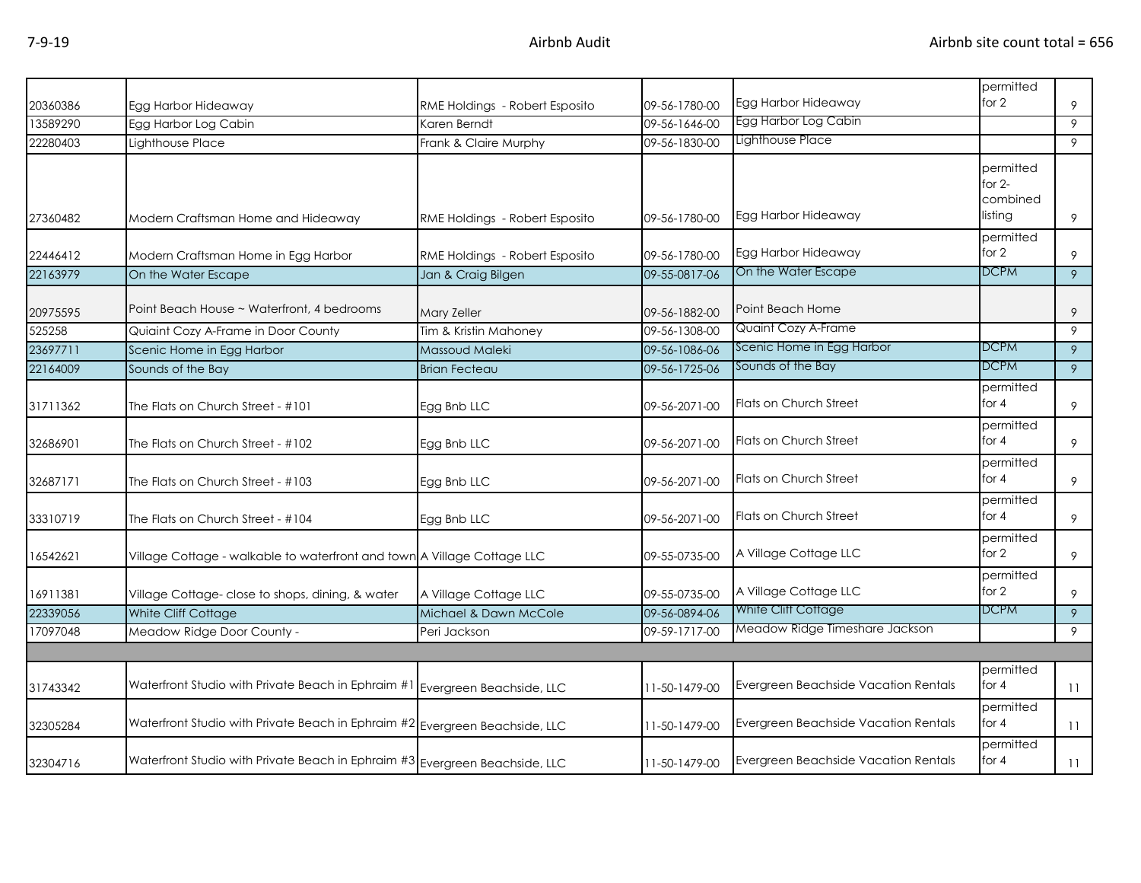|          |                                                                                |                                |               |                                      | permitted                                    |    |
|----------|--------------------------------------------------------------------------------|--------------------------------|---------------|--------------------------------------|----------------------------------------------|----|
| 20360386 | Egg Harbor Hideaway                                                            | RME Holdings - Robert Esposito | 09-56-1780-00 | Egg Harbor Hideaway                  | for 2                                        | 9  |
| 13589290 | Egg Harbor Log Cabin                                                           | Karen Berndt                   | 09-56-1646-00 | Egg Harbor Log Cabin                 |                                              | 9  |
| 22280403 | Lighthouse Place                                                               | Frank & Claire Murphy          | 09-56-1830-00 | Lighthouse Place                     |                                              | 9  |
| 27360482 | Modern Craftsman Home and Hideaway                                             | RME Holdings - Robert Esposito | 09-56-1780-00 | Egg Harbor Hideaway                  | permitted<br>for $2-$<br>combined<br>listing | 9  |
|          |                                                                                |                                |               |                                      | permitted                                    |    |
| 22446412 | Modern Craftsman Home in Egg Harbor                                            | RME Holdings - Robert Esposito | 09-56-1780-00 | Egg Harbor Hideaway                  | for 2                                        | 9  |
| 22163979 | On the Water Escape                                                            | Jan & Craig Bilgen             | 09-55-0817-06 | On the Water Escape                  | DCPM                                         | 9  |
| 20975595 | Point Beach House ~ Waterfront, 4 bedrooms                                     | <b>Mary Zeller</b>             | 09-56-1882-00 | Point Beach Home                     |                                              | 9  |
| 525258   | Quiaint Cozy A-Frame in Door County                                            | Tim & Kristin Mahoney          | 09-56-1308-00 | Quaint Cozy A-Frame                  |                                              | 9  |
| 23697711 | Scenic Home in Egg Harbor                                                      | Massoud Maleki                 | 09-56-1086-06 | Scenic Home in Egg Harbor            | <b>DCPM</b>                                  | 9  |
| 22164009 | Sounds of the Bay                                                              | <b>Brian Fecteau</b>           | 09-56-1725-06 | Sounds of the Bay                    | <b>DCPM</b>                                  | 9  |
| 31711362 | The Flats on Church Street - #101                                              | Egg Bnb LLC                    | 09-56-2071-00 | Flats on Church Street               | permitted<br>for $4$                         | 9  |
| 32686901 | The Flats on Church Street - #102                                              | Egg Bnb LLC                    | 09-56-2071-00 | Flats on Church Street               | permitted<br>for $4$                         | 9  |
| 32687171 | The Flats on Church Street - #103                                              | Egg Bnb LLC                    | 09-56-2071-00 | Flats on Church Street               | permitted<br>for 4                           | 9  |
| 33310719 | The Flats on Church Street - #104                                              | Egg Bnb LLC                    | 09-56-2071-00 | Flats on Church Street               | permitted<br>for 4                           | 9  |
| 16542621 | Village Cottage - walkable to waterfront and town A Village Cottage LLC        |                                | 09-55-0735-00 | A Village Cottage LLC                | permitted<br>for 2                           | 9  |
| 16911381 | Village Cottage- close to shops, dining, & water                               | A Village Cottage LLC          | 09-55-0735-00 | A Village Cottage LLC                | permitted<br>for 2                           | 9  |
| 22339056 | White Cliff Cottage                                                            | Michael & Dawn McCole          | 09-56-0894-06 | White Cliff Cottage                  | <b>DCPM</b>                                  | 9  |
| 17097048 | Meadow Ridge Door County -                                                     | Peri Jackson                   | 09-59-1717-00 | Meadow Ridge Timeshare Jackson       |                                              | 9  |
|          |                                                                                |                                |               |                                      |                                              |    |
| 31743342 | Waterfront Studio with Private Beach in Ephraim #1 Evergreen Beachside, LLC    |                                | 11-50-1479-00 | Evergreen Beachside Vacation Rentals | permitted<br>for $4$                         | 11 |
| 32305284 | Waterfront Studio with Private Beach in Ephraim #2 Evergreen Beachside, LLC    |                                | 11-50-1479-00 | Evergreen Beachside Vacation Rentals | permitted<br>for $4$                         | 11 |
| 32304716 | Waterfront Studio with Private Beach in Ephraim $\#3$ Evergreen Beachside, LLC |                                | 11-50-1479-00 | Evergreen Beachside Vacation Rentals | permitted<br>for $4$                         | 11 |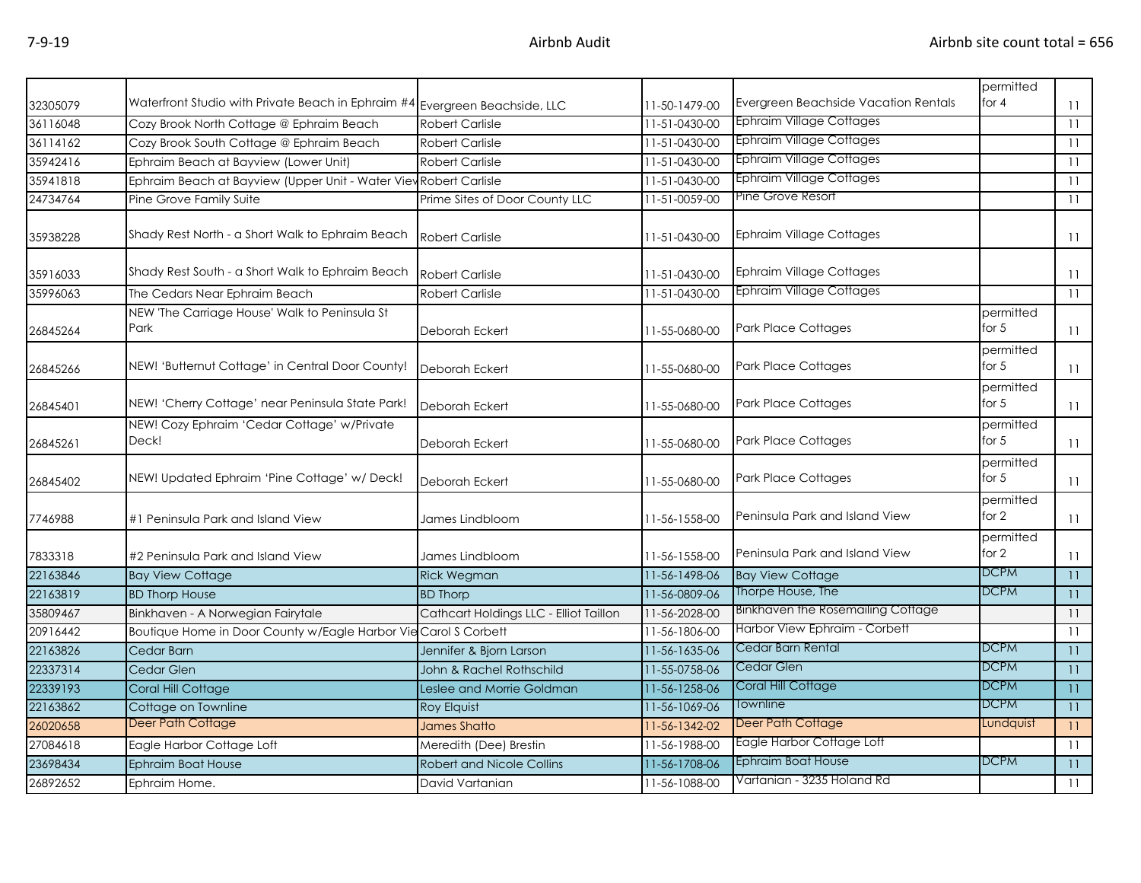| 32305079 | Waterfront Studio with Private Beach in Ephraim $#4$ Evergreen Beachside, LLC |                                        | 11-50-1479-00 | Evergreen Beachside Vacation Rentals | permitted<br>for $4$ | 11  |
|----------|-------------------------------------------------------------------------------|----------------------------------------|---------------|--------------------------------------|----------------------|-----|
| 36116048 | Cozy Brook North Cottage @ Ephraim Beach                                      | <b>Robert Carlisle</b>                 | 11-51-0430-00 | <b>Ephraim Village Cottages</b>      |                      | 11  |
| 36114162 | Cozy Brook South Cottage @ Ephraim Beach                                      | <b>Robert Carlisle</b>                 | 11-51-0430-00 | <b>Ephraim Village Cottages</b>      |                      | 11  |
| 35942416 | Ephraim Beach at Bayview (Lower Unit)                                         | <b>Robert Carlisle</b>                 | 11-51-0430-00 | <b>Ephraim Village Cottages</b>      |                      | 11  |
| 35941818 | Ephraim Beach at Bayview (Upper Unit - Water View Robert Carlisle             |                                        | 11-51-0430-00 | <b>Ephraim Village Cottages</b>      |                      | 11  |
| 24734764 | Pine Grove Family Suite                                                       | Prime Sites of Door County LLC         | 11-51-0059-00 | Pine Grove Resort                    |                      | 11  |
| 35938228 | Shady Rest North - a Short Walk to Ephraim Beach                              | <b>Robert Carlisle</b>                 | 11-51-0430-00 | <b>Ephraim Village Cottages</b>      |                      | 11  |
| 35916033 | Shady Rest South - a Short Walk to Ephraim Beach                              | <b>Robert Carlisle</b>                 | 11-51-0430-00 | <b>Ephraim Village Cottages</b>      |                      | 11  |
| 35996063 | The Cedars Near Ephraim Beach                                                 | <b>Robert Carlisle</b>                 | 11-51-0430-00 | <b>Ephraim Village Cottages</b>      |                      | 11  |
| 26845264 | NEW 'The Carriage House' Walk to Peninsula St<br>Park                         | Deborah Eckert                         | 11-55-0680-00 | <b>Park Place Cottages</b>           | permitted<br>for $5$ | 11  |
| 26845266 | NEW! 'Butternut Cottage' in Central Door County!                              | Deborah Eckert                         | 11-55-0680-00 | <b>Park Place Cottages</b>           | permitted<br>for $5$ | 11  |
| 26845401 | NEW! 'Cherry Cottage' near Peninsula State Park!                              | Deborah Eckert                         | 11-55-0680-00 | Park Place Cottages                  | permitted<br>for $5$ | 11  |
| 26845261 | NEW! Cozy Ephraim 'Cedar Cottage' w/Private<br>Deck!                          | Deborah Eckert                         | 11-55-0680-00 | <b>Park Place Cottages</b>           | permitted<br>for $5$ | 11  |
| 26845402 | NEW! Updated Ephraim 'Pine Cottage' w/ Deck!                                  | Deborah Eckert                         | 11-55-0680-00 | <b>Park Place Cottages</b>           | permitted<br>for $5$ | 11  |
| 7746988  | #1 Peninsula Park and Island View                                             | James Lindbloom                        | 11-56-1558-00 | Peninsula Park and Island View       | permitted<br>for 2   | 11  |
| 7833318  | #2 Peninsula Park and Island View                                             | James Lindbloom                        | 11-56-1558-00 | Peninsula Park and Island View       | permitted<br>for $2$ | 11  |
| 22163846 | <b>Bay View Cottage</b>                                                       | <b>Rick Wegman</b>                     | 11-56-1498-06 | <b>Bay View Cottage</b>              | <b>DCPM</b>          | 11  |
| 22163819 | <b>BD Thorp House</b>                                                         | <b>BD Thorp</b>                        | 11-56-0809-06 | Thorpe House, The                    | <b>DCPM</b>          | 11  |
| 35809467 | Binkhaven - A Norwegian Fairytale                                             | Cathcart Holdings LLC - Elliot Taillon | 11-56-2028-00 | Binkhaven the Rosemailing Cottage    |                      | 11  |
| 20916442 | Boutique Home in Door County w/Eagle Harbor Vie Carol S Corbett               |                                        | 11-56-1806-00 | Harbor View Ephraim - Corbett        |                      | -11 |
| 22163826 | Cedar Barn                                                                    | Jennifer & Bjorn Larson                | 11-56-1635-06 | Cedar Barn Rental                    | <b>DCPM</b>          | 11  |
| 22337314 | Cedar Glen                                                                    | John & Rachel Rothschild               | 11-55-0758-06 | Cedar Glen                           | <b>DCPM</b>          | 11  |
| 22339193 | Coral Hill Cottage                                                            | Leslee and Morrie Goldman              | 11-56-1258-06 | Coral Hill Cottage                   | <b>DCPM</b>          | 11  |
| 22163862 | Cottage on Townline                                                           | <b>Roy Elquist</b>                     | 11-56-1069-06 | Townline                             | <b>DCPM</b>          | 11  |
| 26020658 | <b>Deer Path Cottage</b>                                                      | <b>James Shatto</b>                    | 11-56-1342-02 | Deer Path Cottage                    | Lundquist            | 11  |
| 27084618 | Eagle Harbor Cottage Loft                                                     | Meredith (Dee) Brestin                 | 11-56-1988-00 | Eagle Harbor Cottage Loft            |                      | 11  |
| 23698434 | Ephraim Boat House                                                            | <b>Robert and Nicole Collins</b>       | 11-56-1708-06 | Ephraim Boat House                   | <b>DCPM</b>          | 11  |
| 26892652 | Ephraim Home.                                                                 | David Vartanian                        | 11-56-1088-00 | Vartanian - 3235 Holand Rd           |                      | 11  |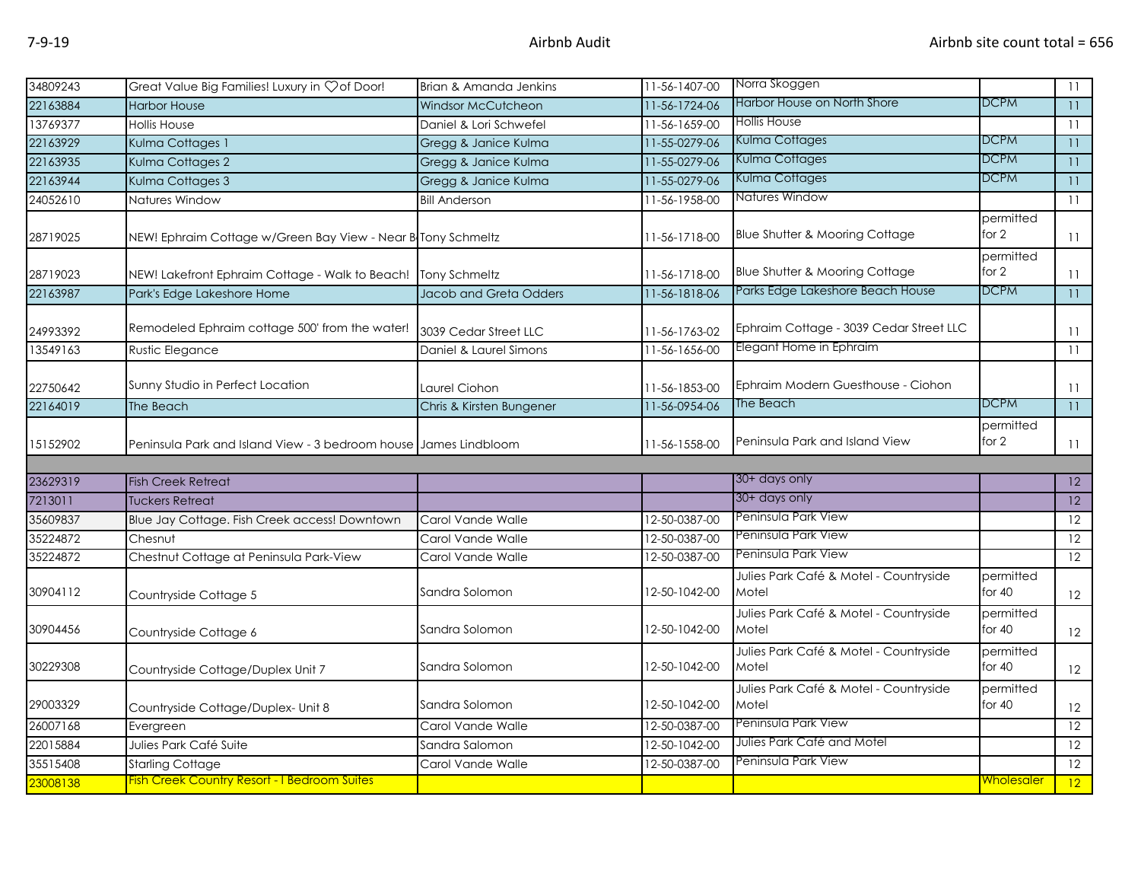| 34809243 | Great Value Big Families! Luxury in Çof Door!                    | Brian & Amanda Jenkins    | 11-56-1407-00 | Norra Skoggen                                   |                       | 11              |
|----------|------------------------------------------------------------------|---------------------------|---------------|-------------------------------------------------|-----------------------|-----------------|
| 22163884 | <b>Harbor House</b>                                              | <b>Windsor McCutcheon</b> | 11-56-1724-06 | Harbor House on North Shore                     | <b>DCPM</b>           | 11              |
| 13769377 | <b>Hollis House</b>                                              | Daniel & Lori Schwefel    | 11-56-1659-00 | <b>Hollis House</b>                             |                       | 11              |
| 22163929 | Kulma Cottages 1                                                 | Gregg & Janice Kulma      | 11-55-0279-06 | <b>Kulma Cottages</b>                           | <b>DCPM</b>           | 11              |
| 22163935 | Kulma Cottages 2                                                 | Gregg & Janice Kulma      | 11-55-0279-06 | Kulma Cottages                                  | <b>DCPM</b>           | 11              |
| 22163944 | Kulma Cottages 3                                                 | Gregg & Janice Kulma      | 11-55-0279-06 | Kulma Cottages                                  | <b>DCPM</b>           | 11              |
| 24052610 | Natures Window                                                   | <b>Bill Anderson</b>      | 11-56-1958-00 | Natures Window                                  |                       | 11              |
| 28719025 | NEW! Ephraim Cottage w/Green Bay View - Near B Tony Schmeltz     |                           | 11-56-1718-00 | Blue Shutter & Mooring Cottage                  | permitted<br>for 2    | 11              |
| 28719023 | NEW! Lakefront Ephraim Cottage - Walk to Beach!                  | Tony Schmeltz             | 11-56-1718-00 | Blue Shutter & Mooring Cottage                  | permitted<br>for 2    | 11              |
| 22163987 | Park's Edge Lakeshore Home                                       | Jacob and Greta Odders    | 11-56-1818-06 | Parks Edge Lakeshore Beach House                | <b>DCPM</b>           | $\overline{11}$ |
| 24993392 | Remodeled Ephraim cottage 500' from the water!                   | 3039 Cedar Street LLC     | 11-56-1763-02 | Ephraim Cottage - 3039 Cedar Street LLC         |                       | 11              |
| 13549163 | Rustic Elegance                                                  | Daniel & Laurel Simons    | 11-56-1656-00 | Elegant Home in Ephraim                         |                       | 11              |
| 22750642 | Sunny Studio in Perfect Location                                 | Laurel Ciohon             | 11-56-1853-00 | Ephraim Modern Guesthouse - Ciohon              |                       | 11              |
| 22164019 | The Beach                                                        | Chris & Kirsten Bungener  | 11-56-0954-06 | The Beach                                       | <b>DCPM</b>           | 11              |
| 15152902 | Peninsula Park and Island View - 3 bedroom house James Lindbloom |                           | 11-56-1558-00 | Peninsula Park and Island View                  | permitted<br>for 2    | 11              |
|          |                                                                  |                           |               |                                                 |                       |                 |
| 23629319 | <b>Fish Creek Retreat</b>                                        |                           |               | 30+ days only                                   |                       | $\overline{12}$ |
| 7213011  | <b>Tuckers Retreat</b>                                           |                           |               | 30+ days only                                   |                       | 12              |
| 35609837 | Blue Jay Cottage. Fish Creek access! Downtown                    | Carol Vande Walle         | 12-50-0387-00 | Peninsula Park View                             |                       | 12              |
| 35224872 | Chesnut                                                          | Carol Vande Walle         | 12-50-0387-00 | Peninsula Park View                             |                       | 12              |
| 35224872 | Chestnut Cottage at Peninsula Park-View                          | Carol Vande Walle         | 12-50-0387-00 | Peninsula Park View                             |                       | $\overline{12}$ |
| 30904112 | Countryside Cottage 5                                            | Sandra Solomon            | 12-50-1042-00 | Julies Park Café & Motel - Countryside<br>Motel | permitted<br>for $40$ | 12              |
| 30904456 | Countryside Cottage 6                                            | Sandra Solomon            | 12-50-1042-00 | Julies Park Café & Motel - Countryside<br>Motel | permitted<br>for 40   | 12              |
| 30229308 | Countryside Cottage/Duplex Unit 7                                | Sandra Solomon            | 12-50-1042-00 | Julies Park Café & Motel - Countryside<br>Motel | permitted<br>for $40$ | 12              |
| 29003329 | Countryside Cottage/Duplex- Unit 8                               | Sandra Solomon            | 12-50-1042-00 | Julies Park Café & Motel - Countryside<br>Motel | permitted<br>for $40$ | 12              |
| 26007168 | Evergreen                                                        | Carol Vande Walle         | 12-50-0387-00 | Peninsula Park View                             |                       | $\overline{12}$ |
| 22015884 | Julies Park Café Suite                                           | Sandra Salomon            | 12-50-1042-00 | Julies Park Café and Motel                      |                       | $\overline{12}$ |
| 35515408 | <b>Starling Cottage</b>                                          | Carol Vande Walle         | 12-50-0387-00 | Peninsula Park View                             |                       | 12              |
| 23008138 | <b>Fish Creek Country Resort - I Bedroom Suites</b>              |                           |               |                                                 | <u>Wholesaler</u>     | $ 12\rangle$    |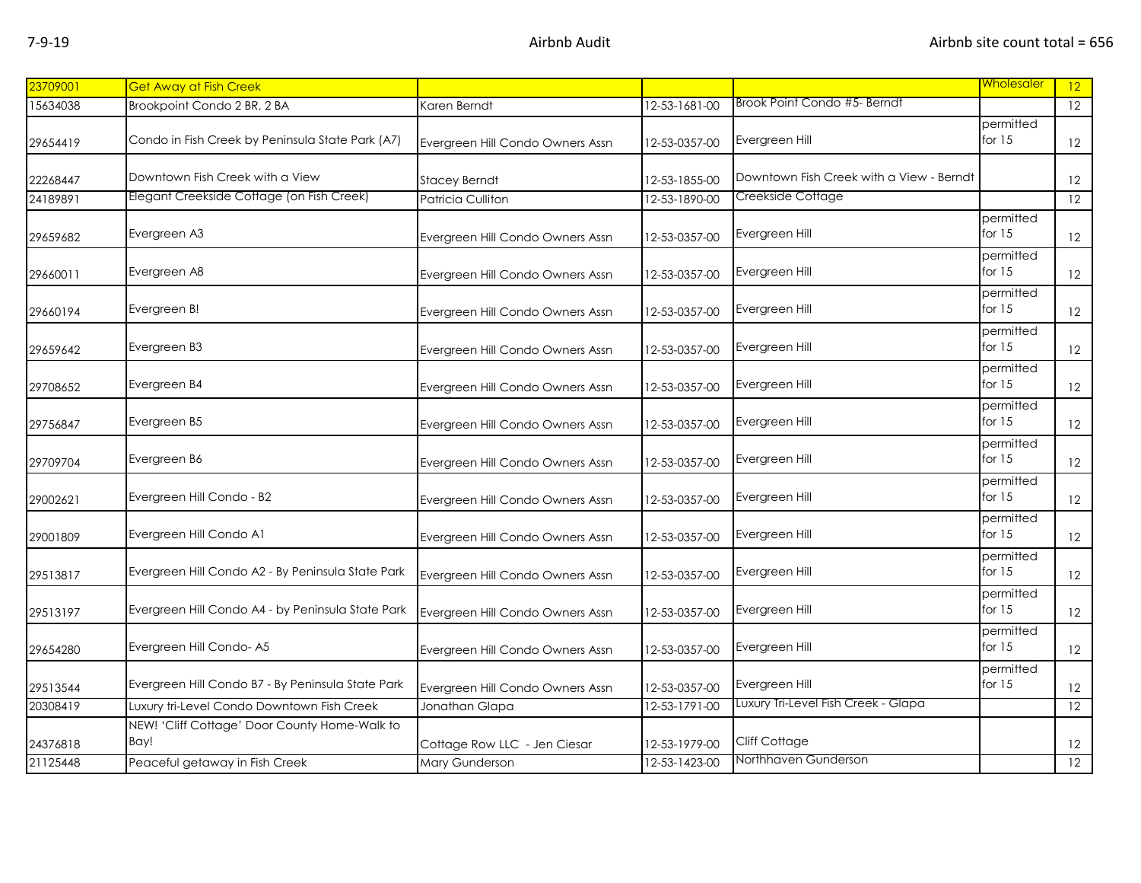| 23709001             | <b>Get Away at Fish Creek</b>                                                               |                                  |                                |                                          | Wholesaler            | 12                    |
|----------------------|---------------------------------------------------------------------------------------------|----------------------------------|--------------------------------|------------------------------------------|-----------------------|-----------------------|
| 15634038             | Brookpoint Condo 2 BR, 2 BA                                                                 | Karen Berndt                     | 12-53-1681-00                  | Brook Point Condo #5- Berndt             |                       | $\overline{12}$       |
|                      |                                                                                             |                                  |                                |                                          | permitted             |                       |
| 29654419             | Condo in Fish Creek by Peninsula State Park (A7)                                            | Evergreen Hill Condo Owners Assn | 12-53-0357-00                  | Evergreen Hill                           | for $15$              | 12                    |
|                      |                                                                                             |                                  |                                |                                          |                       |                       |
| 22268447             | Downtown Fish Creek with a View                                                             | <b>Stacey Berndt</b>             | 12-53-1855-00                  | Downtown Fish Creek with a View - Berndt |                       | 12                    |
| 24189891             | Elegant Creekside Cottage (on Fish Creek)                                                   | Patricia Culliton                | 12-53-1890-00                  | Creekside Cottage                        |                       | 12                    |
|                      |                                                                                             |                                  |                                |                                          | permitted             |                       |
| 29659682             | Evergreen A3                                                                                | Evergreen Hill Condo Owners Assn | 12-53-0357-00                  | Evergreen Hill                           | for $15$              | 12                    |
|                      |                                                                                             |                                  |                                |                                          | permitted             |                       |
| 29660011             | Evergreen A8                                                                                | Evergreen Hill Condo Owners Assn | 12-53-0357-00                  | Evergreen Hill                           | for $15$              | 12                    |
|                      |                                                                                             |                                  |                                |                                          | permitted             |                       |
| 29660194             | Evergreen B!                                                                                | Evergreen Hill Condo Owners Assn | 12-53-0357-00                  | Evergreen Hill                           | for $15$              | 12                    |
|                      |                                                                                             |                                  |                                |                                          | permitted             |                       |
| 29659642             | Evergreen B3                                                                                | Evergreen Hill Condo Owners Assn | 12-53-0357-00                  | Evergreen Hill                           | for $15$              | 12                    |
|                      |                                                                                             |                                  |                                |                                          | permitted             |                       |
| 29708652             | Evergreen B4                                                                                | Evergreen Hill Condo Owners Assn | 12-53-0357-00                  | Evergreen Hill                           | for $15$              | 12                    |
|                      |                                                                                             |                                  |                                |                                          | permitted             |                       |
| 29756847             | Evergreen B5                                                                                | Evergreen Hill Condo Owners Assn | 12-53-0357-00                  | Evergreen Hill                           | for $15$              | 12                    |
|                      |                                                                                             |                                  |                                |                                          | permitted<br>for $15$ |                       |
| 29709704             | Evergreen B6                                                                                | Evergreen Hill Condo Owners Assn | 12-53-0357-00                  | Evergreen Hill                           |                       | 12                    |
|                      | Evergreen Hill Condo - B2                                                                   |                                  |                                |                                          | permitted<br>for $15$ |                       |
| 29002621             |                                                                                             | Evergreen Hill Condo Owners Assn | 12-53-0357-00                  | Evergreen Hill                           |                       | 12                    |
|                      | Evergreen Hill Condo A1                                                                     |                                  |                                | Evergreen Hill                           | permitted<br>for $15$ |                       |
| 29001809             |                                                                                             | Evergreen Hill Condo Owners Assn | 12-53-0357-00                  |                                          |                       | 12                    |
|                      | Evergreen Hill Condo A2 - By Peninsula State Park                                           |                                  |                                | Evergreen Hill                           | permitted<br>for $15$ |                       |
| 29513817             |                                                                                             | Evergreen Hill Condo Owners Assn | 12-53-0357-00                  |                                          |                       | 12                    |
|                      | Evergreen Hill Condo A4 - by Peninsula State Park                                           |                                  |                                | Evergreen Hill                           | permitted<br>for $15$ |                       |
| 29513197             |                                                                                             | Evergreen Hill Condo Owners Assn | 12-53-0357-00                  |                                          |                       | 12                    |
|                      | Evergreen Hill Condo-A5                                                                     |                                  |                                | Evergreen Hill                           | permitted<br>for $15$ |                       |
| 29654280             |                                                                                             | Evergreen Hill Condo Owners Assn | 12-53-0357-00                  |                                          |                       | 12                    |
|                      | Evergreen Hill Condo B7 - By Peninsula State Park                                           |                                  |                                | Evergreen Hill                           | permitted<br>for $15$ |                       |
| 29513544<br>20308419 |                                                                                             | Evergreen Hill Condo Owners Assn | 12-53-0357-00<br>12-53-1791-00 | Luxury Tri-Level Fish Creek - Glapa      |                       | 12<br>$\overline{12}$ |
|                      | Luxury tri-Level Condo Downtown Fish Creek<br>NEW! 'Cliff Cottage' Door County Home-Walk to | Jonathan Glapa                   |                                |                                          |                       |                       |
|                      | Bay!                                                                                        |                                  |                                | Cliff Cottage                            |                       |                       |
| 24376818<br>21125448 |                                                                                             | Cottage Row LLC - Jen Ciesar     | 12-53-1979-00                  | Northhaven Gunderson                     |                       | 12                    |
|                      | Peaceful getaway in Fish Creek                                                              | <b>Mary Gunderson</b>            | 12-53-1423-00                  |                                          |                       | $\overline{12}$       |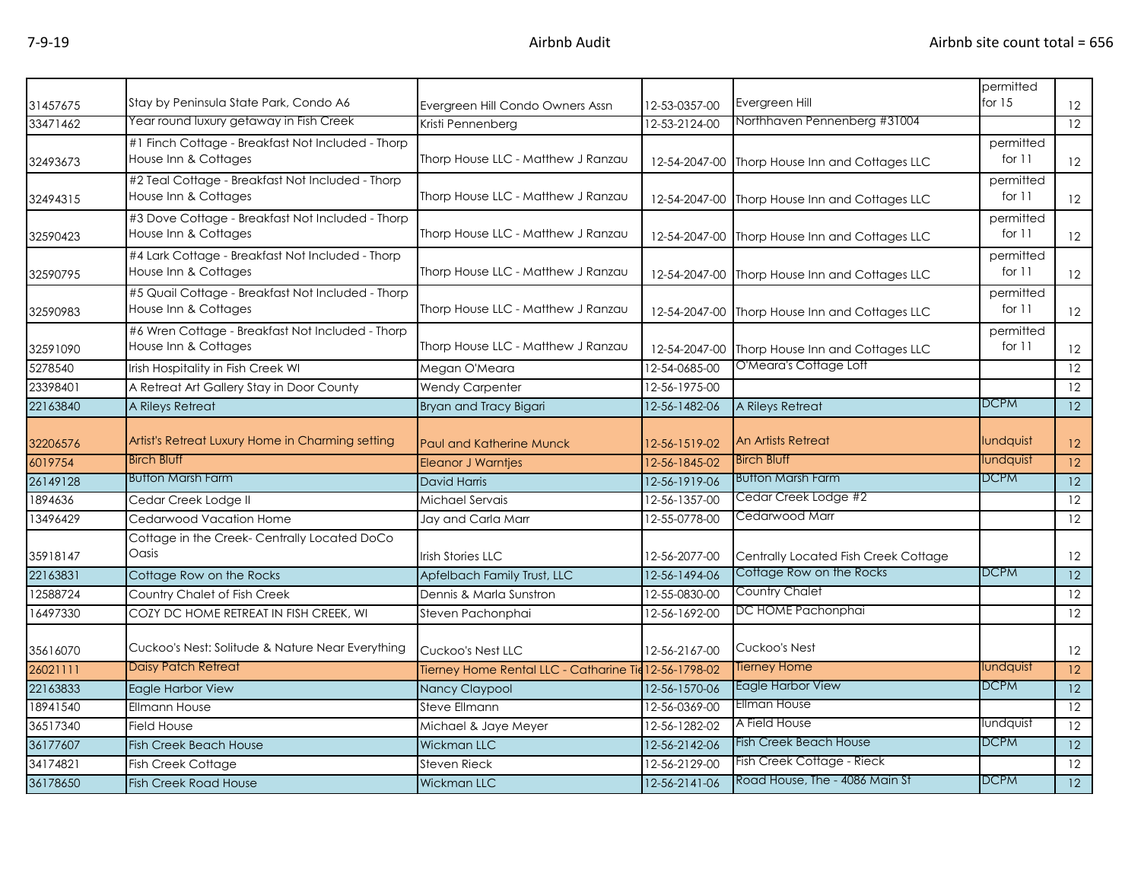| 31457675 | Stay by Peninsula State Park, Condo A6                                    | Evergreen Hill Condo Owners Assn                      | 12-53-0357-00 | Evergreen Hill                                 | permitted<br>for $15$ | 12 <sup>2</sup>   |
|----------|---------------------------------------------------------------------------|-------------------------------------------------------|---------------|------------------------------------------------|-----------------------|-------------------|
| 33471462 | Year round luxury getaway in Fish Creek                                   | Kristi Pennenberg                                     | 12-53-2124-00 | Northhaven Pennenberg #31004                   |                       | 12                |
| 32493673 | #1 Finch Cottage - Breakfast Not Included - Thorp<br>House Inn & Cottages | Thorp House LLC - Matthew J Ranzau                    | 12-54-2047-00 | Thorp House Inn and Cottages LLC               | permitted<br>for 11   | $12 \overline{ }$ |
| 32494315 | #2 Teal Cottage - Breakfast Not Included - Thorp<br>House Inn & Cottages  | Thorp House LLC - Matthew J Ranzau                    |               | 12-54-2047-00 Thorp House Inn and Cottages LLC | permitted<br>for $11$ | 12                |
| 32590423 | #3 Dove Cottage - Breakfast Not Included - Thorp<br>House Inn & Cottages  | Thorp House LLC - Matthew J Ranzau                    |               | 12-54-2047-00 Thorp House Inn and Cottages LLC | permitted<br>for 11   | 12                |
| 32590795 | #4 Lark Cottage - Breakfast Not Included - Thorp<br>House Inn & Cottages  | Thorp House LLC - Matthew J Ranzau                    |               | 12-54-2047-00 Thorp House Inn and Cottages LLC | permitted<br>for 11   | 12                |
| 32590983 | #5 Quail Cottage - Breakfast Not Included - Thorp<br>House Inn & Cottages | Thorp House LLC - Matthew J Ranzau                    |               | 12-54-2047-00 Thorp House Inn and Cottages LLC | permitted<br>for 11   | 12 <sup>2</sup>   |
| 32591090 | #6 Wren Cottage - Breakfast Not Included - Thorp<br>House Inn & Cottages  | Thorp House LLC - Matthew J Ranzau                    | 12-54-2047-00 | Thorp House Inn and Cottages LLC               | permitted<br>for 11   | 12 <sup>2</sup>   |
| 5278540  | Irish Hospitality in Fish Creek WI                                        | Megan O'Meara                                         | 12-54-0685-00 | O'Meara's Cottage Loft                         |                       | $\overline{12}$   |
| 23398401 | A Retreat Art Gallery Stay in Door County                                 | <b>Wendy Carpenter</b>                                | 12-56-1975-00 |                                                |                       | 12                |
| 22163840 | A Rileys Retreat                                                          | Bryan and Tracy Bigari                                | 12-56-1482-06 | A Rileys Retreat                               | <b>DCPM</b>           | 12                |
| 32206576 | Artist's Retreat Luxury Home in Charming setting                          | Paul and Katherine Munck                              | 12-56-1519-02 | An Artists Retreat                             | lundquist             | 12 <sup>2</sup>   |
| 6019754  | <b>Birch Bluff</b>                                                        | <b>Eleanor J Warntjes</b>                             | 12-56-1845-02 | <b>Birch Bluff</b>                             | lundquist             | 12                |
| 26149128 | <b>Button Marsh Farm</b>                                                  | <b>David Harris</b>                                   | 12-56-1919-06 | <b>Button Marsh Farm</b>                       | <b>DCPM</b>           | $\overline{12}$   |
| 1894636  | Cedar Creek Lodge II                                                      | Michael Servais                                       | 12-56-1357-00 | Cedar Creek Lodge #2                           |                       | $\overline{12}$   |
| 13496429 | Cedarwood Vacation Home                                                   | Jay and Carla Marr                                    | 12-55-0778-00 | Cedarwood Marr                                 |                       | 12                |
| 35918147 | Cottage in the Creek- Centrally Located DoCo<br>Oasis                     | Irish Stories LLC                                     | 12-56-2077-00 | Centrally Located Fish Creek Cottage           |                       | 12                |
| 22163831 | Cottage Row on the Rocks                                                  | Apfelbach Family Trust, LLC                           | 12-56-1494-06 | Cottage Row on the Rocks                       | <b>DCPM</b>           | 12                |
| 12588724 | Country Chalet of Fish Creek                                              | Dennis & Marla Sunstron                               | 12-55-0830-00 | <b>Country Chalet</b>                          |                       | 12                |
| 16497330 | COZY DC HOME RETREAT IN FISH CREEK, WI                                    | Steven Pachonphai                                     | 12-56-1692-00 | DC HOME Pachonphai                             |                       | 12                |
| 35616070 | Cuckoo's Nest: Solitude & Nature Near Everything                          | Cuckoo's Nest LLC                                     | 12-56-2167-00 | Cuckoo's Nest                                  |                       | 12                |
| 26021111 | <b>Daisy Patch Retreat</b>                                                | Tierney Home Rental LLC - Catharine Tie 12-56-1798-02 |               | Tierney Home                                   | lundquist             | 12                |
| 22163833 | <b>Eagle Harbor View</b>                                                  | Nancy Claypool                                        | 12-56-1570-06 | Eagle Harbor View                              | <b>DCPM</b>           | 12                |
| 18941540 | <b>Ellmann House</b>                                                      | Steve Ellmann                                         | 12-56-0369-00 | <b>Ellman House</b>                            |                       | 12                |
| 36517340 | <b>Field House</b>                                                        | Michael & Jaye Meyer                                  | 12-56-1282-02 | A Field House                                  | lundquist             | 12                |
| 36177607 | <b>Fish Creek Beach House</b>                                             | <b>Wickman LLC</b>                                    | 12-56-2142-06 | <b>Fish Creek Beach House</b>                  | <b>DCPM</b>           | 12                |
| 34174821 | Fish Creek Cottage                                                        | <b>Steven Rieck</b>                                   | 12-56-2129-00 | Fish Creek Cottage - Rieck                     |                       | 12                |
| 36178650 | <b>Fish Creek Road House</b>                                              | <b>Wickman LLC</b>                                    | 12-56-2141-06 | Road House, The - 4086 Main St                 | <b>DCPM</b>           | 12                |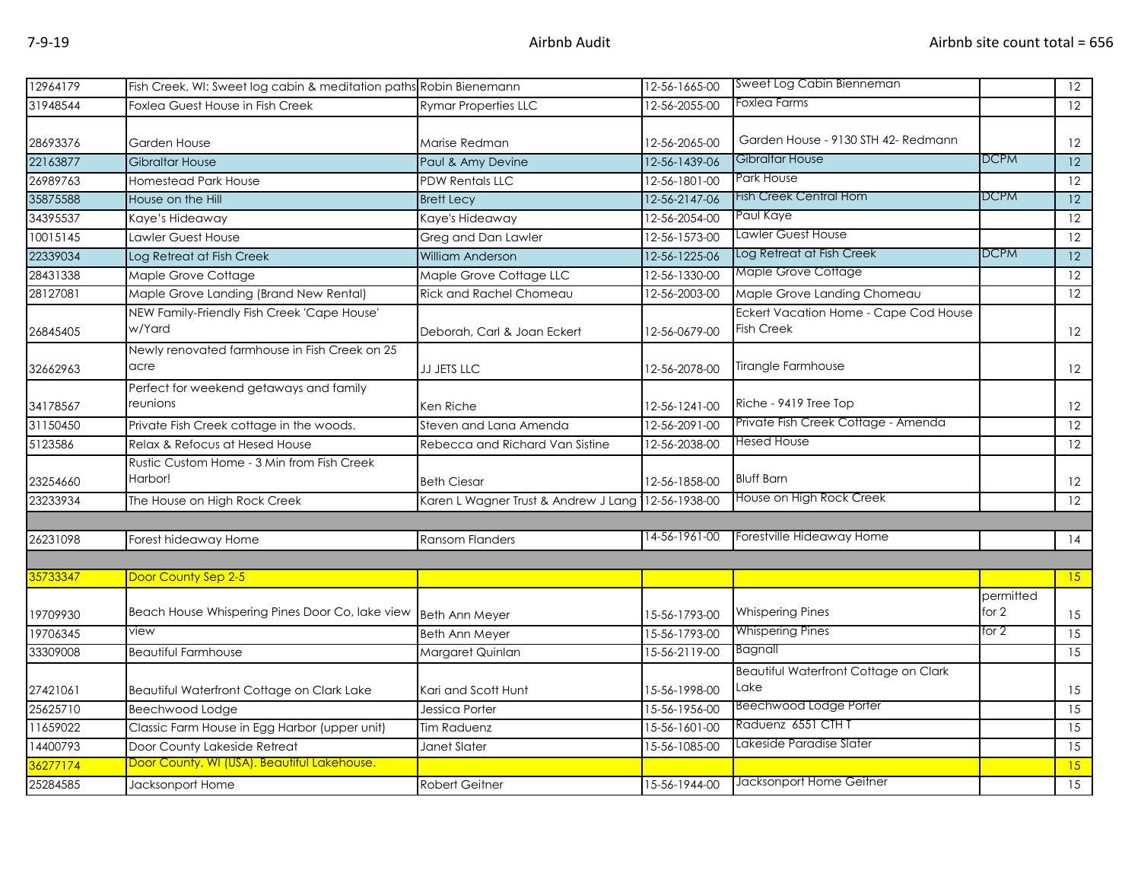| 12964179 | Fish Creek, WI: Sweet log cabin & meditation paths Robin Bienemann |                                      | 12-56-1665-00 | Sweet Log Cabin Bienneman             |                    | 12              |
|----------|--------------------------------------------------------------------|--------------------------------------|---------------|---------------------------------------|--------------------|-----------------|
| 31948544 | Foxlea Guest House in Fish Creek                                   | <b>Rymar Properties LLC</b>          | 12-56-2055-00 | Foxlea Farms                          |                    | 12              |
|          |                                                                    |                                      |               |                                       |                    |                 |
| 28693376 | Garden House                                                       | Marise Redman                        | 12-56-2065-00 | Garden House - 9130 STH 42- Redmann   |                    | 12              |
| 22163877 | <b>Gibraltar House</b>                                             | Paul & Amy Devine                    | 12-56-1439-06 | Gibraltar House                       | <b>DCPM</b>        | 12              |
| 26989763 | Homestead Park House                                               | <b>PDW Rentals LLC</b>               | 12-56-1801-00 | <b>Park House</b>                     |                    | $\overline{12}$ |
| 35875588 | House on the Hill                                                  | <b>Brett Lecy</b>                    | 12-56-2147-06 | Fish Creek Central Hom                | <b>DCPM</b>        | $\overline{12}$ |
| 34395537 | Kaye's Hideaway                                                    | Kaye's Hideaway                      | 12-56-2054-00 | Paul Kaye                             |                    | $\overline{12}$ |
| 10015145 | Lawler Guest House                                                 | Greg and Dan Lawler                  | 12-56-1573-00 | Lawler Guest House                    |                    | $\overline{12}$ |
| 22339034 | Log Retreat at Fish Creek                                          | <b>William Anderson</b>              | 12-56-1225-06 | Log Retreat at Fish Creek             | <b>DCPM</b>        | $\overline{12}$ |
| 28431338 | Maple Grove Cottage                                                | Maple Grove Cottage LLC              | 12-56-1330-00 | Maple Grove Cottage                   |                    | 12              |
| 28127081 | Maple Grove Landing (Brand New Rental)                             | Rick and Rachel Chomeau              | 12-56-2003-00 | Maple Grove Landing Chomeau           |                    | 12              |
|          | NEW Family-Friendly Fish Creek 'Cape House'                        |                                      |               | Eckert Vacation Home - Cape Cod House |                    |                 |
| 26845405 | w/Yard                                                             | Deborah, Carl & Joan Eckert          | 12-56-0679-00 | <b>Fish Creek</b>                     |                    | 12              |
|          | Newly renovated farmhouse in Fish Creek on 25                      |                                      |               |                                       |                    |                 |
| 32662963 | acre                                                               | JJ JETS LLC                          | 12-56-2078-00 | Tirangle Farmhouse                    |                    | 12              |
|          | Perfect for weekend getaways and family                            |                                      |               |                                       |                    |                 |
| 34178567 | reunions                                                           | Ken Riche                            | 12-56-1241-00 | Riche - 9419 Tree Top                 |                    | 12              |
| 31150450 | Private Fish Creek cottage in the woods.                           | Steven and Lana Amenda               | 12-56-2091-00 | Private Fish Creek Cottage - Amenda   |                    | 12              |
| 5123586  | Relax & Refocus at Hesed House                                     | Rebecca and Richard Van Sistine      | 12-56-2038-00 | Hesed House                           |                    | 12              |
|          | Rustic Custom Home - 3 Min from Fish Creek                         |                                      |               |                                       |                    |                 |
| 23254660 | Harbor!                                                            | <b>Beth Ciesar</b>                   | 12-56-1858-00 | <b>Bluff Barn</b>                     |                    | 12              |
| 23233934 | The House on High Rock Creek                                       | Karen L Wagner Trust & Andrew J Lang | 12-56-1938-00 | House on High Rock Creek              |                    | 12              |
|          |                                                                    |                                      |               |                                       |                    |                 |
| 26231098 | Forest hideaway Home                                               | <b>Ransom Flanders</b>               | 14-56-1961-00 | Forestville Hideaway Home             |                    | 14              |
|          |                                                                    |                                      |               |                                       |                    |                 |
| 35733347 | Door County Sep 2-5                                                |                                      |               |                                       |                    | 15              |
| 19709930 | Beach House Whispering Pines Door Co, lake view                    | <b>Beth Ann Meyer</b>                | 15-56-1793-00 | <b>Whispering Pines</b>               | permitted<br>for 2 | 15              |
| 19706345 | view                                                               | Beth Ann Meyer                       | 15-56-1793-00 | <b>Whispering Pines</b>               | for 2              | 15              |
| 33309008 | <b>Beautiful Farmhouse</b>                                         | Margaret Quinlan                     | 15-56-2119-00 | Bagnall                               |                    | 15              |
|          |                                                                    |                                      |               | Beautiful Waterfront Cottage on Clark |                    |                 |
| 27421061 | Beautiful Waterfront Cottage on Clark Lake                         | Kari and Scott Hunt                  | 15-56-1998-00 | Lake                                  |                    | 15              |
| 25625710 | Beechwood Lodge                                                    | Jessica Porter                       | 15-56-1956-00 | <b>Beechwood Lodge Porter</b>         |                    | $\overline{15}$ |
| 11659022 | Classic Farm House in Egg Harbor (upper unit)                      | Tim Raduenz                          | 15-56-1601-00 | Raduenz 6551 CTHT                     |                    | 15              |
| 14400793 | Door County Lakeside Retreat                                       | Janet Slater                         | 15-56-1085-00 | Lakeside Paradise Slater              |                    | $\overline{15}$ |
| 36277174 | Door County, WI (USA). Beautiful Lakehouse.                        |                                      |               |                                       |                    | 15              |
| 25284585 | Jacksonport Home                                                   | <b>Robert Geitner</b>                | 15-56-1944-00 | Jacksonport Home Geitner              |                    | 15              |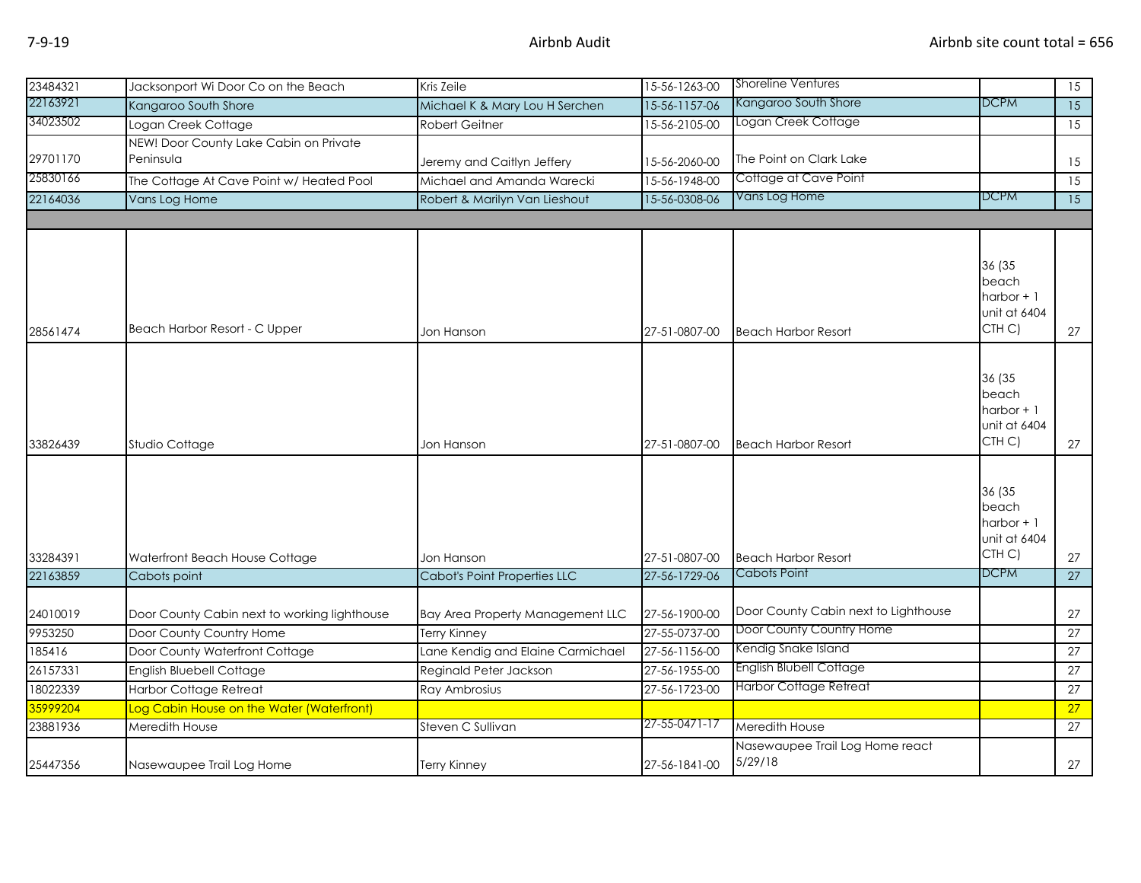| 23484321 | Jacksonport Wi Door Co on the Beach                 | Kris Zeile                          | 15-56-1263-00 | <b>Shoreline Ventures</b>                  |                                                          | 15              |
|----------|-----------------------------------------------------|-------------------------------------|---------------|--------------------------------------------|----------------------------------------------------------|-----------------|
| 22163921 | Kangaroo South Shore                                | Michael K & Mary Lou H Serchen      | 15-56-1157-06 | Kangaroo South Shore                       | DCPM                                                     | $\overline{15}$ |
| 34023502 | Logan Creek Cottage                                 | <b>Robert Geitner</b>               | 15-56-2105-00 | Logan Creek Cottage                        |                                                          | 15              |
| 29701170 | NEW! Door County Lake Cabin on Private<br>Peninsula | Jeremy and Caitlyn Jeffery          | 15-56-2060-00 | The Point on Clark Lake                    |                                                          | 15              |
| 25830166 | The Cottage At Cave Point w/ Heated Pool            | Michael and Amanda Warecki          | 15-56-1948-00 | Cottage at Cave Point                      |                                                          | $\overline{15}$ |
| 22164036 | Vans Log Home                                       | Robert & Marilyn Van Lieshout       | 15-56-0308-06 | Vans Log Home                              | <b>DCPM</b>                                              | $\overline{15}$ |
|          |                                                     |                                     |               |                                            |                                                          |                 |
|          |                                                     |                                     |               |                                            | 36 (35<br>beach<br>harbor $+1$<br>unit at 6404           |                 |
| 28561474 | Beach Harbor Resort - C Upper                       | Jon Hanson                          | 27-51-0807-00 | <b>Beach Harbor Resort</b>                 | CTH <sub>C</sub> )                                       | 27              |
| 33826439 | Studio Cottage                                      | Jon Hanson                          | 27-51-0807-00 | <b>Beach Harbor Resort</b>                 | 36 (35<br>beach<br>harbor $+1$<br>unit at 6404<br>CTH C) | 27              |
| 33284391 | Waterfront Beach House Cottage                      | Jon Hanson                          | 27-51-0807-00 | <b>Beach Harbor Resort</b>                 | 36 (35<br>beach<br>harbor $+1$<br>unit at 6404<br>CTH C) | 27              |
| 22163859 | Cabots point                                        | <b>Cabot's Point Properties LLC</b> | 27-56-1729-06 | Cabots Point                               | <b>DCPM</b>                                              | 27              |
| 24010019 | Door County Cabin next to working lighthouse        | Bay Area Property Management LLC    | 27-56-1900-00 | Door County Cabin next to Lighthouse       |                                                          | 27              |
| 9953250  | Door County Country Home                            | <b>Terry Kinney</b>                 | 27-55-0737-00 | Door County Country Home                   |                                                          | 27              |
| 185416   | Door County Waterfront Cottage                      | Lane Kendig and Elaine Carmichael   | 27-56-1156-00 | Kendig Snake Island                        |                                                          | $\overline{27}$ |
| 26157331 | English Bluebell Cottage                            | Reginald Peter Jackson              | 27-56-1955-00 | English Blubell Cottage                    |                                                          | 27              |
| 18022339 | <b>Harbor Cottage Retreat</b>                       | Ray Ambrosius                       | 27-56-1723-00 | Harbor Cottage Retreat                     |                                                          | $\overline{27}$ |
| 35999204 | Log Cabin House on the Water (Waterfront)           |                                     |               |                                            |                                                          | 27              |
| 23881936 | Meredith House                                      | Steven C Sullivan                   | 27-55-0471-17 | Meredith House                             |                                                          | 27              |
| 25447356 | Nasewaupee Trail Log Home                           | Terry Kinney                        | 27-56-1841-00 | Nasewaupee Trail Log Home react<br>5/29/18 |                                                          | 27              |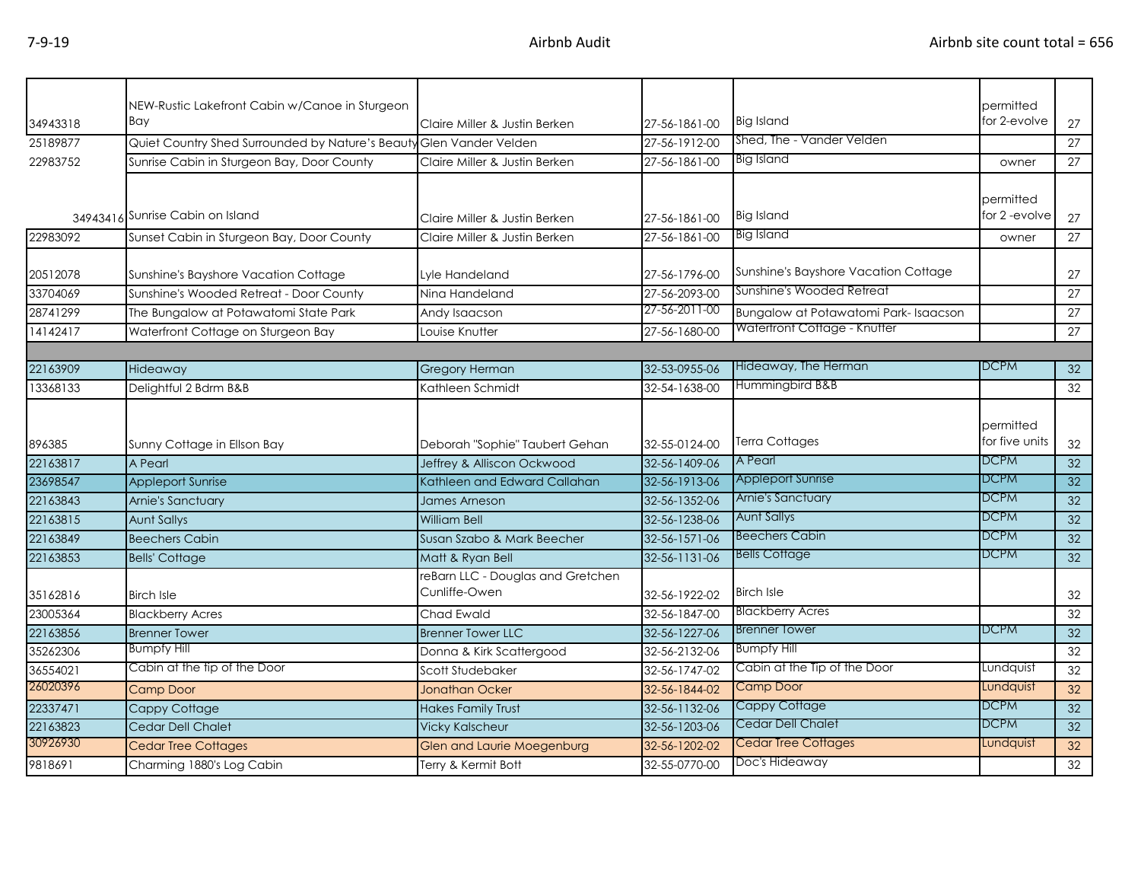|          | NEW-Rustic Lakefront Cabin w/Canoe in Sturgeon                      |                                                    |               |                                      | permitted                   |                 |
|----------|---------------------------------------------------------------------|----------------------------------------------------|---------------|--------------------------------------|-----------------------------|-----------------|
| 34943318 | Bay                                                                 | Claire Miller & Justin Berken                      | 27-56-1861-00 | <b>Big Island</b>                    | for 2-evolve                | 27              |
| 25189877 | Quiet Country Shed Surrounded by Nature's Beauty Glen Vander Velden |                                                    | 27-56-1912-00 | Shed, The - Vander Velden            |                             | 27              |
| 22983752 | Sunrise Cabin in Sturgeon Bay, Door County                          | Claire Miller & Justin Berken                      | 27-56-1861-00 | <b>Big Island</b>                    | owner                       | 27              |
|          | 34943416 Sunrise Cabin on Island                                    | Claire Miller & Justin Berken                      | 27-56-1861-00 | <b>Big Island</b>                    | permitted<br>for 2-evolve   | 27              |
| 22983092 | Sunset Cabin in Sturgeon Bay, Door County                           | Claire Miller & Justin Berken                      | 27-56-1861-00 | <b>Big Island</b>                    | owner                       | 27              |
| 20512078 | Sunshine's Bayshore Vacation Cottage                                | Lyle Handeland                                     | 27-56-1796-00 | Sunshine's Bayshore Vacation Cottage |                             | 27              |
| 33704069 | Sunshine's Wooded Retreat - Door County                             | Nina Handeland                                     | 27-56-2093-00 | Sunshine's Wooded Retreat            |                             | $\overline{27}$ |
| 28741299 | The Bungalow at Potawatomi State Park                               | Andy Isaacson                                      | 27-56-2011-00 | Bungalow at Potawatomi Park-Isaacson |                             | 27              |
| 14142417 | Waterfront Cottage on Sturgeon Bay                                  | Louise Knutter                                     | 27-56-1680-00 | Waterfront Cottage - Knutter         |                             | 27              |
|          |                                                                     |                                                    |               |                                      |                             |                 |
| 22163909 | Hideaway                                                            | <b>Gregory Herman</b>                              | 32-53-0955-06 | Hideaway, The Herman                 | <b>DCPM</b>                 | 32              |
| 13368133 | Delightful 2 Bdrm B&B                                               | Kathleen Schmidt                                   | 32-54-1638-00 | Hummingbird B&B                      |                             | 32              |
| 896385   | Sunny Cottage in Ellson Bay                                         | Deborah "Sophie" Taubert Gehan                     | 32-55-0124-00 | <b>Terra Cottages</b>                | permitted<br>for five units | 32              |
| 22163817 | A Pearl                                                             | Jeffrey & Alliscon Ockwood                         | 32-56-1409-06 | A Pearl                              | <b>DCPM</b>                 | 32              |
| 23698547 | <b>Appleport Sunrise</b>                                            | Kathleen and Edward Callahan                       | 32-56-1913-06 | <b>Appleport Sunrise</b>             | <b>DCPM</b>                 | $\overline{32}$ |
| 22163843 | Arnie's Sanctuary                                                   | James Arneson                                      | 32-56-1352-06 | <b>Arnie's Sanctuary</b>             | <b>DCPM</b>                 | 32              |
| 22163815 | <b>Aunt Sallys</b>                                                  | William Bell                                       | 32-56-1238-06 | <b>Aunt Sallys</b>                   | <b>DCPM</b>                 | 32              |
| 22163849 | <b>Beechers Cabin</b>                                               | Susan Szabo & Mark Beecher                         | 32-56-1571-06 | <b>Beechers Cabin</b>                | <b>DCPM</b>                 | 32              |
| 22163853 | <b>Bells' Cottage</b>                                               | Matt & Ryan Bell                                   | 32-56-1131-06 | <b>Bells Cottage</b>                 | <b>DCPM</b>                 | 32 <sup>2</sup> |
| 35162816 | <b>Birch Isle</b>                                                   | reBarn LLC - Douglas and Gretchen<br>Cunliffe-Owen | 32-56-1922-02 | <b>Birch Isle</b>                    |                             | 32              |
| 23005364 | <b>Blackberry Acres</b>                                             | Chad Ewald                                         | 32-56-1847-00 | <b>Blackberry Acres</b>              |                             | 32              |
| 22163856 | <b>Brenner Tower</b>                                                | <b>Brenner Tower LLC</b>                           | 32-56-1227-06 | <b>Brenner Tower</b>                 | <b>DCPM</b>                 | 32              |
| 35262306 | <b>Bumpfy Hill</b>                                                  | Donna & Kirk Scattergood                           | 32-56-2132-06 | <b>Bumpfy Hill</b>                   |                             | 32              |
| 36554021 | Cabin at the tip of the Door                                        | Scott Studebaker                                   | 32-56-1747-02 | Cabin at the Tip of the Door         | Lundquist                   | $\overline{32}$ |
| 26020396 | <b>Camp Door</b>                                                    | <b>Jonathan Ocker</b>                              | 32-56-1844-02 | Camp Door                            | Lundquist                   | 32              |
| 22337471 | Cappy Cottage                                                       | <b>Hakes Family Trust</b>                          | 32-56-1132-06 | Cappy Cottage                        | <b>DCPM</b>                 | 32              |
| 22163823 | Cedar Dell Chalet                                                   | <b>Vicky Kalscheur</b>                             | 32-56-1203-06 | <b>Cedar Dell Chalet</b>             | <b>DCPM</b>                 | 32              |
| 30926930 | <b>Cedar Tree Cottages</b>                                          | <b>Glen and Laurie Moegenburg</b>                  | 32-56-1202-02 | Cedar Tree Cottages                  | Lundquist                   | 32              |
| 9818691  | Charming 1880's Log Cabin                                           | Terry & Kermit Bott                                | 32-55-0770-00 | Doc's Hideaway                       |                             | 32              |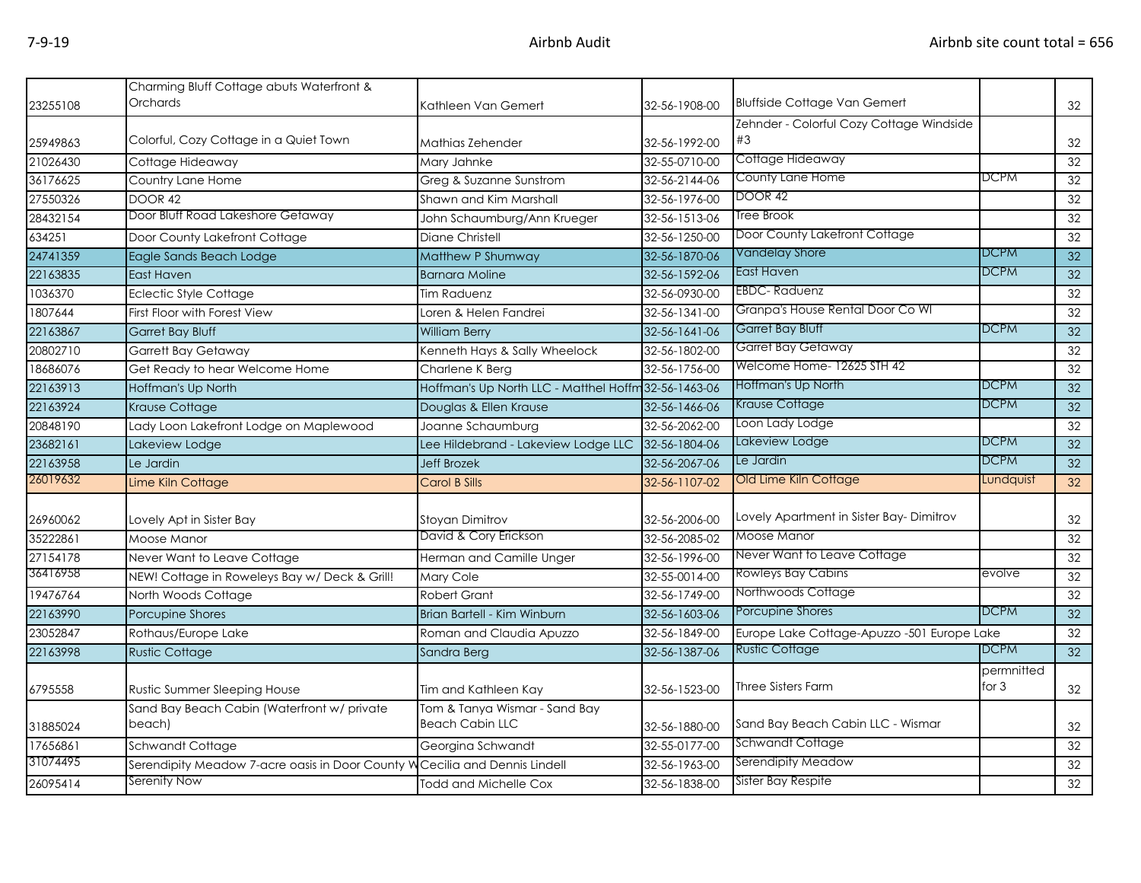| 23255108 | Charming Bluff Cottage abuts Waterfront &<br>Orchards | Kathleen Van Gemert                                     | 32-56-1908-00 | <b>Bluffside Cottage Van Gemert</b>         |                       | 32              |
|----------|-------------------------------------------------------|---------------------------------------------------------|---------------|---------------------------------------------|-----------------------|-----------------|
|          |                                                       |                                                         |               | Zehnder - Colorful Cozy Cottage Windside    |                       |                 |
| 25949863 | Colorful, Cozy Cottage in a Quiet Town                | Mathias Zehender                                        | 32-56-1992-00 | #3                                          |                       | 32              |
| 21026430 | Cottage Hideaway                                      | Mary Jahnke                                             | 32-55-0710-00 | Cottage Hideaway                            |                       | 32              |
| 36176625 | Country Lane Home                                     | Greg & Suzanne Sunstrom                                 | 32-56-2144-06 | County Lane Home                            | DCPM                  | 32              |
| 27550326 | <b>DOOR 42</b>                                        | Shawn and Kim Marshall                                  | 32-56-1976-00 | <b>DOOR 42</b>                              |                       | 32              |
| 28432154 | Door Bluff Road Lakeshore Getaway                     | John Schaumburg/Ann Krueger                             | 32-56-1513-06 | Tree Brook                                  |                       | 32              |
| 634251   | Door County Lakefront Cottage                         | Diane Christell                                         | 32-56-1250-00 | Door County Lakefront Cottage               |                       | 32              |
| 24741359 | Eagle Sands Beach Lodge                               | Matthew P Shumway                                       | 32-56-1870-06 | <b>Vandelay Shore</b>                       | <b>DCPM</b>           | 32              |
| 22163835 | <b>East Haven</b>                                     | <b>Barnara Moline</b>                                   | 32-56-1592-06 | East Haven                                  | <b>DCPM</b>           | 32              |
| 1036370  | <b>Eclectic Style Cottage</b>                         | Tim Raduenz                                             | 32-56-0930-00 | <b>EBDC-Raduenz</b>                         |                       | 32              |
| 1807644  | First Floor with Forest View                          | Loren & Helen Fandrei                                   | 32-56-1341-00 | Granpa's House Rental Door Co Wl            |                       | 32              |
| 22163867 | <b>Garret Bay Bluff</b>                               | <b>William Berry</b>                                    | 32-56-1641-06 | Garret Bay Bluff                            | <b>DCPM</b>           | 32              |
| 20802710 | <b>Garrett Bay Getaway</b>                            | Kenneth Hays & Sally Wheelock                           | 32-56-1802-00 | Garret Bay Getaway                          |                       | 32              |
| 18686076 | Get Ready to hear Welcome Home                        | Charlene K Berg                                         | 32-56-1756-00 | Welcome Home- 12625 STH 42                  |                       | $\overline{32}$ |
| 22163913 | Hoffman's Up North                                    | Hoffman's Up North LLC - Matthel Hoffm 32-56-1463-06    |               | Hoffman's Up North                          | <b>DCPM</b>           | 32              |
| 22163924 | <b>Krause Cottage</b>                                 | Douglas & Ellen Krause                                  | 32-56-1466-06 | Krause Cottage                              | <b>DCPM</b>           | 32              |
| 20848190 | Lady Loon Lakefront Lodge on Maplewood                | Joanne Schaumburg                                       | 32-56-2062-00 | Loon Lady Lodge                             |                       | 32              |
| 23682161 | Lakeview Lodge                                        | Lee Hildebrand - Lakeview Lodge LLC                     | 32-56-1804-06 | Lakeview Lodge                              | <b>DCPM</b>           | 32              |
| 22163958 | Le Jardin                                             | <b>Jeff Brozek</b>                                      | 32-56-2067-06 | Le Jardin                                   | <b>DCPM</b>           | 32              |
| 26019632 | Lime Kiln Cottage                                     | Carol B Sills                                           | 32-56-1107-02 | Old Lime Kiln Cottage                       | Lundquist             | 32              |
| 26960062 | Lovely Apt in Sister Bay                              | Stoyan Dimitrov                                         | 32-56-2006-00 | Lovely Apartment in Sister Bay-Dimitrov     |                       | 32              |
| 35222861 | Moose Manor                                           | David & Cory Erickson                                   | 32-56-2085-02 | Moose Manor                                 |                       | 32              |
| 27154178 | Never Want to Leave Cottage                           | Herman and Camille Unger                                | 32-56-1996-00 | Never Want to Leave Cottage                 |                       | 32              |
| 36416958 | NEW! Cottage in Roweleys Bay w/ Deck & Grill!         | Mary Cole                                               | 32-55-0014-00 | <b>Rowleys Bay Cabins</b>                   | evolve                | 32              |
| 19476764 | North Woods Cottage                                   | <b>Robert Grant</b>                                     | 32-56-1749-00 | Northwoods Cottage                          |                       | 32              |
| 22163990 | Porcupine Shores                                      | Brian Bartell - Kim Winburn                             | 32-56-1603-06 | Porcupine Shores                            | <b>DCPM</b>           | 32              |
| 23052847 | Rothaus/Europe Lake                                   | Roman and Claudia Apuzzo                                | 32-56-1849-00 | Europe Lake Cottage-Apuzzo -501 Europe Lake |                       | 32              |
| 22163998 | <b>Rustic Cottage</b>                                 | Sandra Berg                                             | 32-56-1387-06 | <b>Rustic Cottage</b>                       | <b>DCPM</b>           | $\overline{32}$ |
| 6795558  | Rustic Summer Sleeping House                          | Tim and Kathleen Kay                                    | 32-56-1523-00 | Three Sisters Farm                          | permnitted<br>for $3$ | 32              |
| 31885024 | Sand Bay Beach Cabin (Waterfront w/ private<br>beach) | Tom & Tanya Wismar - Sand Bay<br><b>Beach Cabin LLC</b> | 32-56-1880-00 | Sand Bay Beach Cabin LLC - Wismar           |                       | 32              |
| 17656861 | Schwandt Cottage                                      | Georgina Schwandt                                       | 32-55-0177-00 | Schwandt Cottage                            |                       | 32              |
| 31074495 | Serendipity Meadow 7-acre oasis in Door County W      | Cecilia and Dennis Lindell                              | 32-56-1963-00 | Serendipity Meadow                          |                       | 32              |
| 26095414 | Serenity Now                                          | Todd and Michelle Cox                                   | 32-56-1838-00 | Sister Bay Respite                          |                       | 32              |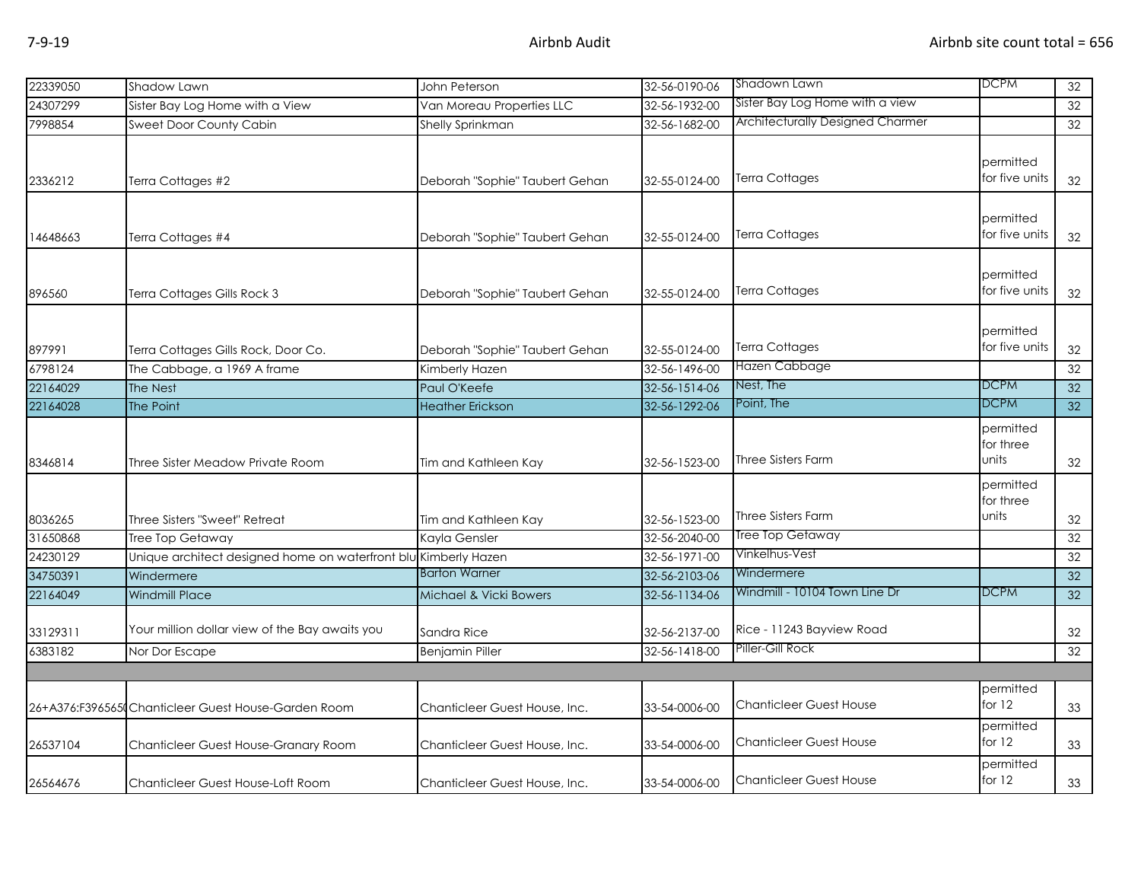| 22339050             | Shadow Lawn                                                     | John Peterson                           | 32-56-0190-06                  | Shadown Lawn                            | <b>DCPM</b>                     | 32       |
|----------------------|-----------------------------------------------------------------|-----------------------------------------|--------------------------------|-----------------------------------------|---------------------------------|----------|
| 24307299             | Sister Bay Log Home with a View                                 | Van Moreau Properties LLC               | 32-56-1932-00                  | Sister Bay Log Home with a view         |                                 | 32       |
| 7998854              | Sweet Door County Cabin                                         | <b>Shelly Sprinkman</b>                 | 32-56-1682-00                  | <b>Architecturally Designed Charmer</b> |                                 | 32       |
| 2336212              | Terra Cottages #2                                               | Deborah "Sophie" Taubert Gehan          | 32-55-0124-00                  | <b>Terra Cottages</b>                   | permitted<br>for five units     | 32       |
| 14648663             | Terra Cottages #4                                               | Deborah "Sophie" Taubert Gehan          | 32-55-0124-00                  | <b>Terra Cottages</b>                   | permitted<br>for five units     | 32       |
| 896560               | Terra Cottages Gills Rock 3                                     | Deborah "Sophie" Taubert Gehan          | 32-55-0124-00                  | Terra Cottages                          | permitted<br>for five units     | 32       |
| 897991               | Terra Cottages Gills Rock, Door Co.                             | Deborah "Sophie" Taubert Gehan          | 32-55-0124-00                  | <b>Terra Cottages</b><br>Hazen Cabbage  | permitted<br>for five units     | 32       |
| 6798124              | The Cabbage, a 1969 A frame                                     | Kimberly Hazen                          | 32-56-1496-00                  | Nest, The                               | <b>DCPM</b>                     | 32       |
| 22164029<br>22164028 | The Nest<br>The Point                                           | Paul O'Keefe<br><b>Heather Erickson</b> | 32-56-1514-06<br>32-56-1292-06 | Point, The                              | <b>DCPM</b>                     | 32<br>32 |
| 8346814              | Three Sister Meadow Private Room                                | Tim and Kathleen Kay                    | 32-56-1523-00                  | Three Sisters Farm                      | permitted<br>for three<br>units | 32       |
| 8036265              | Three Sisters "Sweet" Retreat                                   | Tim and Kathleen Kay                    | 32-56-1523-00                  | Three Sisters Farm                      | permitted<br>for three<br>units | 32       |
| 31650868             | Tree Top Getaway                                                | Kayla Gensler                           | 32-56-2040-00                  | Tree Top Getaway                        |                                 | 32       |
| 24230129             | Unique architect designed home on waterfront blu Kimberly Hazen |                                         | 32-56-1971-00                  | Vinkelhus-Vest                          |                                 | 32       |
| 34750391             | Windermere                                                      | <b>Barton Warner</b>                    | 32-56-2103-06                  | Windermere                              |                                 | 32       |
| 22164049             | <b>Windmill Place</b>                                           | Michael & Vicki Bowers                  | 32-56-1134-06                  | Windmill - 10104 Town Line Dr           | <b>DCPM</b>                     | 32       |
| 33129311             | Your million dollar view of the Bay awaits you                  | Sandra Rice                             | 32-56-2137-00                  | Rice - 11243 Bayview Road               |                                 | 32       |
| 6383182              | Nor Dor Escape                                                  | <b>Benjamin Piller</b>                  | 32-56-1418-00                  | Piller-Gill Rock                        |                                 | 32       |
|                      |                                                                 |                                         |                                |                                         |                                 |          |
|                      | 26+A376:F3965651 Chanticleer Guest House-Garden Room            | Chanticleer Guest House, Inc.           | 33-54-0006-00                  | <b>Chanticleer Guest House</b>          | permitted<br>for $12$           | 33       |
| 26537104             | Chanticleer Guest House-Granary Room                            | Chanticleer Guest House, Inc.           | 33-54-0006-00                  | <b>Chanticleer Guest House</b>          | permitted<br>for $12$           | 33       |
| 26564676             | Chanticleer Guest House-Loft Room                               | Chanticleer Guest House, Inc.           | 33-54-0006-00                  | <b>Chanticleer Guest House</b>          | permitted<br>for $12$           | 33       |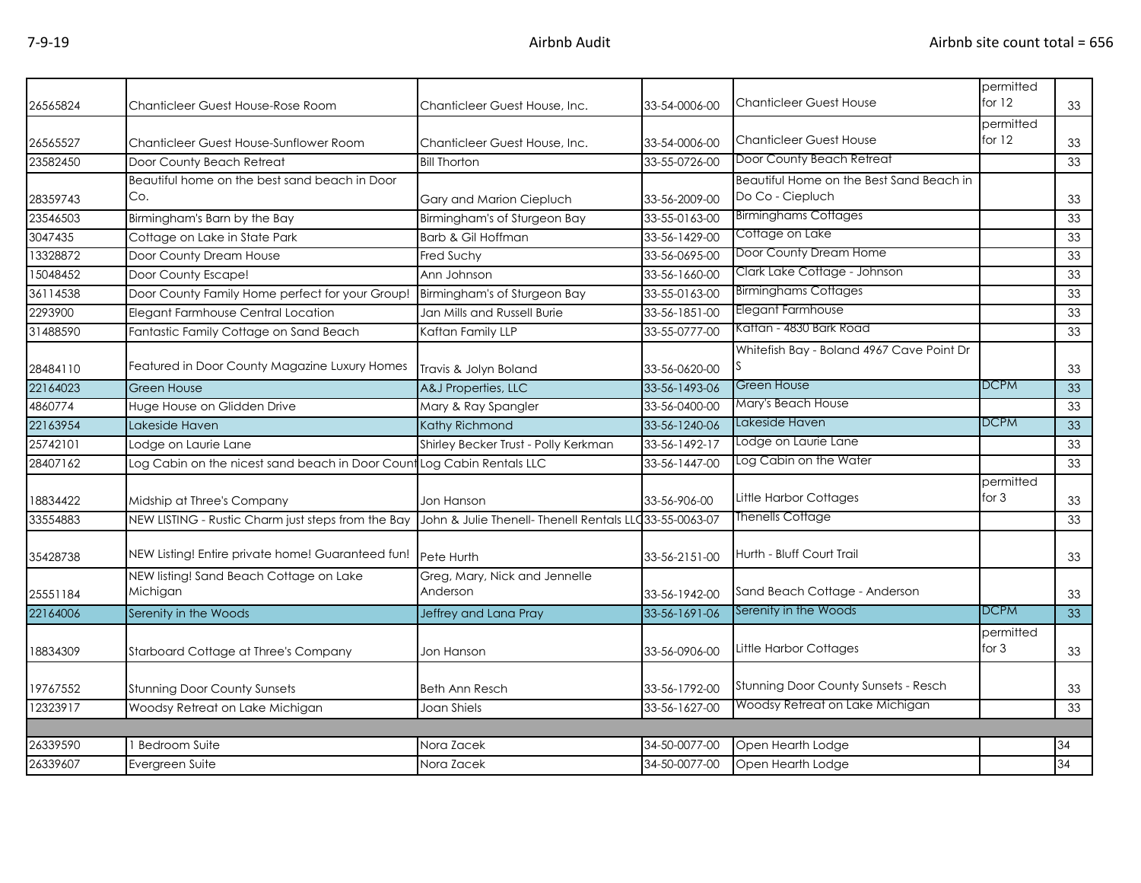| 26565824 | Chanticleer Guest House-Rose Room                                            | Chanticleer Guest House, Inc.                          | 33-54-0006-00 | <b>Chanticleer Guest House</b>            | permitted<br>for $12$ | 33 |
|----------|------------------------------------------------------------------------------|--------------------------------------------------------|---------------|-------------------------------------------|-----------------------|----|
| 26565527 | Chanticleer Guest House-Sunflower Room                                       | Chanticleer Guest House, Inc.                          | 33-54-0006-00 | <b>Chanticleer Guest House</b>            | permitted<br>for $12$ | 33 |
| 23582450 | Door County Beach Retreat                                                    | <b>Bill Thorton</b>                                    | 33-55-0726-00 | Door County Beach Retreat                 |                       | 33 |
|          | Beautiful home on the best sand beach in Door                                |                                                        |               | Beautiful Home on the Best Sand Beach in  |                       |    |
| 28359743 | Co.                                                                          | Gary and Marion Ciepluch                               | 33-56-2009-00 | Do Co - Ciepluch                          |                       | 33 |
| 23546503 | Birmingham's Barn by the Bay                                                 | Birmingham's of Sturgeon Bay                           | 33-55-0163-00 | <b>Birminghams Cottages</b>               |                       | 33 |
| 3047435  | Cottage on Lake in State Park                                                | Barb & Gil Hoffman                                     | 33-56-1429-00 | Cottage on Lake                           |                       | 33 |
| 13328872 | Door County Dream House                                                      | Fred Suchy                                             | 33-56-0695-00 | Door County Dream Home                    |                       | 33 |
| 15048452 | Door County Escape!                                                          | Ann Johnson                                            | 33-56-1660-00 | Clark Lake Cottage - Johnson              |                       | 33 |
| 36114538 | Door County Family Home perfect for your Group! Birmingham's of Sturgeon Bay |                                                        | 33-55-0163-00 | <b>Birminghams Cottages</b>               |                       | 33 |
| 2293900  | Elegant Farmhouse Central Location                                           | Jan Mills and Russell Burie                            | 33-56-1851-00 | Elegant Farmhouse                         |                       | 33 |
| 31488590 | Fantastic Family Cottage on Sand Beach                                       | Kaftan Family LLP                                      | 33-55-0777-00 | Kaftan - 4830 Bark Road                   |                       | 33 |
| 28484110 | Featured in Door County Magazine Luxury Homes                                | Travis & Jolyn Boland                                  | 33-56-0620-00 | Whitefish Bay - Boland 4967 Cave Point Dr |                       | 33 |
| 22164023 | <b>Green House</b>                                                           | A&J Properties, LLC                                    | 33-56-1493-06 | Green House                               | <b>DCPM</b>           | 33 |
| 4860774  | Huge House on Glidden Drive                                                  | Mary & Ray Spangler                                    | 33-56-0400-00 | Mary's Beach House                        |                       | 33 |
| 22163954 | Lakeside Haven                                                               | Kathy Richmond                                         | 33-56-1240-06 | Lakeside Haven                            | <b>DCPM</b>           | 33 |
| 25742101 | Lodge on Laurie Lane                                                         | Shirley Becker Trust - Polly Kerkman                   | 33-56-1492-17 | Lodge on Laurie Lane                      |                       | 33 |
| 28407162 | Log Cabin on the nicest sand beach in Door Count Log Cabin Rentals LLC       |                                                        | 33-56-1447-00 | Log Cabin on the Water                    |                       | 33 |
| 18834422 | Midship at Three's Company                                                   | Jon Hanson                                             | 33-56-906-00  | Little Harbor Cottages                    | permitted<br>for $3$  | 33 |
| 33554883 | NEW LISTING - Rustic Charm just steps from the Bay                           | John & Julie Thenell- Thenell Rentals LLC33-55-0063-07 |               | <b>Thenells Cottage</b>                   |                       | 33 |
| 35428738 | NEW Listing! Entire private home! Guaranteed fun!                            | Pete Hurth                                             | 33-56-2151-00 | Hurth - Bluff Court Trail                 |                       | 33 |
| 25551184 | NEW listing! Sand Beach Cottage on Lake<br>Michigan                          | Greg, Mary, Nick and Jennelle<br>Anderson              | 33-56-1942-00 | Sand Beach Cottage - Anderson             |                       | 33 |
| 22164006 | Serenity in the Woods                                                        | Jeffrey and Lana Pray                                  | 33-56-1691-06 | Serenity in the Woods                     | <b>DCPM</b>           | 33 |
| 18834309 | Starboard Cottage at Three's Company                                         | Jon Hanson                                             | 33-56-0906-00 | <b>Little Harbor Cottages</b>             | permitted<br>for $3$  | 33 |
| 19767552 | <b>Stunning Door County Sunsets</b>                                          | <b>Beth Ann Resch</b>                                  | 33-56-1792-00 | Stunning Door County Sunsets - Resch      |                       | 33 |
| 12323917 | Woodsy Retreat on Lake Michigan                                              | Joan Shiels                                            | 33-56-1627-00 | Woodsy Retreat on Lake Michigan           |                       | 33 |
|          |                                                                              |                                                        |               |                                           |                       |    |
| 26339590 | <b>Bedroom Suite</b>                                                         | Nora Zacek                                             | 34-50-0077-00 | Open Hearth Lodge                         |                       | 34 |
| 26339607 | Evergreen Suite                                                              | Nora Zacek                                             | 34-50-0077-00 | Open Hearth Lodge                         |                       | 34 |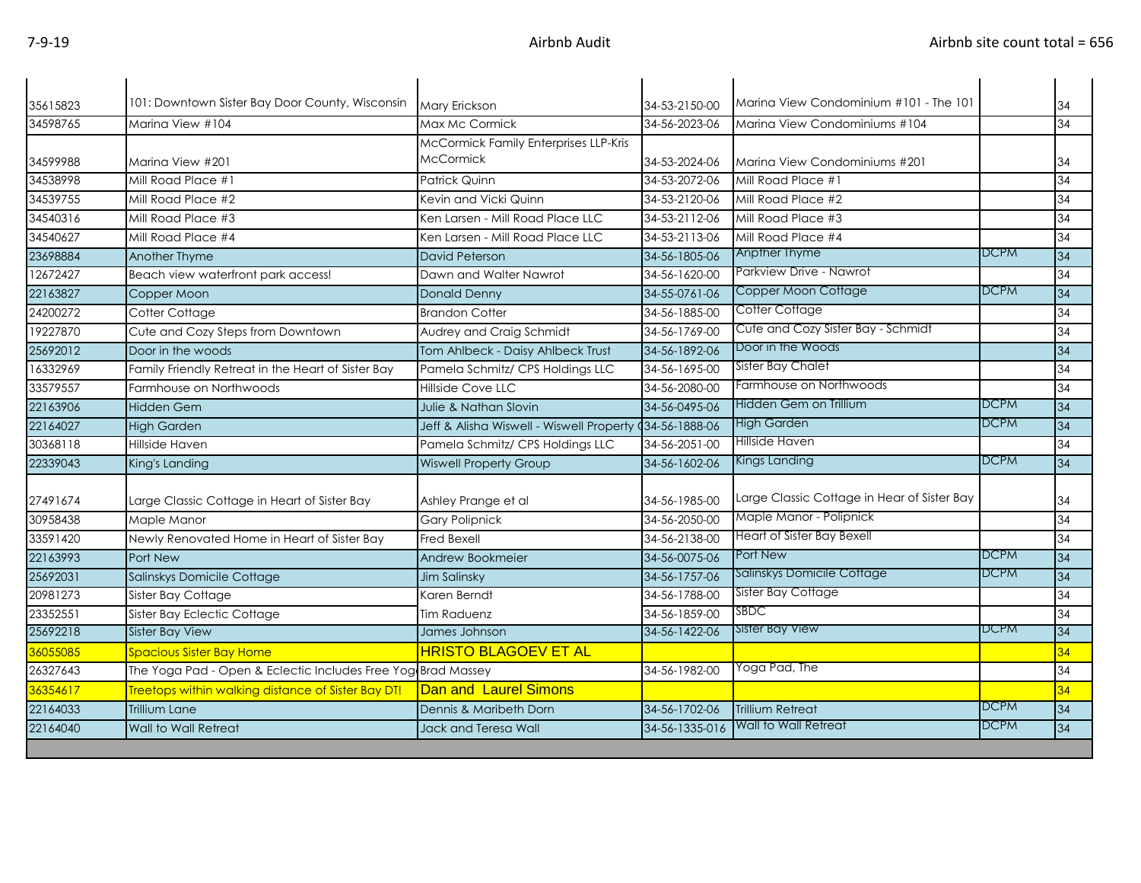| 35615823             | 101: Downtown Sister Bay Door County, Wisconsin              | <b>Mary Erickson</b>                                    | 34-53-2150-00  | Marina View Condominium #101 - The 101      |             | 34       |
|----------------------|--------------------------------------------------------------|---------------------------------------------------------|----------------|---------------------------------------------|-------------|----------|
| 34598765             | Marina View #104                                             | Max Mc Cormick                                          | 34-56-2023-06  | Marina View Condominiums #104               |             | 34       |
|                      |                                                              | McCormick Family Enterprises LLP-Kris                   |                |                                             |             |          |
|                      |                                                              | McCormick                                               | 34-53-2024-06  | Marina View Condominiums #201               |             |          |
| 34599988<br>34538998 | Marina View #201<br>Mill Road Place #1                       | <b>Patrick Quinn</b>                                    | 34-53-2072-06  | Mill Road Place #1                          |             | 34<br>34 |
|                      |                                                              |                                                         |                |                                             |             | 34       |
| 34539755             | Mill Road Place #2                                           | Kevin and Vicki Quinn                                   | 34-53-2120-06  | Mill Road Place #2                          |             |          |
| 34540316             | Mill Road Place #3                                           | Ken Larsen - Mill Road Place LLC                        | 34-53-2112-06  | Mill Road Place #3                          |             | 34       |
| 34540627             | Mill Road Place #4                                           | Ken Larsen - Mill Road Place LLC                        | 34-53-2113-06  | Mill Road Place #4<br>Anpther Thyme         | <b>DCPM</b> | 34       |
| 23698884             | Another Thyme                                                | <b>David Peterson</b>                                   | 34-56-1805-06  |                                             |             | 34       |
| 12672427             | Beach view waterfront park access!                           | Dawn and Walter Nawrot                                  | 34-56-1620-00  | Parkview Drive - Nawrot                     |             | 34       |
| 22163827             | Copper Moon                                                  | <b>Donald Denny</b>                                     | 34-55-0761-06  | Copper Moon Cottage                         | <b>DCPM</b> | 34       |
| 24200272             | Cotter Cottage                                               | <b>Brandon Cotter</b>                                   | 34-56-1885-00  | Cotter Cottage                              |             | 34       |
| 19227870             | Cute and Cozy Steps from Downtown                            | Audrey and Craig Schmidt                                | 34-56-1769-00  | Cute and Cozy Sister Bay - Schmidt          |             | 34       |
| 25692012             | Door in the woods                                            | Tom Ahlbeck - Daisy Ahlbeck Trust                       | 34-56-1892-06  | Door in the Woods                           |             | 34       |
| 16332969             | Family Friendly Retreat in the Heart of Sister Bay           | Pamela Schmitz/ CPS Holdings LLC                        | 34-56-1695-00  | Sister Bay Chalet                           |             | 34       |
| 33579557             | Farmhouse on Northwoods                                      | Hillside Cove LLC                                       | 34-56-2080-00  | Farmhouse on Northwoods                     |             | 34       |
| 22163906             | <b>Hidden Gem</b>                                            | <b>Julie &amp; Nathan Slovin</b>                        | 34-56-0495-06  | Hidden Gem on Trillium                      | <b>DCPM</b> | 34       |
| 22164027             | <b>High Garden</b>                                           | Jeff & Alisha Wiswell - Wiswell Property (34-56-1888-06 |                | High Garden                                 | <b>DCPM</b> | 34       |
| 30368118             | Hillside Haven                                               | Pamela Schmitz/ CPS Holdings LLC                        | 34-56-2051-00  | Hillside Haven                              |             | 34       |
| 22339043             | King's Landing                                               | <b>Wiswell Property Group</b>                           | 34-56-1602-06  | <b>Kings Landing</b>                        | <b>DCPM</b> | 34       |
|                      |                                                              |                                                         |                |                                             |             |          |
| 27491674             | Large Classic Cottage in Heart of Sister Bay                 | Ashley Prange et al                                     | 34-56-1985-00  | Large Classic Cottage in Hear of Sister Bay |             | 34       |
| 30958438             | Maple Manor                                                  | <b>Gary Polipnick</b>                                   | 34-56-2050-00  | Maple Manor - Polipnick                     |             | 34       |
| 33591420             | Newly Renovated Home in Heart of Sister Bay                  | Fred Bexell                                             | 34-56-2138-00  | Heart of Sister Bay Bexell                  |             | 34       |
| 22163993             | Port New                                                     | Andrew Bookmeier                                        | 34-56-0075-06  | Port New                                    | <b>DCPM</b> | 34       |
| 25692031             | Salinskys Domicile Cottage                                   | Jim Salinsky                                            | 34-56-1757-06  | Salinskys Domicile Cottage                  | <b>DCPM</b> | 34       |
| 20981273             | Sister Bay Cottage                                           | Karen Berndt                                            | 34-56-1788-00  | Sister Bay Cottage                          |             | 34       |
| 23352551             | Sister Bay Eclectic Cottage                                  | Tim Raduenz                                             | 34-56-1859-00  | SBDC                                        |             | 34       |
| 25692218             | <b>Sister Bay View</b>                                       | James Johnson                                           | 34-56-1422-06  | <b>Sister Bay View</b>                      | <b>DCPM</b> | 34       |
| 36055085             | Spacious Sister Bay Home                                     | <b>HRISTO BLAGOEV ET AL</b>                             |                |                                             |             | 34       |
| 26327643             | The Yoga Pad - Open & Eclectic Includes Free Yog Brad Massey |                                                         | 34-56-1982-00  | Yoga Pad, The                               |             | 34       |
| 36354617             | Treetops within walking distance of Sister Bay DT!           | Dan and Laurel Simons                                   |                |                                             |             | 34       |
| 22164033             | <b>Trillium Lane</b>                                         | Dennis & Maribeth Dorn                                  | 34-56-1702-06  | <b>Trillium Retreat</b>                     | <b>DCPM</b> | 34       |
| 22164040             | Wall to Wall Retreat                                         | Jack and Teresa Wall                                    | 34-56-1335-016 | Wall to Wall Retreat                        | <b>DCPM</b> | 34       |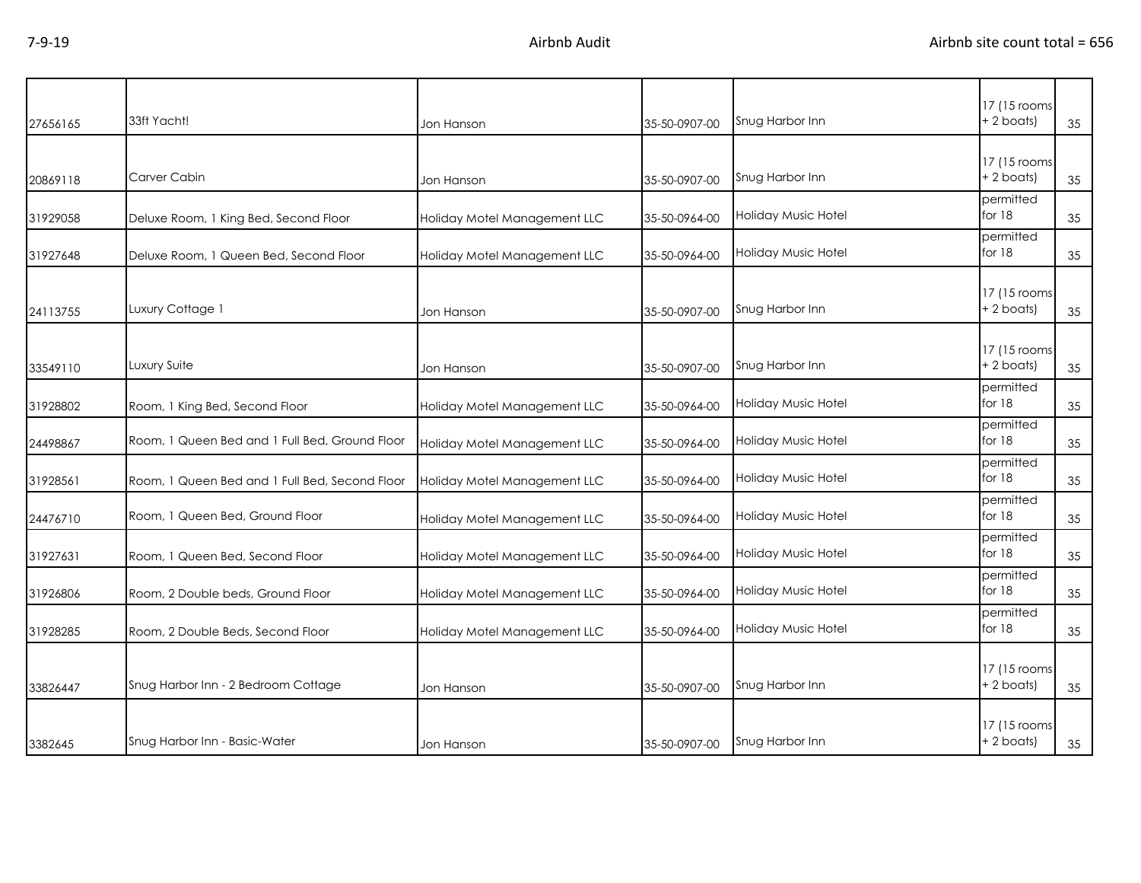| 27656165 | 33ft Yacht!                                    | Jon Hanson                   | 35-50-0907-00 | Snug Harbor Inn     | 17 (15 rooms<br>$+ 2$ boats)  | 35 |
|----------|------------------------------------------------|------------------------------|---------------|---------------------|-------------------------------|----|
| 20869118 | Carver Cabin                                   | Jon Hanson                   | 35-50-0907-00 | Snug Harbor Inn     | 17 (15 rooms<br>$+2$ boats)   | 35 |
| 31929058 | Deluxe Room, 1 King Bed, Second Floor          | Holiday Motel Management LLC | 35-50-0964-00 | Holiday Music Hotel | permitted<br>for $18$         | 35 |
| 31927648 | Deluxe Room, 1 Queen Bed, Second Floor         | Holiday Motel Management LLC | 35-50-0964-00 | Holiday Music Hotel | permitted<br>for $18$         | 35 |
| 24113755 | Luxury Cottage 1                               | Jon Hanson                   | 35-50-0907-00 | Snug Harbor Inn     | 17 (15 rooms)<br>$+2$ boats)  | 35 |
| 33549110 | Luxury Suite                                   | Jon Hanson                   | 35-50-0907-00 | Snug Harbor Inn     | 17 (15 rooms)<br>$+ 2$ boats) | 35 |
| 31928802 | Room, 1 King Bed, Second Floor                 | Holiday Motel Management LLC | 35-50-0964-00 | Holiday Music Hotel | permitted<br>for $18$         | 35 |
| 24498867 | Room, 1 Queen Bed and 1 Full Bed, Ground Floor | Holiday Motel Management LLC | 35-50-0964-00 | Holiday Music Hotel | permitted<br>for 18           | 35 |
| 31928561 | Room, 1 Queen Bed and 1 Full Bed, Second Floor | Holiday Motel Management LLC | 35-50-0964-00 | Holiday Music Hotel | permitted<br>for $18$         | 35 |
| 24476710 | Room, 1 Queen Bed, Ground Floor                | Holiday Motel Management LLC | 35-50-0964-00 | Holiday Music Hotel | permitted<br>for $18$         | 35 |
| 31927631 | Room, 1 Queen Bed, Second Floor                | Holiday Motel Management LLC | 35-50-0964-00 | Holiday Music Hotel | permitted<br>for $18$         | 35 |
| 31926806 | Room, 2 Double beds, Ground Floor              | Holiday Motel Management LLC | 35-50-0964-00 | Holiday Music Hotel | permitted<br>for 18           | 35 |
| 31928285 | Room, 2 Double Beds, Second Floor              | Holiday Motel Management LLC | 35-50-0964-00 | Holiday Music Hotel | permitted<br>for $18$         | 35 |
| 33826447 | Snug Harbor Inn - 2 Bedroom Cottage            | Jon Hanson                   | 35-50-0907-00 | Snug Harbor Inn     | 17 (15 rooms)<br>+ 2 boats)   | 35 |
| 3382645  | Snug Harbor Inn - Basic-Water                  | Jon Hanson                   | 35-50-0907-00 | Snug Harbor Inn     | 17 (15 rooms)<br>+ 2 boats)   | 35 |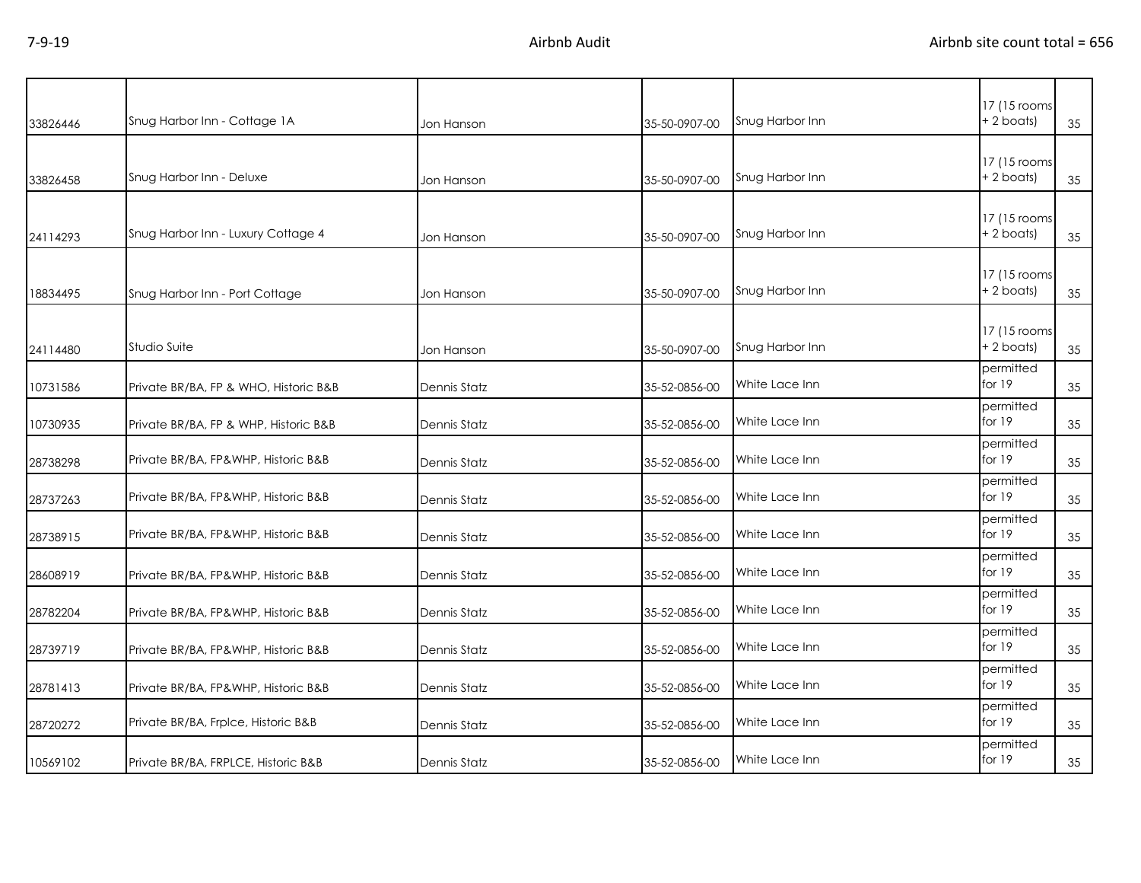| 33826446 | Snug Harbor Inn - Cottage 1A          | Jon Hanson   | 35-50-0907-00 | Snug Harbor Inn | 17 (15 rooms<br>+ 2 boats)<br>35   |
|----------|---------------------------------------|--------------|---------------|-----------------|------------------------------------|
| 33826458 | Snug Harbor Inn - Deluxe              | Jon Hanson   | 35-50-0907-00 | Snug Harbor Inn | 17 (15 rooms)<br>$+2$ boats)<br>35 |
| 24114293 | Snug Harbor Inn - Luxury Cottage 4    | Jon Hanson   | 35-50-0907-00 | Snug Harbor Inn | 17 (15 rooms<br>+2 boats)<br>35    |
| 18834495 | Snug Harbor Inn - Port Cottage        | Jon Hanson   | 35-50-0907-00 | Snug Harbor Inn | 17 (15 rooms<br>$+2$ boats)<br>35  |
| 24114480 | Studio Suite                          | Jon Hanson   | 35-50-0907-00 | Snug Harbor Inn | 17 (15 rooms)<br>$+2$ boats)<br>35 |
| 10731586 | Private BR/BA, FP & WHO, Historic B&B | Dennis Statz | 35-52-0856-00 | White Lace Inn  | permitted<br>for 19<br>35          |
| 10730935 | Private BR/BA, FP & WHP, Historic B&B | Dennis Statz | 35-52-0856-00 | White Lace Inn  | permitted<br>for 19<br>35          |
| 28738298 | Private BR/BA, FP&WHP, Historic B&B   | Dennis Statz | 35-52-0856-00 | White Lace Inn  | permitted<br>for $19$<br>35        |
| 28737263 | Private BR/BA, FP&WHP, Historic B&B   | Dennis Statz | 35-52-0856-00 | White Lace Inn  | permitted<br>for $19$<br>35        |
| 28738915 | Private BR/BA, FP&WHP, Historic B&B   | Dennis Statz | 35-52-0856-00 | White Lace Inn  | permitted<br>for $19$<br>35        |
| 28608919 | Private BR/BA, FP&WHP, Historic B&B   | Dennis Statz | 35-52-0856-00 | White Lace Inn  | permitted<br>for $19$<br>35        |
| 28782204 | Private BR/BA, FP&WHP, Historic B&B   | Dennis Statz | 35-52-0856-00 | White Lace Inn  | permitted<br>for $19$<br>35        |
| 28739719 | Private BR/BA, FP&WHP, Historic B&B   | Dennis Statz | 35-52-0856-00 | White Lace Inn  | permitted<br>for $19$<br>35        |
| 28781413 | Private BR/BA, FP&WHP, Historic B&B   | Dennis Statz | 35-52-0856-00 | White Lace Inn  | permitted<br>for $19$<br>35        |
| 28720272 | Private BR/BA, Frplce, Historic B&B   | Dennis Statz | 35-52-0856-00 | White Lace Inn  | permitted<br>for $19$<br>35        |
| 10569102 | Private BR/BA, FRPLCE, Historic B&B   | Dennis Statz | 35-52-0856-00 | White Lace Inn  | permitted<br>for 19<br>35          |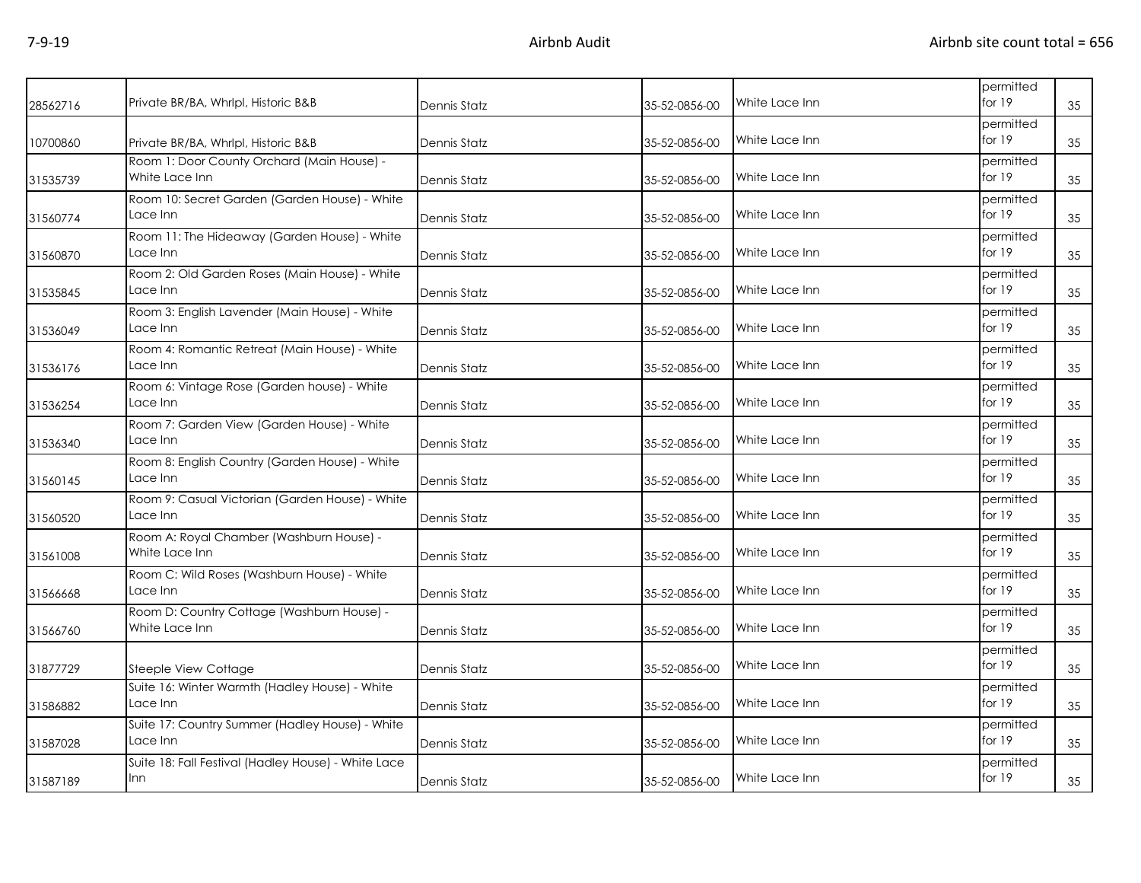| 28562716 | Private BR/BA, Whrlpl, Historic B&B                          | Dennis Statz        | 35-52-0856-00 | White Lace Inn | permitted<br>for $19$ | 35 |
|----------|--------------------------------------------------------------|---------------------|---------------|----------------|-----------------------|----|
| 10700860 | Private BR/BA, Whrlpl, Historic B&B                          | <b>Dennis Statz</b> | 35-52-0856-00 | White Lace Inn | permitted<br>for 19   | 35 |
| 31535739 | Room 1: Door County Orchard (Main House) -<br>White Lace Inn | Dennis Statz        | 35-52-0856-00 | White Lace Inn | permitted<br>for $19$ | 35 |
| 31560774 | Room 10: Secret Garden (Garden House) - White<br>Lace Inn    | <b>Dennis Statz</b> | 35-52-0856-00 | White Lace Inn | permitted<br>for $19$ | 35 |
| 31560870 | Room 11: The Hideaway (Garden House) - White<br>Lace Inn     | Dennis Statz        | 35-52-0856-00 | White Lace Inn | permitted<br>for $19$ | 35 |
| 31535845 | Room 2: Old Garden Roses (Main House) - White<br>Lace Inn    | Dennis Statz        | 35-52-0856-00 | White Lace Inn | permitted<br>for $19$ | 35 |
| 31536049 | Room 3: English Lavender (Main House) - White<br>Lace Inn    | Dennis Statz        | 35-52-0856-00 | White Lace Inn | permitted<br>for $19$ | 35 |
| 31536176 | Room 4: Romantic Retreat (Main House) - White<br>Lace Inn    | Dennis Statz        | 35-52-0856-00 | White Lace Inn | permitted<br>for 19   | 35 |
| 31536254 | Room 6: Vintage Rose (Garden house) - White<br>Lace Inn      | Dennis Statz        | 35-52-0856-00 | White Lace Inn | permitted<br>for 19   | 35 |
| 31536340 | Room 7: Garden View (Garden House) - White<br>Lace Inn       | Dennis Statz        | 35-52-0856-00 | White Lace Inn | permitted<br>for 19   | 35 |
| 31560145 | Room 8: English Country (Garden House) - White<br>Lace Inn   | Dennis Statz        | 35-52-0856-00 | White Lace Inn | permitted<br>for 19   | 35 |
| 31560520 | Room 9: Casual Victorian (Garden House) - White<br>Lace Inn  | Dennis Statz        | 35-52-0856-00 | White Lace Inn | permitted<br>for 19   | 35 |
| 31561008 | Room A: Royal Chamber (Washburn House) -<br>White Lace Inn   | Dennis Statz        | 35-52-0856-00 | White Lace Inn | permitted<br>for $19$ | 35 |
| 31566668 | Room C: Wild Roses (Washburn House) - White<br>Lace Inn      | Dennis Statz        | 35-52-0856-00 | White Lace Inn | permitted<br>for 19   | 35 |
| 31566760 | Room D: Country Cottage (Washburn House) -<br>White Lace Inn | Dennis Statz        | 35-52-0856-00 | White Lace Inn | permitted<br>for 19   | 35 |
| 31877729 | Steeple View Cottage                                         | Dennis Statz        | 35-52-0856-00 | White Lace Inn | permitted<br>for 19   | 35 |
| 31586882 | Suite 16: Winter Warmth (Hadley House) - White<br>Lace Inn   | Dennis Statz        | 35-52-0856-00 | White Lace Inn | permitted<br>for $19$ | 35 |
| 31587028 | Suite 17: Country Summer (Hadley House) - White<br>Lace Inn  | Dennis Statz        | 35-52-0856-00 | White Lace Inn | permitted<br>for $19$ | 35 |
| 31587189 | Suite 18: Fall Festival (Hadley House) - White Lace<br>Inn   | <b>Dennis Statz</b> | 35-52-0856-00 | White Lace Inn | permitted<br>for 19   | 35 |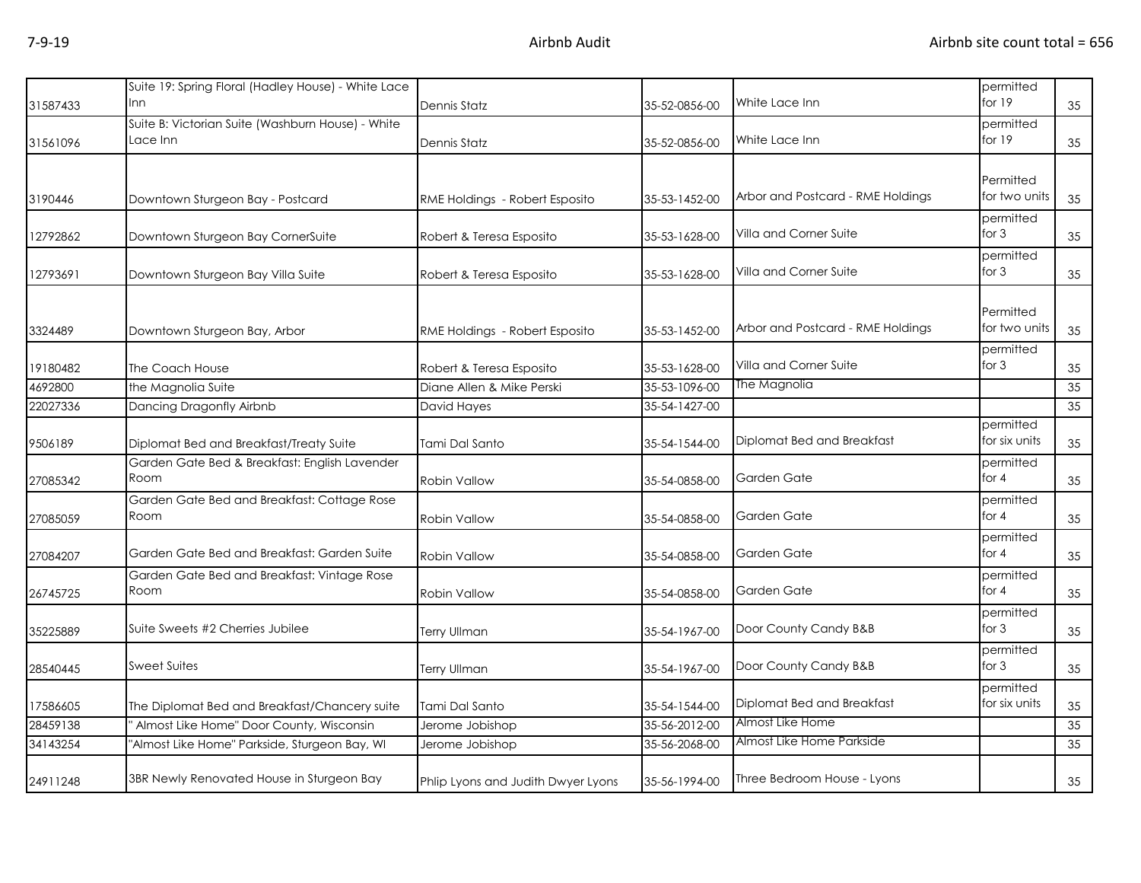|          | Suite 19: Spring Floral (Hadley House) - White Lace |                                    |               |                                   | permitted                  |    |
|----------|-----------------------------------------------------|------------------------------------|---------------|-----------------------------------|----------------------------|----|
| 31587433 | Inn                                                 | Dennis Statz                       | 35-52-0856-00 | White Lace Inn                    | for $19$                   | 35 |
|          | Suite B: Victorian Suite (Washburn House) - White   |                                    |               |                                   | permitted                  |    |
| 31561096 | Lace Inn                                            | Dennis Statz                       | 35-52-0856-00 | White Lace Inn                    | for 19                     | 35 |
|          |                                                     |                                    |               |                                   |                            |    |
|          |                                                     |                                    |               |                                   | Permitted                  |    |
| 3190446  | Downtown Sturgeon Bay - Postcard                    | RME Holdings - Robert Esposito     | 35-53-1452-00 | Arbor and Postcard - RME Holdings | for two units              | 35 |
| 12792862 | Downtown Sturgeon Bay CornerSuite                   | Robert & Teresa Esposito           | 35-53-1628-00 | Villa and Corner Suite            | permitted<br>for $3$       | 35 |
|          |                                                     |                                    |               |                                   | permitted                  |    |
| 12793691 | Downtown Sturgeon Bay Villa Suite                   | Robert & Teresa Esposito           | 35-53-1628-00 | Villa and Corner Suite            | for $3$                    | 35 |
|          |                                                     |                                    |               |                                   |                            |    |
|          |                                                     |                                    |               |                                   | Permitted                  |    |
| 3324489  | Downtown Sturgeon Bay, Arbor                        | RME Holdings - Robert Esposito     | 35-53-1452-00 | Arbor and Postcard - RME Holdings | for two units              | 35 |
|          |                                                     |                                    |               | Villa and Corner Suite            | permitted<br>for $3$       |    |
| 19180482 | The Coach House                                     | Robert & Teresa Esposito           | 35-53-1628-00 | The Magnolia                      |                            | 35 |
| 4692800  | the Magnolia Suite                                  | Diane Allen & Mike Perski          | 35-53-1096-00 |                                   |                            | 35 |
| 22027336 | Dancing Dragonfly Airbnb                            | David Hayes                        | 35-54-1427-00 |                                   |                            | 35 |
| 9506189  | Diplomat Bed and Breakfast/Treaty Suite             | <b>Tami Dal Santo</b>              | 35-54-1544-00 | Diplomat Bed and Breakfast        | permitted<br>for six units | 35 |
|          | Garden Gate Bed & Breakfast: English Lavender       |                                    |               |                                   | permitted                  |    |
| 27085342 | Room                                                | <b>Robin Vallow</b>                | 35-54-0858-00 | Garden Gate                       | for $4$                    | 35 |
|          | Garden Gate Bed and Breakfast: Cottage Rose         |                                    |               |                                   | permitted                  |    |
| 27085059 | Room                                                | <b>Robin Vallow</b>                | 35-54-0858-00 | Garden Gate                       | for $4$                    | 35 |
|          | Garden Gate Bed and Breakfast: Garden Suite         |                                    |               | Garden Gate                       | permitted<br>for $4$       |    |
| 27084207 |                                                     | <b>Robin Vallow</b>                | 35-54-0858-00 |                                   |                            | 35 |
|          | Garden Gate Bed and Breakfast: Vintage Rose<br>Room |                                    |               | Garden Gate                       | permitted<br>for $4$       |    |
| 26745725 |                                                     | Robin Vallow                       | 35-54-0858-00 |                                   |                            | 35 |
| 35225889 | Suite Sweets #2 Cherries Jubilee                    | Terry Ullman                       | 35-54-1967-00 | Door County Candy B&B             | permitted<br>for $3$       | 35 |
|          |                                                     |                                    |               |                                   | permitted                  |    |
| 28540445 | <b>Sweet Suites</b>                                 | Terry Ullman                       | 35-54-1967-00 | Door County Candy B&B             | for $3$                    | 35 |
| 17586605 | The Diplomat Bed and Breakfast/Chancery suite       | Tami Dal Santo                     | 35-54-1544-00 | Diplomat Bed and Breakfast        | permitted<br>for six units | 35 |
| 28459138 | Almost Like Home" Door County, Wisconsin            | Jerome Jobishop                    | 35-56-2012-00 | Almost Like Home                  |                            | 35 |
| 34143254 | "Almost Like Home" Parkside, Sturgeon Bay, WI       | Jerome Jobishop                    | 35-56-2068-00 | Almost Like Home Parkside         |                            | 35 |
|          |                                                     |                                    |               |                                   |                            |    |
| 24911248 | 3BR Newly Renovated House in Sturgeon Bay           | Phlip Lyons and Judith Dwyer Lyons | 35-56-1994-00 | Three Bedroom House - Lyons       |                            | 35 |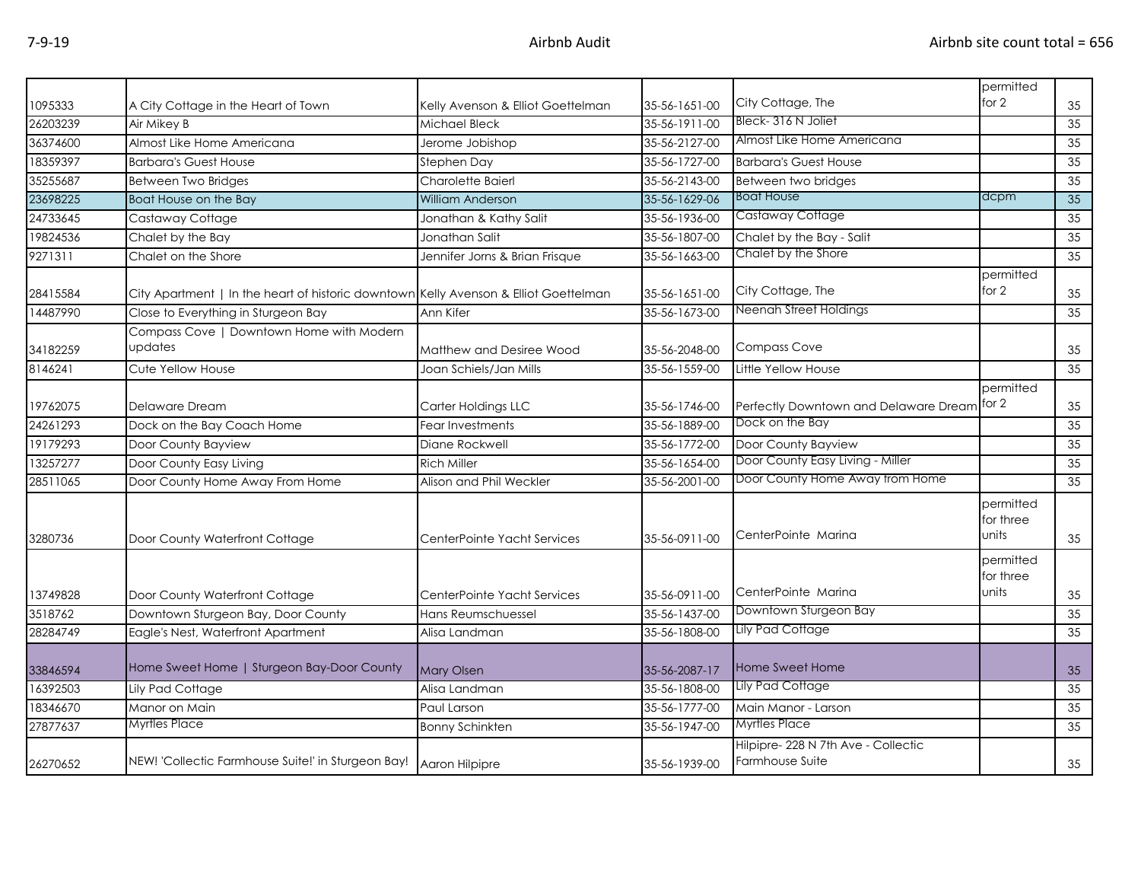| 1095333  | A City Cottage in the Heart of Town                                                  | Kelly Avenson & Elliot Goettelman | 35-56-1651-00 | City Cottage, The                                     | permitted<br>for 2              | 35              |
|----------|--------------------------------------------------------------------------------------|-----------------------------------|---------------|-------------------------------------------------------|---------------------------------|-----------------|
| 26203239 | Air Mikey B                                                                          | Michael Bleck                     | 35-56-1911-00 | Bleck-316 N Joliet                                    |                                 | 35              |
| 36374600 | Almost Like Home Americana                                                           | Jerome Jobishop                   | 35-56-2127-00 | Almost Like Home Americana                            |                                 | 35              |
| 18359397 | <b>Barbara's Guest House</b>                                                         | Stephen Day                       | 35-56-1727-00 | <b>Barbara's Guest House</b>                          |                                 | 35              |
| 35255687 | Between Two Bridges                                                                  | Charolette Baierl                 | 35-56-2143-00 | Between two bridges                                   |                                 | 35              |
| 23698225 | Boat House on the Bay                                                                | William Anderson                  | 35-56-1629-06 | <b>Boat House</b>                                     | dcpm                            | 35              |
| 24733645 | Castaway Cottage                                                                     | Jonathan & Kathy Salit            | 35-56-1936-00 | Castaway Cottage                                      |                                 | $\overline{35}$ |
| 19824536 | Chalet by the Bay                                                                    | Jonathan Salit                    | 35-56-1807-00 | Chalet by the Bay - Salit                             |                                 | 35              |
| 9271311  | Chalet on the Shore                                                                  | Jennifer Jorns & Brian Frisque    | 35-56-1663-00 | Chalet by the Shore                                   |                                 | 35              |
| 28415584 | City Apartment   In the heart of historic downtown Kelly Avenson & Elliot Goettelman |                                   | 35-56-1651-00 | City Cottage, The                                     | permitted<br>for 2              | 35              |
| 14487990 | Close to Everything in Sturgeon Bay                                                  | Ann Kifer                         | 35-56-1673-00 | Neenah Street Holdings                                |                                 | 35              |
| 34182259 | Compass Cove   Downtown Home with Modern<br>updates                                  | Matthew and Desiree Wood          | 35-56-2048-00 | <b>Compass Cove</b>                                   |                                 | 35              |
| 8146241  | Cute Yellow House                                                                    | Joan Schiels/Jan Mills            | 35-56-1559-00 | Little Yellow House                                   |                                 | 35              |
| 19762075 | Delaware Dream                                                                       | Carter Holdings LLC               | 35-56-1746-00 | Perfectly Downtown and Delaware Dream for 2           | permitted                       | 35              |
| 24261293 | Dock on the Bay Coach Home                                                           | Fear Investments                  | 35-56-1889-00 | Dock on the Bay                                       |                                 | 35              |
| 19179293 | Door County Bayview                                                                  | Diane Rockwell                    | 35-56-1772-00 | Door County Bayview                                   |                                 | 35              |
| 13257277 | Door County Easy Living                                                              | <b>Rich Miller</b>                | 35-56-1654-00 | Door County Easy Living - Miller                      |                                 | 35              |
| 28511065 | Door County Home Away From Home                                                      | Alison and Phil Weckler           | 35-56-2001-00 | Door County Home Away from Home                       |                                 | 35              |
| 3280736  | Door County Waterfront Cottage                                                       | CenterPointe Yacht Services       | 35-56-0911-00 | CenterPointe Marina                                   | permitted<br>for three<br>units | 35              |
|          |                                                                                      |                                   |               | CenterPointe Marina                                   | permitted<br>for three<br>units |                 |
| 13749828 | Door County Waterfront Cottage                                                       | CenterPointe Yacht Services       | 35-56-0911-00 | Downtown Sturgeon Bay                                 |                                 | 35              |
| 3518762  | Downtown Sturgeon Bay, Door County                                                   | Hans Reumschuessel                | 35-56-1437-00 | Lily Pad Cottage                                      |                                 | 35              |
| 28284749 | Eagle's Nest, Waterfront Apartment                                                   | Alisa Landman                     | 35-56-1808-00 |                                                       |                                 | 35              |
| 33846594 | Home Sweet Home   Sturgeon Bay-Door County                                           | <b>Mary Olsen</b>                 | 35-56-2087-17 | Home Sweet Home                                       |                                 | 35              |
| 16392503 | Lily Pad Cottage                                                                     | Alisa Landman                     | 35-56-1808-00 | Lily Pad Cottage                                      |                                 | 35              |
| 18346670 | Manor on Main                                                                        | Paul Larson                       | 35-56-1777-00 | Main Manor - Larson                                   |                                 | 35              |
| 27877637 | <b>Myrtles Place</b>                                                                 | <b>Bonny Schinkten</b>            | 35-56-1947-00 | Myrtles Place                                         |                                 | 35              |
| 26270652 | NEW! 'Collectic Farmhouse Suite!' in Sturgeon Bay!                                   | Aaron Hilpipre                    | 35-56-1939-00 | Hilpipre-228 N 7th Ave - Collectic<br>Farmhouse Suite |                                 | 35              |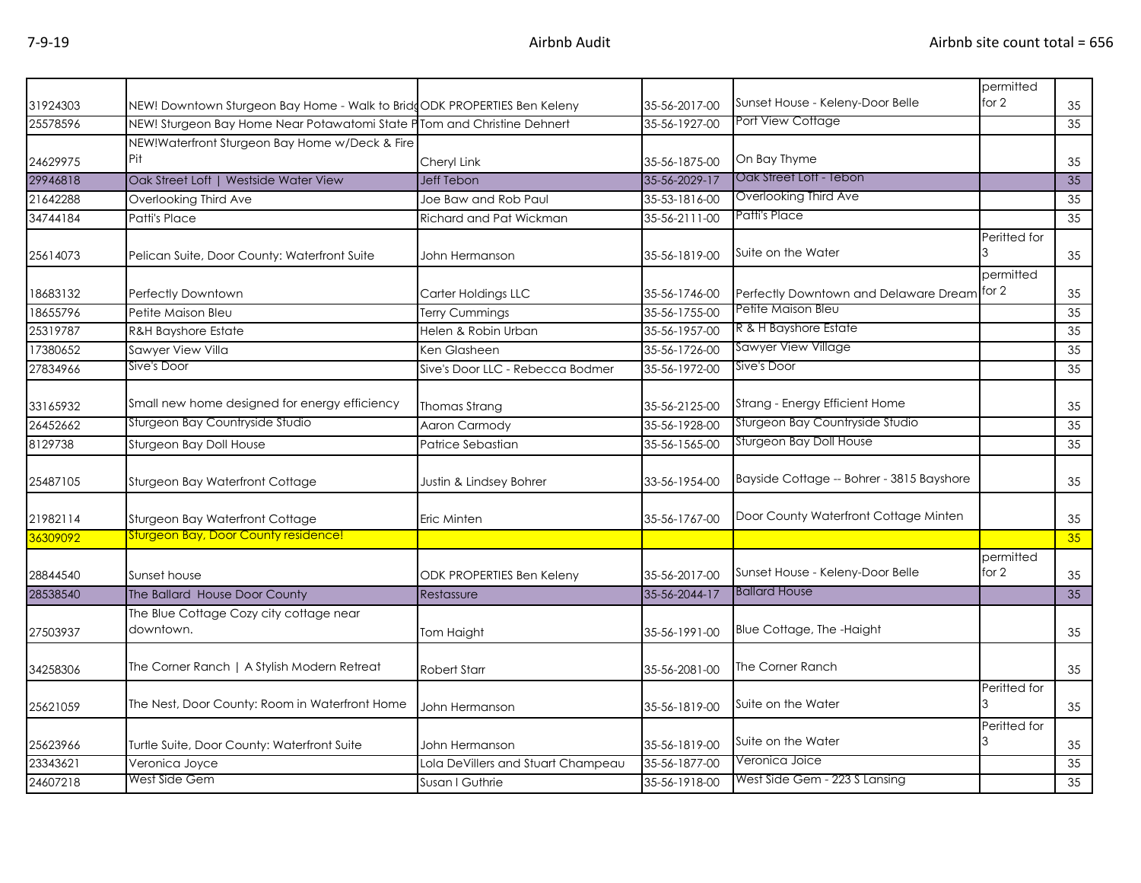|          |                                                                          |                                    |               | Sunset House - Keleny-Door Belle            | permitted<br>for 2 |    |
|----------|--------------------------------------------------------------------------|------------------------------------|---------------|---------------------------------------------|--------------------|----|
| 31924303 | NEW! Downtown Sturgeon Bay Home - Walk to BridgODK PROPERTIES Ben Keleny |                                    | 35-56-2017-00 | Port View Cottage                           |                    | 35 |
| 25578596 | NEW! Sturgeon Bay Home Near Potawatomi State P Tom and Christine Dehnert |                                    | 35-56-1927-00 |                                             |                    | 35 |
|          | NEW!Waterfront Sturgeon Bay Home w/Deck & Fire<br>Pit                    |                                    |               |                                             |                    |    |
| 24629975 |                                                                          | Cheryl Link                        | 35-56-1875-00 | On Bay Thyme                                |                    | 35 |
| 29946818 | Oak Street Loft   Westside Water View                                    | <b>Jeff Tebon</b>                  | 35-56-2029-17 | Oak Street Loft - Tebon                     |                    | 35 |
| 21642288 | Overlooking Third Ave                                                    | Joe Baw and Rob Paul               | 35-53-1816-00 | Overlooking Third Ave                       |                    | 35 |
| 34744184 | Patti's Place                                                            | Richard and Pat Wickman            | 35-56-2111-00 | Patti's Place                               |                    | 35 |
| 25614073 | Pelican Suite, Door County: Waterfront Suite                             | John Hermanson                     | 35-56-1819-00 | Suite on the Water                          | Peritted for       | 35 |
|          |                                                                          |                                    |               |                                             | permitted          |    |
| 18683132 | Perfectly Downtown                                                       | Carter Holdings LLC                | 35-56-1746-00 | Perfectly Downtown and Delaware Dream for 2 |                    | 35 |
| 18655796 | Petite Maison Bleu                                                       | <b>Terry Cummings</b>              | 35-56-1755-00 | Petite Maison Bleu                          |                    | 35 |
| 25319787 | <b>R&amp;H Bayshore Estate</b>                                           | Helen & Robin Urban                | 35-56-1957-00 | R & H Bayshore Estate                       |                    | 35 |
| 17380652 | Sawyer View Villa                                                        | Ken Glasheen                       | 35-56-1726-00 | Sawyer View Village                         |                    | 35 |
| 27834966 | Sive's Door                                                              | Sive's Door LLC - Rebecca Bodmer   | 35-56-1972-00 | Sive's Door                                 |                    | 35 |
| 33165932 | Small new home designed for energy efficiency                            | Thomas Strang                      | 35-56-2125-00 | Strang - Energy Efficient Home              |                    | 35 |
| 26452662 | Sturgeon Bay Countryside Studio                                          | <b>Aaron Carmody</b>               | 35-56-1928-00 | Sturgeon Bay Countryside Studio             |                    | 35 |
| 8129738  | Sturgeon Bay Doll House                                                  | Patrice Sebastian                  | 35-56-1565-00 | Sturgeon Bay Doll House                     |                    | 35 |
| 25487105 | Sturgeon Bay Waterfront Cottage                                          | Justin & Lindsey Bohrer            | 33-56-1954-00 | Bayside Cottage -- Bohrer - 3815 Bayshore   |                    | 35 |
| 21982114 | Sturgeon Bay Waterfront Cottage                                          | Eric Minten                        | 35-56-1767-00 | Door County Waterfront Cottage Minten       |                    | 35 |
| 36309092 | <b>Sturgeon Bay, Door County residence!</b>                              |                                    |               |                                             |                    | 35 |
| 28844540 | Sunset house                                                             | <b>ODK PROPERTIES Ben Keleny</b>   | 35-56-2017-00 | Sunset House - Keleny-Door Belle            | permitted<br>for 2 | 35 |
| 28538540 | The Ballard House Door County                                            | Restassure                         | 35-56-2044-17 | <b>Ballard House</b>                        |                    | 35 |
| 27503937 | The Blue Cottage Cozy city cottage near<br>downtown.                     | Tom Haight                         | 35-56-1991-00 | Blue Cottage, The -Haight                   |                    | 35 |
| 34258306 | The Corner Ranch   A Stylish Modern Retreat                              | <b>Robert Starr</b>                | 35-56-2081-00 | The Corner Ranch                            |                    | 35 |
| 25621059 | The Nest, Door County: Room in Waterfront Home                           | John Hermanson                     | 35-56-1819-00 | Suite on the Water                          | Peritted for       | 35 |
| 25623966 | Turtle Suite, Door County: Waterfront Suite                              | John Hermanson                     | 35-56-1819-00 | Suite on the Water                          | Peritted for       | 35 |
| 23343621 | Veronica Joyce                                                           | Lola DeVillers and Stuart Champeau | 35-56-1877-00 | Veronica Joice                              |                    | 35 |
| 24607218 | West Side Gem                                                            | Susan I Guthrie                    | 35-56-1918-00 | West Side Gem - 223 S Lansing               |                    | 35 |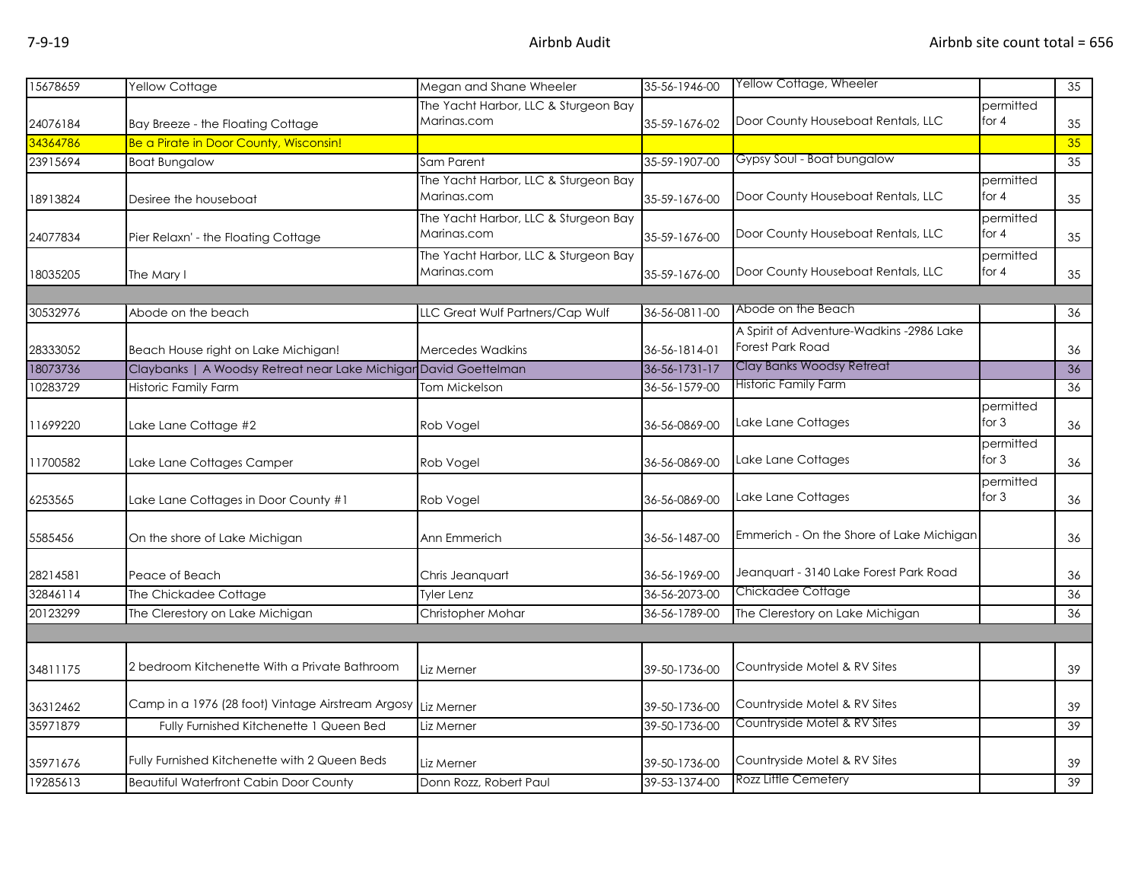| 15678659 | Yellow Cottage                                                   | Megan and Shane Wheeler              | 35-56-1946-00 | Yellow Cottage, Wheeler                  |           | 35 |
|----------|------------------------------------------------------------------|--------------------------------------|---------------|------------------------------------------|-----------|----|
|          |                                                                  | The Yacht Harbor, LLC & Sturgeon Bay |               |                                          | permitted |    |
| 24076184 | Bay Breeze - the Floating Cottage                                | Marinas.com                          | 35-59-1676-02 | Door County Houseboat Rentals, LLC       | for $4$   | 35 |
| 34364786 | Be a Pirate in Door County, Wisconsin!                           |                                      |               |                                          |           | 35 |
| 23915694 | <b>Boat Bungalow</b>                                             | Sam Parent                           | 35-59-1907-00 | Gypsy Soul - Boat bungalow               |           | 35 |
|          |                                                                  | The Yacht Harbor, LLC & Sturgeon Bay |               |                                          | permitted |    |
| 18913824 | Desiree the houseboat                                            | Marinas.com                          | 35-59-1676-00 | Door County Houseboat Rentals, LLC       | for $4$   | 35 |
|          |                                                                  | The Yacht Harbor, LLC & Sturgeon Bay |               |                                          | permitted |    |
| 24077834 | Pier Relaxn' - the Floating Cottage                              | Marinas.com                          | 35-59-1676-00 | Door County Houseboat Rentals, LLC       | for $4$   | 35 |
|          |                                                                  | The Yacht Harbor, LLC & Sturgeon Bay |               |                                          | permitted |    |
| 18035205 | The Mary I                                                       | Marinas.com                          | 35-59-1676-00 | Door County Houseboat Rentals, LLC       | for $4$   | 35 |
|          |                                                                  |                                      |               |                                          |           |    |
| 30532976 | Abode on the beach                                               | LLC Great Wulf Partners/Cap Wulf     | 36-56-0811-00 | Abode on the Beach                       |           | 36 |
|          |                                                                  |                                      |               | A Spirit of Adventure-Wadkins -2986 Lake |           |    |
| 28333052 | Beach House right on Lake Michigan!                              | <b>Mercedes Wadkins</b>              | 36-56-1814-01 | <b>Forest Park Road</b>                  |           | 36 |
| 18073736 | Claybanks   A Woodsy Retreat near Lake Michigar David Goettelman |                                      | 36-56-1731-17 | Clay Banks Woodsy Retreat                |           | 36 |
| 10283729 | Historic Family Farm                                             | <b>Tom Mickelson</b>                 | 36-56-1579-00 | <b>Historic Family Farm</b>              |           | 36 |
|          |                                                                  |                                      |               |                                          | permitted |    |
| 11699220 | Lake Lane Cottage #2                                             | Rob Vogel                            | 36-56-0869-00 | Lake Lane Cottages                       | for $3$   | 36 |
|          |                                                                  |                                      |               |                                          | permitted |    |
| 11700582 | Lake Lane Cottages Camper                                        | Rob Vogel                            | 36-56-0869-00 | Lake Lane Cottages                       | for $3$   | 36 |
|          |                                                                  |                                      |               |                                          | permitted |    |
| 6253565  | Lake Lane Cottages in Door County #1                             | Rob Vogel                            | 36-56-0869-00 | Lake Lane Cottages                       | for $3$   | 36 |
|          |                                                                  |                                      |               |                                          |           |    |
| 5585456  | On the shore of Lake Michigan                                    | Ann Emmerich                         | 36-56-1487-00 | Emmerich - On the Shore of Lake Michigan |           | 36 |
|          |                                                                  |                                      |               |                                          |           |    |
| 28214581 | Peace of Beach                                                   | Chris Jeanguart                      | 36-56-1969-00 | Jeanquart - 3140 Lake Forest Park Road   |           | 36 |
| 32846114 | The Chickadee Cottage                                            | <b>Tyler Lenz</b>                    | 36-56-2073-00 | Chickadee Cottage                        |           | 36 |
| 20123299 | The Clerestory on Lake Michigan                                  | Christopher Mohar                    | 36-56-1789-00 | The Clerestory on Lake Michigan          |           | 36 |
|          |                                                                  |                                      |               |                                          |           |    |
|          |                                                                  |                                      |               |                                          |           |    |
| 34811175 | 2 bedroom Kitchenette With a Private Bathroom                    | Liz Merner                           | 39-50-1736-00 | Countryside Motel & RV Sites             |           | 39 |
|          |                                                                  |                                      |               |                                          |           |    |
| 36312462 | Camp in a 1976 (28 foot) Vintage Airstream Argosy Liz Merner     |                                      | 39-50-1736-00 | Countryside Motel & RV Sites             |           | 39 |
| 35971879 | Fully Furnished Kitchenette 1 Queen Bed                          | Liz Merner                           | 39-50-1736-00 | Countryside Motel & RV Sites             |           | 39 |
|          |                                                                  |                                      |               |                                          |           |    |
| 35971676 | Fully Furnished Kitchenette with 2 Queen Beds                    | Liz Merner                           | 39-50-1736-00 | Countryside Motel & RV Sites             |           | 39 |
| 19285613 | <b>Beautiful Waterfront Cabin Door County</b>                    | Donn Rozz, Robert Paul               | 39-53-1374-00 | <b>Rozz Little Cemetery</b>              |           | 39 |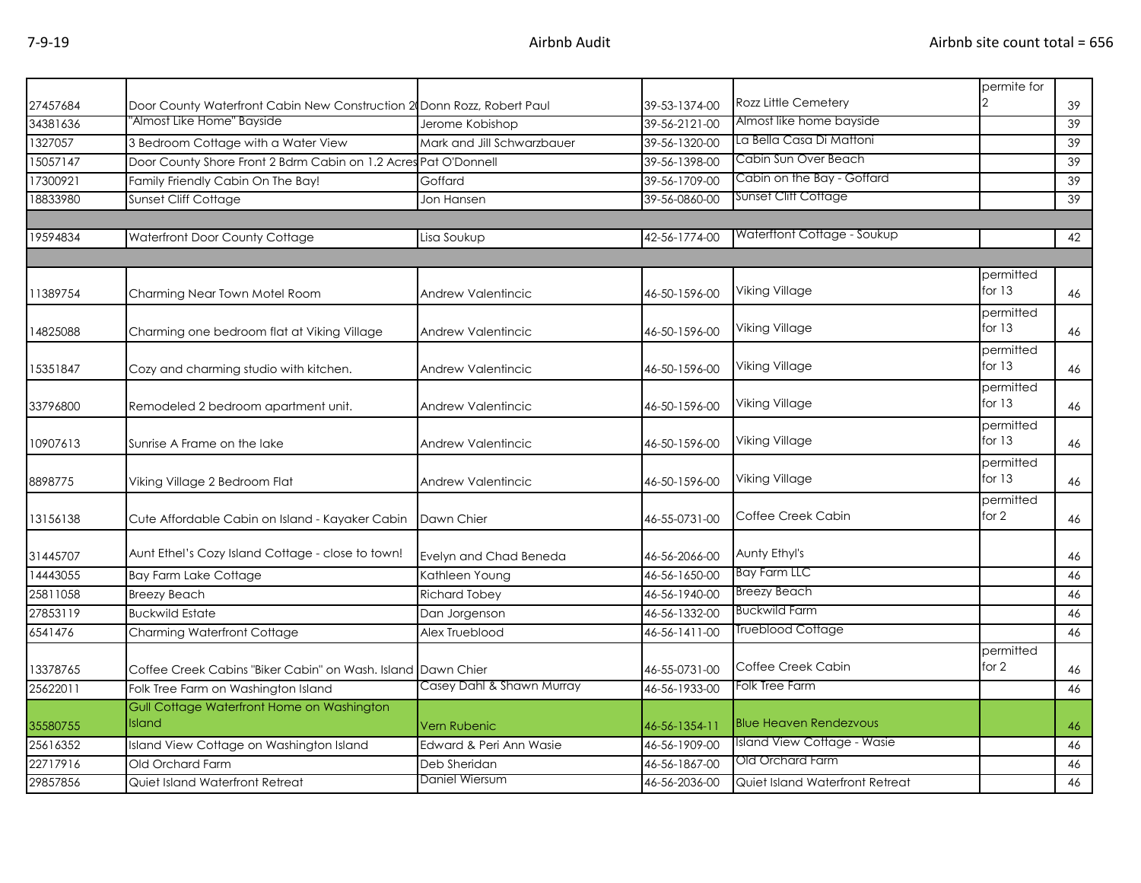| Door County Waterfront Cabin New Construction 2 Donn Rozz, Robert Paul<br>39-53-1374-00<br>39<br>'Almost Like Home'' Bayside<br>Almost like home bayside<br>39-56-2121-00<br>39<br>Jerome Kobishop<br>La Bella Casa Di Mattoni<br>3 Bedroom Cottage with a Water View<br>Mark and Jill Schwarzbauer<br>39-56-1320-00<br>39<br>Cabin Sun Over Beach<br>Door County Shore Front 2 Bdrm Cabin on 1.2 Acres Pat O'Donnell<br>39-56-1398-00<br>39<br>Cabin on the Bay - Goffard<br>Family Friendly Cabin On The Bay!<br>39-56-1709-00<br>$\overline{39}$<br>Goffard<br>Sunset Cliff Cottage<br>Sunset Cliff Cottage<br>39-56-0860-00<br>39<br>Jon Hansen<br>Waterftont Cottage - Soukup<br>Waterfront Door County Cottage<br>42-56-1774-00<br>42<br>Lisa Soukup<br>permitted<br>for $13$<br>Viking Village<br>Charming Near Town Motel Room<br><b>Andrew Valentincic</b><br>46-50-1596-00<br>46<br>permitted<br>for $13$<br>Viking Village<br>14825088<br>Charming one bedroom flat at Viking Village<br><b>Andrew Valentincic</b><br>46-50-1596-00<br>46<br>permitted<br>for $13$<br>Viking Village<br>Cozy and charming studio with kitchen.<br>15351847<br><b>Andrew Valentincic</b><br>46-50-1596-00<br>46<br>permitted<br>Viking Village<br>for 13<br>Remodeled 2 bedroom apartment unit.<br>Andrew Valentincic<br>46-50-1596-00<br>33796800<br>46<br>permitted<br>for $13$<br>Viking Village<br>Sunrise A Frame on the lake<br>46-50-1596-00<br>10907613<br>Andrew Valentincic<br>46<br>permitted<br>for $13$<br>Viking Village<br>8898775<br>Viking Village 2 Bedroom Flat<br>46-50-1596-00<br>46<br>Andrew Valentincic<br>permitted<br>Coffee Creek Cabin<br>for 2<br>13156138<br>Cute Affordable Cabin on Island - Kayaker Cabin<br>Dawn Chier<br>46-55-0731-00<br>46<br>Aunt Ethel's Cozy Island Cottage - close to town!<br>Aunty Ethyl's<br>Evelyn and Chad Beneda<br>46-56-2066-00<br>31445707<br>46<br><b>Bay Farm LLC</b><br>14443055<br><b>Bay Farm Lake Cottage</b><br>46-56-1650-00<br>46<br>Kathleen Young<br><b>Breezy Beach</b><br>46-56-1940-00<br><b>Breezy Beach</b><br><b>Richard Tobey</b><br>46<br><b>Buckwild Farm</b><br><b>Buckwild Estate</b><br>46-56-1332-00<br>46<br>Dan Jorgenson<br>Trueblood Cottage<br>46-56-1411-00<br>46<br><b>Charming Waterfront Cottage</b><br>Alex Trueblood<br>permitted<br>Coffee Creek Cabin<br>for 2<br>46-55-0731-00<br>Coffee Creek Cabins "Biker Cabin" on Wash. Island<br>Dawn Chier<br>46<br>Casey Dahl & Shawn Murray<br>Folk Tree Farm<br>Folk Tree Farm on Washington Island<br>46-56-1933-00<br>46<br>Gull Cottage Waterfront Home on Washington<br><b>Blue Heaven Rendezvous</b><br><b>Island</b><br>46-56-1354-11<br>Vern Rubenic<br>46<br>Island View Cottage - Wasie<br>Island View Cottage on Washington Island<br>46-56-1909-00<br>Edward & Peri Ann Wasie<br>46<br>Old Orchard Farm<br>46-56-1867-00<br>Old Orchard Farm<br>Deb Sheridan<br>46<br>Daniel Wiersum<br>46-56-2036-00<br>Quiet Island Waterfront Retreat<br>Quiet Island Waterfront Retreat<br>46 |          |  |                      | permite for |  |
|------------------------------------------------------------------------------------------------------------------------------------------------------------------------------------------------------------------------------------------------------------------------------------------------------------------------------------------------------------------------------------------------------------------------------------------------------------------------------------------------------------------------------------------------------------------------------------------------------------------------------------------------------------------------------------------------------------------------------------------------------------------------------------------------------------------------------------------------------------------------------------------------------------------------------------------------------------------------------------------------------------------------------------------------------------------------------------------------------------------------------------------------------------------------------------------------------------------------------------------------------------------------------------------------------------------------------------------------------------------------------------------------------------------------------------------------------------------------------------------------------------------------------------------------------------------------------------------------------------------------------------------------------------------------------------------------------------------------------------------------------------------------------------------------------------------------------------------------------------------------------------------------------------------------------------------------------------------------------------------------------------------------------------------------------------------------------------------------------------------------------------------------------------------------------------------------------------------------------------------------------------------------------------------------------------------------------------------------------------------------------------------------------------------------------------------------------------------------------------------------------------------------------------------------------------------------------------------------------------------------------------------------------------------------------------------------------------------------------------------------------------------------------------------------------------------------------------------------------------------------------------------------------------------------------------------------------------------------------------------------------------------------------------------|----------|--|----------------------|-------------|--|
|                                                                                                                                                                                                                                                                                                                                                                                                                                                                                                                                                                                                                                                                                                                                                                                                                                                                                                                                                                                                                                                                                                                                                                                                                                                                                                                                                                                                                                                                                                                                                                                                                                                                                                                                                                                                                                                                                                                                                                                                                                                                                                                                                                                                                                                                                                                                                                                                                                                                                                                                                                                                                                                                                                                                                                                                                                                                                                                                                                                                                                          | 27457684 |  | Rozz Little Cemetery |             |  |
|                                                                                                                                                                                                                                                                                                                                                                                                                                                                                                                                                                                                                                                                                                                                                                                                                                                                                                                                                                                                                                                                                                                                                                                                                                                                                                                                                                                                                                                                                                                                                                                                                                                                                                                                                                                                                                                                                                                                                                                                                                                                                                                                                                                                                                                                                                                                                                                                                                                                                                                                                                                                                                                                                                                                                                                                                                                                                                                                                                                                                                          | 34381636 |  |                      |             |  |
|                                                                                                                                                                                                                                                                                                                                                                                                                                                                                                                                                                                                                                                                                                                                                                                                                                                                                                                                                                                                                                                                                                                                                                                                                                                                                                                                                                                                                                                                                                                                                                                                                                                                                                                                                                                                                                                                                                                                                                                                                                                                                                                                                                                                                                                                                                                                                                                                                                                                                                                                                                                                                                                                                                                                                                                                                                                                                                                                                                                                                                          | 1327057  |  |                      |             |  |
|                                                                                                                                                                                                                                                                                                                                                                                                                                                                                                                                                                                                                                                                                                                                                                                                                                                                                                                                                                                                                                                                                                                                                                                                                                                                                                                                                                                                                                                                                                                                                                                                                                                                                                                                                                                                                                                                                                                                                                                                                                                                                                                                                                                                                                                                                                                                                                                                                                                                                                                                                                                                                                                                                                                                                                                                                                                                                                                                                                                                                                          | 15057147 |  |                      |             |  |
|                                                                                                                                                                                                                                                                                                                                                                                                                                                                                                                                                                                                                                                                                                                                                                                                                                                                                                                                                                                                                                                                                                                                                                                                                                                                                                                                                                                                                                                                                                                                                                                                                                                                                                                                                                                                                                                                                                                                                                                                                                                                                                                                                                                                                                                                                                                                                                                                                                                                                                                                                                                                                                                                                                                                                                                                                                                                                                                                                                                                                                          | 17300921 |  |                      |             |  |
|                                                                                                                                                                                                                                                                                                                                                                                                                                                                                                                                                                                                                                                                                                                                                                                                                                                                                                                                                                                                                                                                                                                                                                                                                                                                                                                                                                                                                                                                                                                                                                                                                                                                                                                                                                                                                                                                                                                                                                                                                                                                                                                                                                                                                                                                                                                                                                                                                                                                                                                                                                                                                                                                                                                                                                                                                                                                                                                                                                                                                                          | 18833980 |  |                      |             |  |
|                                                                                                                                                                                                                                                                                                                                                                                                                                                                                                                                                                                                                                                                                                                                                                                                                                                                                                                                                                                                                                                                                                                                                                                                                                                                                                                                                                                                                                                                                                                                                                                                                                                                                                                                                                                                                                                                                                                                                                                                                                                                                                                                                                                                                                                                                                                                                                                                                                                                                                                                                                                                                                                                                                                                                                                                                                                                                                                                                                                                                                          |          |  |                      |             |  |
|                                                                                                                                                                                                                                                                                                                                                                                                                                                                                                                                                                                                                                                                                                                                                                                                                                                                                                                                                                                                                                                                                                                                                                                                                                                                                                                                                                                                                                                                                                                                                                                                                                                                                                                                                                                                                                                                                                                                                                                                                                                                                                                                                                                                                                                                                                                                                                                                                                                                                                                                                                                                                                                                                                                                                                                                                                                                                                                                                                                                                                          | 19594834 |  |                      |             |  |
|                                                                                                                                                                                                                                                                                                                                                                                                                                                                                                                                                                                                                                                                                                                                                                                                                                                                                                                                                                                                                                                                                                                                                                                                                                                                                                                                                                                                                                                                                                                                                                                                                                                                                                                                                                                                                                                                                                                                                                                                                                                                                                                                                                                                                                                                                                                                                                                                                                                                                                                                                                                                                                                                                                                                                                                                                                                                                                                                                                                                                                          |          |  |                      |             |  |
|                                                                                                                                                                                                                                                                                                                                                                                                                                                                                                                                                                                                                                                                                                                                                                                                                                                                                                                                                                                                                                                                                                                                                                                                                                                                                                                                                                                                                                                                                                                                                                                                                                                                                                                                                                                                                                                                                                                                                                                                                                                                                                                                                                                                                                                                                                                                                                                                                                                                                                                                                                                                                                                                                                                                                                                                                                                                                                                                                                                                                                          |          |  |                      |             |  |
|                                                                                                                                                                                                                                                                                                                                                                                                                                                                                                                                                                                                                                                                                                                                                                                                                                                                                                                                                                                                                                                                                                                                                                                                                                                                                                                                                                                                                                                                                                                                                                                                                                                                                                                                                                                                                                                                                                                                                                                                                                                                                                                                                                                                                                                                                                                                                                                                                                                                                                                                                                                                                                                                                                                                                                                                                                                                                                                                                                                                                                          | 11389754 |  |                      |             |  |
|                                                                                                                                                                                                                                                                                                                                                                                                                                                                                                                                                                                                                                                                                                                                                                                                                                                                                                                                                                                                                                                                                                                                                                                                                                                                                                                                                                                                                                                                                                                                                                                                                                                                                                                                                                                                                                                                                                                                                                                                                                                                                                                                                                                                                                                                                                                                                                                                                                                                                                                                                                                                                                                                                                                                                                                                                                                                                                                                                                                                                                          |          |  |                      |             |  |
|                                                                                                                                                                                                                                                                                                                                                                                                                                                                                                                                                                                                                                                                                                                                                                                                                                                                                                                                                                                                                                                                                                                                                                                                                                                                                                                                                                                                                                                                                                                                                                                                                                                                                                                                                                                                                                                                                                                                                                                                                                                                                                                                                                                                                                                                                                                                                                                                                                                                                                                                                                                                                                                                                                                                                                                                                                                                                                                                                                                                                                          |          |  |                      |             |  |
|                                                                                                                                                                                                                                                                                                                                                                                                                                                                                                                                                                                                                                                                                                                                                                                                                                                                                                                                                                                                                                                                                                                                                                                                                                                                                                                                                                                                                                                                                                                                                                                                                                                                                                                                                                                                                                                                                                                                                                                                                                                                                                                                                                                                                                                                                                                                                                                                                                                                                                                                                                                                                                                                                                                                                                                                                                                                                                                                                                                                                                          |          |  |                      |             |  |
|                                                                                                                                                                                                                                                                                                                                                                                                                                                                                                                                                                                                                                                                                                                                                                                                                                                                                                                                                                                                                                                                                                                                                                                                                                                                                                                                                                                                                                                                                                                                                                                                                                                                                                                                                                                                                                                                                                                                                                                                                                                                                                                                                                                                                                                                                                                                                                                                                                                                                                                                                                                                                                                                                                                                                                                                                                                                                                                                                                                                                                          |          |  |                      |             |  |
|                                                                                                                                                                                                                                                                                                                                                                                                                                                                                                                                                                                                                                                                                                                                                                                                                                                                                                                                                                                                                                                                                                                                                                                                                                                                                                                                                                                                                                                                                                                                                                                                                                                                                                                                                                                                                                                                                                                                                                                                                                                                                                                                                                                                                                                                                                                                                                                                                                                                                                                                                                                                                                                                                                                                                                                                                                                                                                                                                                                                                                          |          |  |                      |             |  |
|                                                                                                                                                                                                                                                                                                                                                                                                                                                                                                                                                                                                                                                                                                                                                                                                                                                                                                                                                                                                                                                                                                                                                                                                                                                                                                                                                                                                                                                                                                                                                                                                                                                                                                                                                                                                                                                                                                                                                                                                                                                                                                                                                                                                                                                                                                                                                                                                                                                                                                                                                                                                                                                                                                                                                                                                                                                                                                                                                                                                                                          |          |  |                      |             |  |
|                                                                                                                                                                                                                                                                                                                                                                                                                                                                                                                                                                                                                                                                                                                                                                                                                                                                                                                                                                                                                                                                                                                                                                                                                                                                                                                                                                                                                                                                                                                                                                                                                                                                                                                                                                                                                                                                                                                                                                                                                                                                                                                                                                                                                                                                                                                                                                                                                                                                                                                                                                                                                                                                                                                                                                                                                                                                                                                                                                                                                                          |          |  |                      |             |  |
|                                                                                                                                                                                                                                                                                                                                                                                                                                                                                                                                                                                                                                                                                                                                                                                                                                                                                                                                                                                                                                                                                                                                                                                                                                                                                                                                                                                                                                                                                                                                                                                                                                                                                                                                                                                                                                                                                                                                                                                                                                                                                                                                                                                                                                                                                                                                                                                                                                                                                                                                                                                                                                                                                                                                                                                                                                                                                                                                                                                                                                          |          |  |                      |             |  |
|                                                                                                                                                                                                                                                                                                                                                                                                                                                                                                                                                                                                                                                                                                                                                                                                                                                                                                                                                                                                                                                                                                                                                                                                                                                                                                                                                                                                                                                                                                                                                                                                                                                                                                                                                                                                                                                                                                                                                                                                                                                                                                                                                                                                                                                                                                                                                                                                                                                                                                                                                                                                                                                                                                                                                                                                                                                                                                                                                                                                                                          |          |  |                      |             |  |
|                                                                                                                                                                                                                                                                                                                                                                                                                                                                                                                                                                                                                                                                                                                                                                                                                                                                                                                                                                                                                                                                                                                                                                                                                                                                                                                                                                                                                                                                                                                                                                                                                                                                                                                                                                                                                                                                                                                                                                                                                                                                                                                                                                                                                                                                                                                                                                                                                                                                                                                                                                                                                                                                                                                                                                                                                                                                                                                                                                                                                                          |          |  |                      |             |  |
|                                                                                                                                                                                                                                                                                                                                                                                                                                                                                                                                                                                                                                                                                                                                                                                                                                                                                                                                                                                                                                                                                                                                                                                                                                                                                                                                                                                                                                                                                                                                                                                                                                                                                                                                                                                                                                                                                                                                                                                                                                                                                                                                                                                                                                                                                                                                                                                                                                                                                                                                                                                                                                                                                                                                                                                                                                                                                                                                                                                                                                          |          |  |                      |             |  |
|                                                                                                                                                                                                                                                                                                                                                                                                                                                                                                                                                                                                                                                                                                                                                                                                                                                                                                                                                                                                                                                                                                                                                                                                                                                                                                                                                                                                                                                                                                                                                                                                                                                                                                                                                                                                                                                                                                                                                                                                                                                                                                                                                                                                                                                                                                                                                                                                                                                                                                                                                                                                                                                                                                                                                                                                                                                                                                                                                                                                                                          |          |  |                      |             |  |
|                                                                                                                                                                                                                                                                                                                                                                                                                                                                                                                                                                                                                                                                                                                                                                                                                                                                                                                                                                                                                                                                                                                                                                                                                                                                                                                                                                                                                                                                                                                                                                                                                                                                                                                                                                                                                                                                                                                                                                                                                                                                                                                                                                                                                                                                                                                                                                                                                                                                                                                                                                                                                                                                                                                                                                                                                                                                                                                                                                                                                                          |          |  |                      |             |  |
|                                                                                                                                                                                                                                                                                                                                                                                                                                                                                                                                                                                                                                                                                                                                                                                                                                                                                                                                                                                                                                                                                                                                                                                                                                                                                                                                                                                                                                                                                                                                                                                                                                                                                                                                                                                                                                                                                                                                                                                                                                                                                                                                                                                                                                                                                                                                                                                                                                                                                                                                                                                                                                                                                                                                                                                                                                                                                                                                                                                                                                          |          |  |                      |             |  |
|                                                                                                                                                                                                                                                                                                                                                                                                                                                                                                                                                                                                                                                                                                                                                                                                                                                                                                                                                                                                                                                                                                                                                                                                                                                                                                                                                                                                                                                                                                                                                                                                                                                                                                                                                                                                                                                                                                                                                                                                                                                                                                                                                                                                                                                                                                                                                                                                                                                                                                                                                                                                                                                                                                                                                                                                                                                                                                                                                                                                                                          | 25811058 |  |                      |             |  |
|                                                                                                                                                                                                                                                                                                                                                                                                                                                                                                                                                                                                                                                                                                                                                                                                                                                                                                                                                                                                                                                                                                                                                                                                                                                                                                                                                                                                                                                                                                                                                                                                                                                                                                                                                                                                                                                                                                                                                                                                                                                                                                                                                                                                                                                                                                                                                                                                                                                                                                                                                                                                                                                                                                                                                                                                                                                                                                                                                                                                                                          | 27853119 |  |                      |             |  |
|                                                                                                                                                                                                                                                                                                                                                                                                                                                                                                                                                                                                                                                                                                                                                                                                                                                                                                                                                                                                                                                                                                                                                                                                                                                                                                                                                                                                                                                                                                                                                                                                                                                                                                                                                                                                                                                                                                                                                                                                                                                                                                                                                                                                                                                                                                                                                                                                                                                                                                                                                                                                                                                                                                                                                                                                                                                                                                                                                                                                                                          | 6541476  |  |                      |             |  |
|                                                                                                                                                                                                                                                                                                                                                                                                                                                                                                                                                                                                                                                                                                                                                                                                                                                                                                                                                                                                                                                                                                                                                                                                                                                                                                                                                                                                                                                                                                                                                                                                                                                                                                                                                                                                                                                                                                                                                                                                                                                                                                                                                                                                                                                                                                                                                                                                                                                                                                                                                                                                                                                                                                                                                                                                                                                                                                                                                                                                                                          |          |  |                      |             |  |
|                                                                                                                                                                                                                                                                                                                                                                                                                                                                                                                                                                                                                                                                                                                                                                                                                                                                                                                                                                                                                                                                                                                                                                                                                                                                                                                                                                                                                                                                                                                                                                                                                                                                                                                                                                                                                                                                                                                                                                                                                                                                                                                                                                                                                                                                                                                                                                                                                                                                                                                                                                                                                                                                                                                                                                                                                                                                                                                                                                                                                                          | 13378765 |  |                      |             |  |
|                                                                                                                                                                                                                                                                                                                                                                                                                                                                                                                                                                                                                                                                                                                                                                                                                                                                                                                                                                                                                                                                                                                                                                                                                                                                                                                                                                                                                                                                                                                                                                                                                                                                                                                                                                                                                                                                                                                                                                                                                                                                                                                                                                                                                                                                                                                                                                                                                                                                                                                                                                                                                                                                                                                                                                                                                                                                                                                                                                                                                                          | 25622011 |  |                      |             |  |
|                                                                                                                                                                                                                                                                                                                                                                                                                                                                                                                                                                                                                                                                                                                                                                                                                                                                                                                                                                                                                                                                                                                                                                                                                                                                                                                                                                                                                                                                                                                                                                                                                                                                                                                                                                                                                                                                                                                                                                                                                                                                                                                                                                                                                                                                                                                                                                                                                                                                                                                                                                                                                                                                                                                                                                                                                                                                                                                                                                                                                                          |          |  |                      |             |  |
|                                                                                                                                                                                                                                                                                                                                                                                                                                                                                                                                                                                                                                                                                                                                                                                                                                                                                                                                                                                                                                                                                                                                                                                                                                                                                                                                                                                                                                                                                                                                                                                                                                                                                                                                                                                                                                                                                                                                                                                                                                                                                                                                                                                                                                                                                                                                                                                                                                                                                                                                                                                                                                                                                                                                                                                                                                                                                                                                                                                                                                          | 35580755 |  |                      |             |  |
|                                                                                                                                                                                                                                                                                                                                                                                                                                                                                                                                                                                                                                                                                                                                                                                                                                                                                                                                                                                                                                                                                                                                                                                                                                                                                                                                                                                                                                                                                                                                                                                                                                                                                                                                                                                                                                                                                                                                                                                                                                                                                                                                                                                                                                                                                                                                                                                                                                                                                                                                                                                                                                                                                                                                                                                                                                                                                                                                                                                                                                          | 25616352 |  |                      |             |  |
|                                                                                                                                                                                                                                                                                                                                                                                                                                                                                                                                                                                                                                                                                                                                                                                                                                                                                                                                                                                                                                                                                                                                                                                                                                                                                                                                                                                                                                                                                                                                                                                                                                                                                                                                                                                                                                                                                                                                                                                                                                                                                                                                                                                                                                                                                                                                                                                                                                                                                                                                                                                                                                                                                                                                                                                                                                                                                                                                                                                                                                          | 22717916 |  |                      |             |  |
|                                                                                                                                                                                                                                                                                                                                                                                                                                                                                                                                                                                                                                                                                                                                                                                                                                                                                                                                                                                                                                                                                                                                                                                                                                                                                                                                                                                                                                                                                                                                                                                                                                                                                                                                                                                                                                                                                                                                                                                                                                                                                                                                                                                                                                                                                                                                                                                                                                                                                                                                                                                                                                                                                                                                                                                                                                                                                                                                                                                                                                          | 29857856 |  |                      |             |  |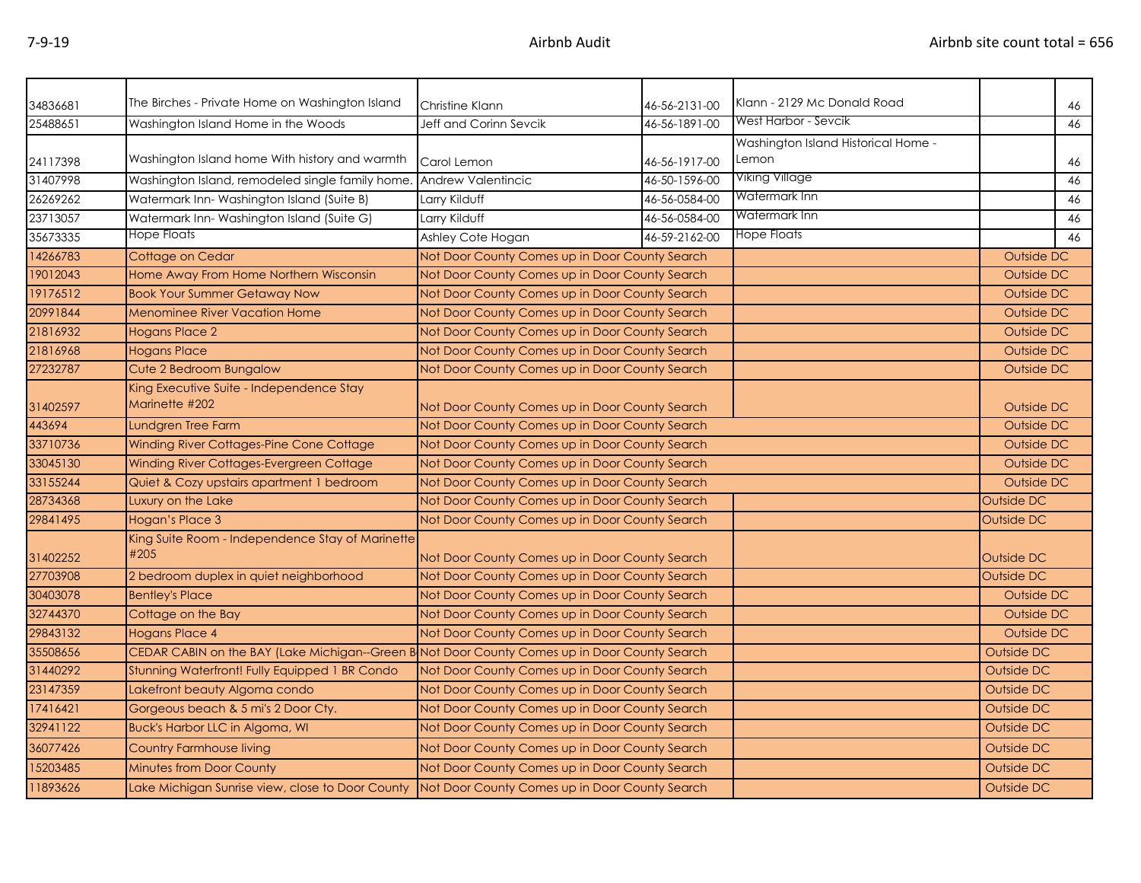| 34836681 | The Birches - Private Home on Washington Island                                               | Christine Klann                                | 46-56-2131-00                                  | Klann - 2129 Mc Donald Road                  |            | 46                |
|----------|-----------------------------------------------------------------------------------------------|------------------------------------------------|------------------------------------------------|----------------------------------------------|------------|-------------------|
| 25488651 | Washington Island Home in the Woods                                                           | Jeff and Corinn Sevcik                         | 46-56-1891-00                                  | West Harbor - Sevcik                         |            | 46                |
| 24117398 | Washington Island home With history and warmth                                                | Carol Lemon                                    | 46-56-1917-00                                  | Washington Island Historical Home -<br>Lemon |            | 46                |
| 31407998 | Washington Island, remodeled single family home.                                              | Andrew Valentincic                             | 46-50-1596-00                                  | Viking Village                               |            | 46                |
| 26269262 | Watermark Inn-Washington Island (Suite B)                                                     | Larry Kilduff                                  | 46-56-0584-00                                  | Watermark Inn                                |            | 46                |
| 23713057 | Watermark Inn-Washington Island (Suite G)                                                     | Larry Kilduff                                  | 46-56-0584-00                                  | Watermark Inn                                |            | 46                |
| 35673335 | Hope Floats                                                                                   | Ashley Cote Hogan                              | 46-59-2162-00                                  | Hope Floats                                  |            | 46                |
| 14266783 | Cottage on Cedar                                                                              | Not Door County Comes up in Door County Search |                                                |                                              | Outside DC |                   |
| 19012043 | Home Away From Home Northern Wisconsin                                                        | Not Door County Comes up in Door County Search |                                                |                                              | Outside DC |                   |
| 19176512 | <b>Book Your Summer Getaway Now</b>                                                           |                                                | Not Door County Comes up in Door County Search |                                              |            | Outside DC        |
| 20991844 | <b>Menominee River Vacation Home</b>                                                          |                                                | Not Door County Comes up in Door County Search |                                              |            | Outside DC        |
| 21816932 | <b>Hogans Place 2</b>                                                                         | Not Door County Comes up in Door County Search |                                                |                                              | Outside DC |                   |
| 21816968 | <b>Hogans Place</b>                                                                           | Not Door County Comes up in Door County Search |                                                |                                              | Outside DC |                   |
| 27232787 | Cute 2 Bedroom Bungalow                                                                       | Not Door County Comes up in Door County Search |                                                |                                              | Outside DC |                   |
| 31402597 | King Executive Suite - Independence Stay<br>Marinette #202                                    | Not Door County Comes up in Door County Search |                                                |                                              |            | <b>Outside DC</b> |
| 443694   | Lundgren Tree Farm                                                                            | Not Door County Comes up in Door County Search |                                                |                                              |            | Outside DC        |
| 33710736 | Winding River Cottages-Pine Cone Cottage                                                      | Not Door County Comes up in Door County Search |                                                |                                              |            | Outside DC        |
| 33045130 | Winding River Cottages-Evergreen Cottage                                                      | Not Door County Comes up in Door County Search |                                                |                                              | Outside DC |                   |
| 33155244 | Quiet & Cozy upstairs apartment 1 bedroom                                                     | Not Door County Comes up in Door County Search |                                                |                                              | Outside DC |                   |
| 28734368 | Luxury on the Lake                                                                            | Not Door County Comes up in Door County Search |                                                |                                              | Outside DC |                   |
| 29841495 | Hogan's Place 3                                                                               | Not Door County Comes up in Door County Search |                                                | <b>Outside DC</b>                            |            |                   |
| 31402252 | King Suite Room - Independence Stay of Marinette<br>#205                                      | Not Door County Comes up in Door County Search |                                                |                                              | Outside DC |                   |
| 27703908 | 2 bedroom duplex in quiet neighborhood                                                        | Not Door County Comes up in Door County Search |                                                |                                              | Outside DC |                   |
| 30403078 | <b>Bentley's Place</b>                                                                        | Not Door County Comes up in Door County Search |                                                |                                              | Outside DC |                   |
| 32744370 | Cottage on the Bay                                                                            | Not Door County Comes up in Door County Search |                                                |                                              | Outside DC |                   |
| 29843132 | <b>Hogans Place 4</b>                                                                         | Not Door County Comes up in Door County Search |                                                |                                              | Outside DC |                   |
| 35508656 | CEDAR CABIN on the BAY (Lake Michigan--Green B Not Door County Comes up in Door County Search |                                                |                                                |                                              | Outside DC |                   |
| 31440292 | Stunning Waterfront! Fully Equipped 1 BR Condo                                                | Not Door County Comes up in Door County Search |                                                |                                              | Outside DC |                   |
| 23147359 | Lakefront beauty Algoma condo                                                                 | Not Door County Comes up in Door County Search |                                                |                                              | Outside DC |                   |
| 17416421 | Gorgeous beach & 5 mi's 2 Door Cty.                                                           | Not Door County Comes up in Door County Search |                                                |                                              | Outside DC |                   |
| 32941122 | <b>Buck's Harbor LLC in Algoma, WI</b>                                                        | Not Door County Comes up in Door County Search |                                                | Outside DC                                   |            |                   |
| 36077426 | <b>Country Farmhouse living</b>                                                               | Not Door County Comes up in Door County Search |                                                |                                              | Outside DC |                   |
| 15203485 | <b>Minutes from Door County</b>                                                               | Not Door County Comes up in Door County Search |                                                |                                              | Outside DC |                   |
| 11893626 | Lake Michigan Sunrise view, close to Door County                                              | Not Door County Comes up in Door County Search |                                                |                                              | Outside DC |                   |